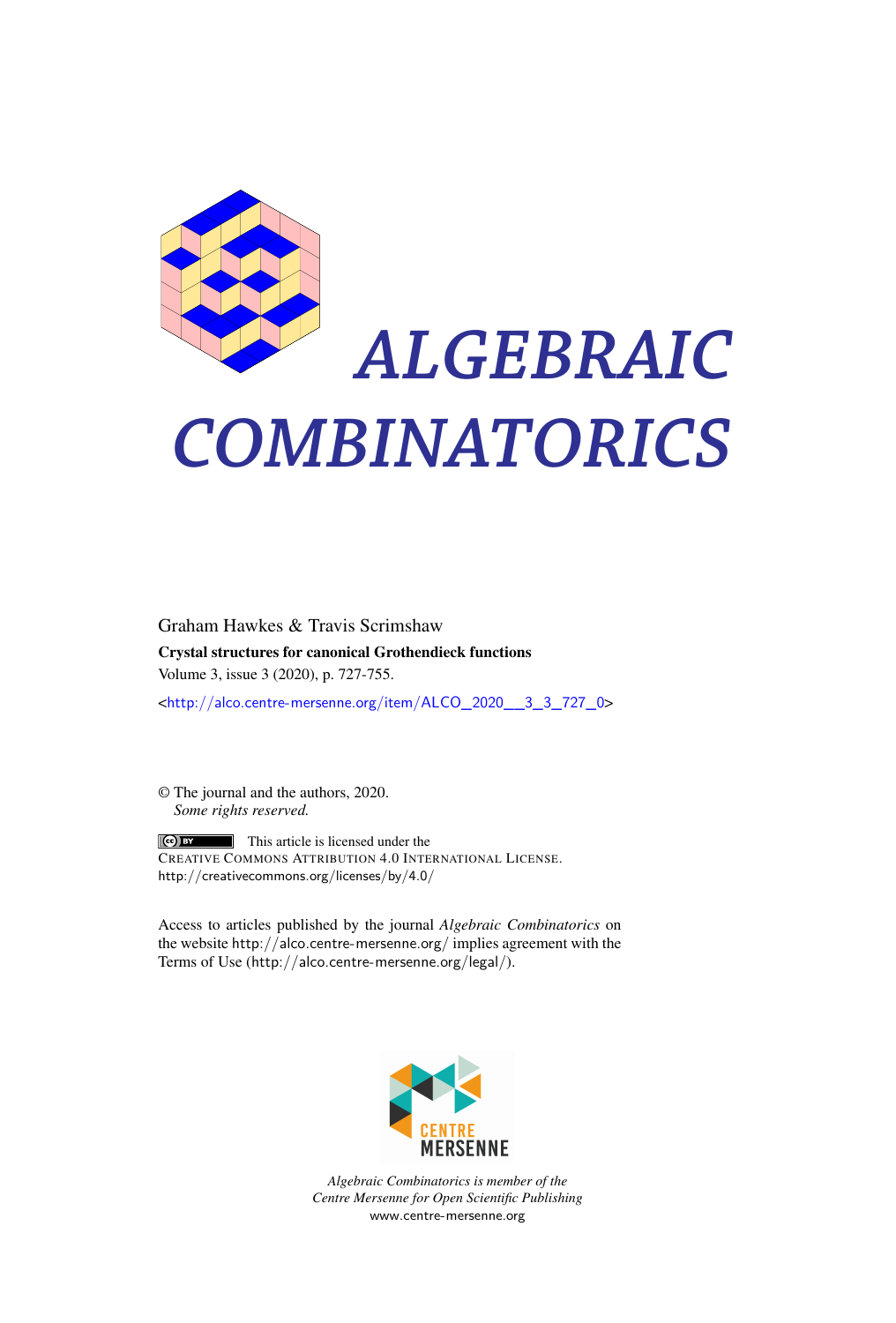

# *ALGEBRAIC COMBINATORICS*

Graham Hawkes & Travis Scrimshaw Crystal structures for canonical Grothendieck functions Volume 3, issue 3 (2020), p. 727-755. <[http://alco.centre-mersenne.org/item/ALCO\\_2020\\_\\_3\\_3\\_727\\_0](http://alco.centre-mersenne.org/item/ALCO_2020__3_3_727_0)>

© The journal and the authors, 2020. *Some rights reserved.*

**C** EX This article is licensed under the CREATIVE COMMONS ATTRIBUTION 4.0 INTERNATIONAL LICENSE. <http://creativecommons.org/licenses/by/4.0/>

Access to articles published by the journal *Algebraic Combinatorics* on the website <http://alco.centre-mersenne.org/> implies agreement with the Terms of Use (<http://alco.centre-mersenne.org/legal/>).



*Algebraic Combinatorics is member of the Centre Mersenne for Open Scientific Publishing* <www.centre-mersenne.org>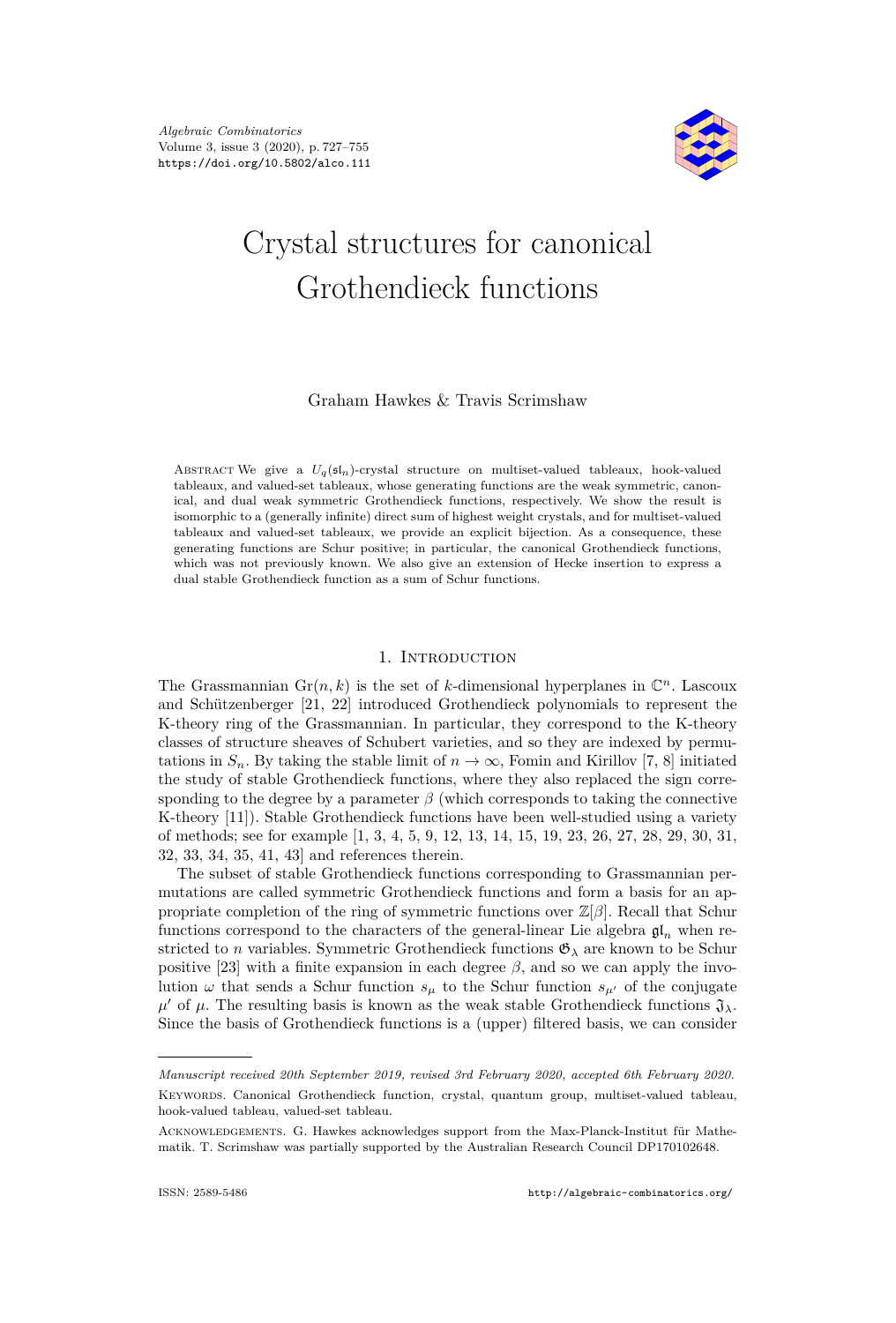

## Crystal structures for canonical Grothendieck functions

Graham Hawkes & Travis Scrimshaw

ABSTRACT We give a  $U_q(\mathfrak{sl}_n)$ -crystal structure on multiset-valued tableaux, hook-valued tableaux, and valued-set tableaux, whose generating functions are the weak symmetric, canonical, and dual weak symmetric Grothendieck functions, respectively. We show the result is isomorphic to a (generally infinite) direct sum of highest weight crystals, and for multiset-valued tableaux and valued-set tableaux, we provide an explicit bijection. As a consequence, these generating functions are Schur positive; in particular, the canonical Grothendieck functions, which was not previously known. We also give an extension of Hecke insertion to express a dual stable Grothendieck function as a sum of Schur functions.

#### 1. Introduction

The Grassmannian  $\text{Gr}(n, k)$  is the set of *k*-dimensional hyperplanes in  $\mathbb{C}^n$ . Lascoux and Schützenberger [\[21,](#page-28-0) [22\]](#page-28-1) introduced Grothendieck polynomials to represent the K-theory ring of the Grassmannian. In particular, they correspond to the K-theory classes of structure sheaves of Schubert varieties, and so they are indexed by permutations in  $S_n$ . By taking the stable limit of  $n \to \infty$ , Fomin and Kirillov [\[7,](#page-27-0) [8\]](#page-27-1) initiated the study of stable Grothendieck functions, where they also replaced the sign corresponding to the degree by a parameter  $\beta$  (which corresponds to taking the connective K-theory [\[11\]](#page-27-2)). Stable Grothendieck functions have been well-studied using a variety of methods; see for example [\[1,](#page-27-3) [3,](#page-27-4) [4,](#page-27-5) [5,](#page-27-6) [9,](#page-27-7) [12,](#page-27-8) [13,](#page-28-2) [14,](#page-28-3) [15,](#page-28-4) [19,](#page-28-5) [23,](#page-28-6) [26,](#page-28-7) [27,](#page-28-8) [28,](#page-28-9) [29,](#page-28-10) [30,](#page-28-11) [31,](#page-28-12) [32,](#page-28-13) [33,](#page-28-14) [34,](#page-28-15) [35,](#page-28-16) [41,](#page-28-17) [43\]](#page-29-0) and references therein.

The subset of stable Grothendieck functions corresponding to Grassmannian permutations are called symmetric Grothendieck functions and form a basis for an appropriate completion of the ring of symmetric functions over Z[*β*]. Recall that Schur functions correspond to the characters of the general-linear Lie algebra  $\mathfrak{gl}_n$  when restricted to *n* variables. Symmetric Grothendieck functions  $\mathfrak{G}_{\lambda}$  are known to be Schur positive [\[23\]](#page-28-6) with a finite expansion in each degree  $\beta$ , and so we can apply the involution  $\omega$  that sends a Schur function  $s_{\mu}$  to the Schur function  $s_{\mu'}$  of the conjugate  $\mu'$  of  $\mu$ . The resulting basis is known as the weak stable Grothendieck functions  $\mathfrak{J}_{\lambda}$ . Since the basis of Grothendieck functions is a (upper) filtered basis, we can consider

*Manuscript received 20th September 2019, revised 3rd February 2020, accepted 6th February 2020.* Keywords. Canonical Grothendieck function, crystal, quantum group, multiset-valued tableau, hook-valued tableau, valued-set tableau.

Acknowledgements. G. Hawkes acknowledges support from the Max-Planck-Institut für Mathematik. T. Scrimshaw was partially supported by the Australian Research Council DP170102648.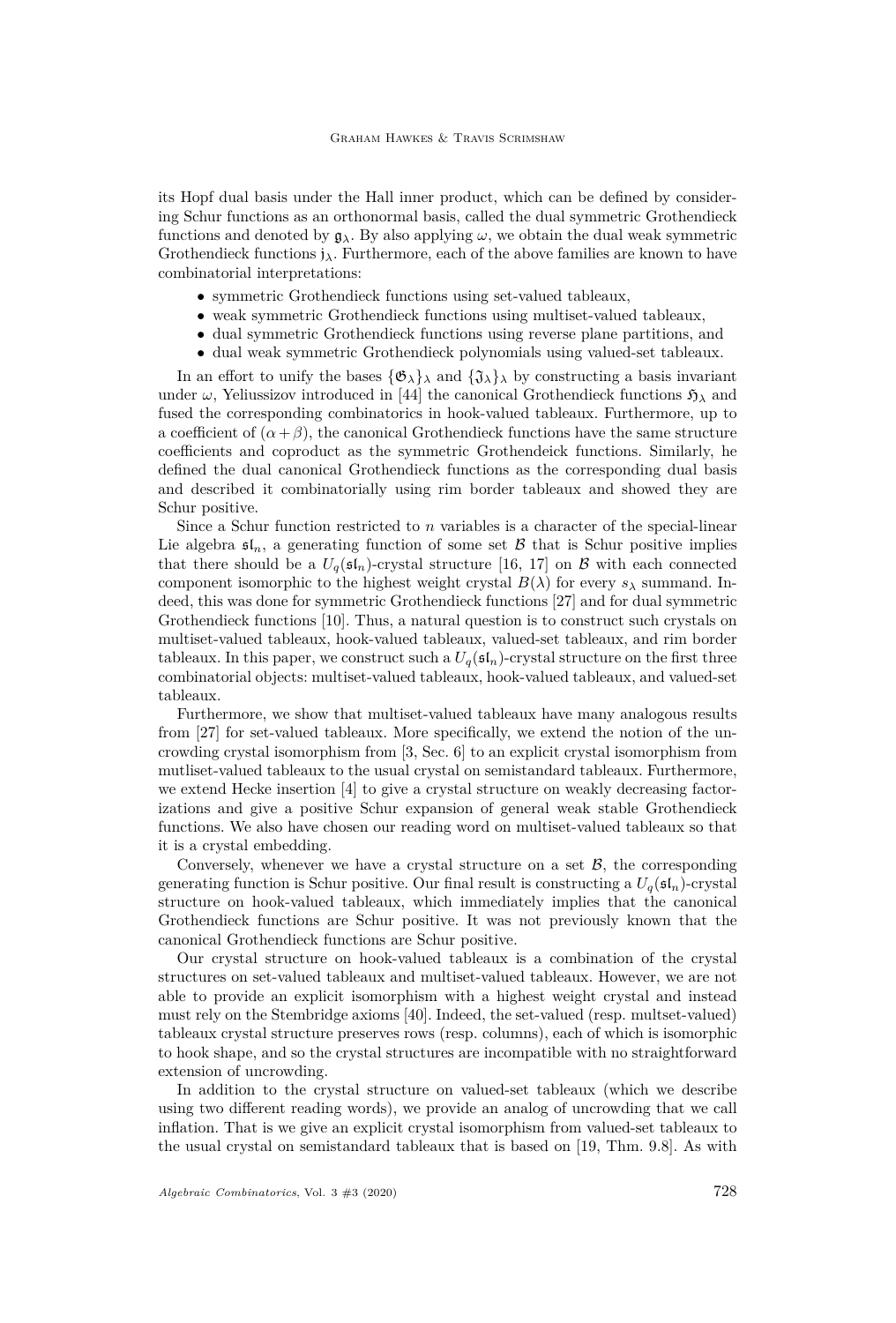its Hopf dual basis under the Hall inner product, which can be defined by considering Schur functions as an orthonormal basis, called the dual symmetric Grothendieck functions and denoted by  $g_{\lambda}$ . By also applying  $\omega$ , we obtain the dual weak symmetric Grothendieck functions j*λ*. Furthermore, each of the above families are known to have combinatorial interpretations:

- symmetric Grothendieck functions using set-valued tableaux,
- weak symmetric Grothendieck functions using multiset-valued tableaux,
- dual symmetric Grothendieck functions using reverse plane partitions, and
- dual weak symmetric Grothendieck polynomials using valued-set tableaux.

In an effort to unify the bases  $\{\mathfrak{G}_{\lambda}\}_{\lambda}$  and  $\{\mathfrak{J}_{\lambda}\}_{\lambda}$  by constructing a basis invariant under  $\omega$ , Yeliussizov introduced in [\[44\]](#page-29-1) the canonical Grothendieck functions  $\mathfrak{H}_{\lambda}$  and fused the corresponding combinatorics in hook-valued tableaux. Furthermore, up to a coefficient of  $(\alpha + \beta)$ , the canonical Grothendieck functions have the same structure coefficients and coproduct as the symmetric Grothendeick functions. Similarly, he defined the dual canonical Grothendieck functions as the corresponding dual basis and described it combinatorially using rim border tableaux and showed they are Schur positive.

Since a Schur function restricted to *n* variables is a character of the special-linear Lie algebra  $\mathfrak{sl}_n$ , a generating function of some set  $\beta$  that is Schur positive implies that there should be a  $U_q(\mathfrak{sl}_n)$ -crystal structure [\[16,](#page-28-18) [17\]](#page-28-19) on B with each connected component isomorphic to the highest weight crystal  $B(\lambda)$  for every  $s_{\lambda}$  summand. Indeed, this was done for symmetric Grothendieck functions [\[27\]](#page-28-8) and for dual symmetric Grothendieck functions [\[10\]](#page-27-9). Thus, a natural question is to construct such crystals on multiset-valued tableaux, hook-valued tableaux, valued-set tableaux, and rim border tableaux. In this paper, we construct such a  $U_q(\mathfrak{sl}_n)$ -crystal structure on the first three combinatorial objects: multiset-valued tableaux, hook-valued tableaux, and valued-set tableaux.

Furthermore, we show that multiset-valued tableaux have many analogous results from [\[27\]](#page-28-8) for set-valued tableaux. More specifically, we extend the notion of the uncrowding crystal isomorphism from [\[3,](#page-27-4) Sec. 6] to an explicit crystal isomorphism from mutliset-valued tableaux to the usual crystal on semistandard tableaux. Furthermore, we extend Hecke insertion [\[4\]](#page-27-5) to give a crystal structure on weakly decreasing factorizations and give a positive Schur expansion of general weak stable Grothendieck functions. We also have chosen our reading word on multiset-valued tableaux so that it is a crystal embedding.

Conversely, whenever we have a crystal structure on a set  $\mathcal{B}$ , the corresponding generating function is Schur positive. Our final result is constructing a  $U_q(\mathfrak{sl}_n)$ -crystal structure on hook-valued tableaux, which immediately implies that the canonical Grothendieck functions are Schur positive. It was not previously known that the canonical Grothendieck functions are Schur positive.

Our crystal structure on hook-valued tableaux is a combination of the crystal structures on set-valued tableaux and multiset-valued tableaux. However, we are not able to provide an explicit isomorphism with a highest weight crystal and instead must rely on the Stembridge axioms [\[40\]](#page-28-20). Indeed, the set-valued (resp. multset-valued) tableaux crystal structure preserves rows (resp. columns), each of which is isomorphic to hook shape, and so the crystal structures are incompatible with no straightforward extension of uncrowding.

In addition to the crystal structure on valued-set tableaux (which we describe using two different reading words), we provide an analog of uncrowding that we call inflation. That is we give an explicit crystal isomorphism from valued-set tableaux to the usual crystal on semistandard tableaux that is based on [\[19,](#page-28-5) Thm. 9.8]. As with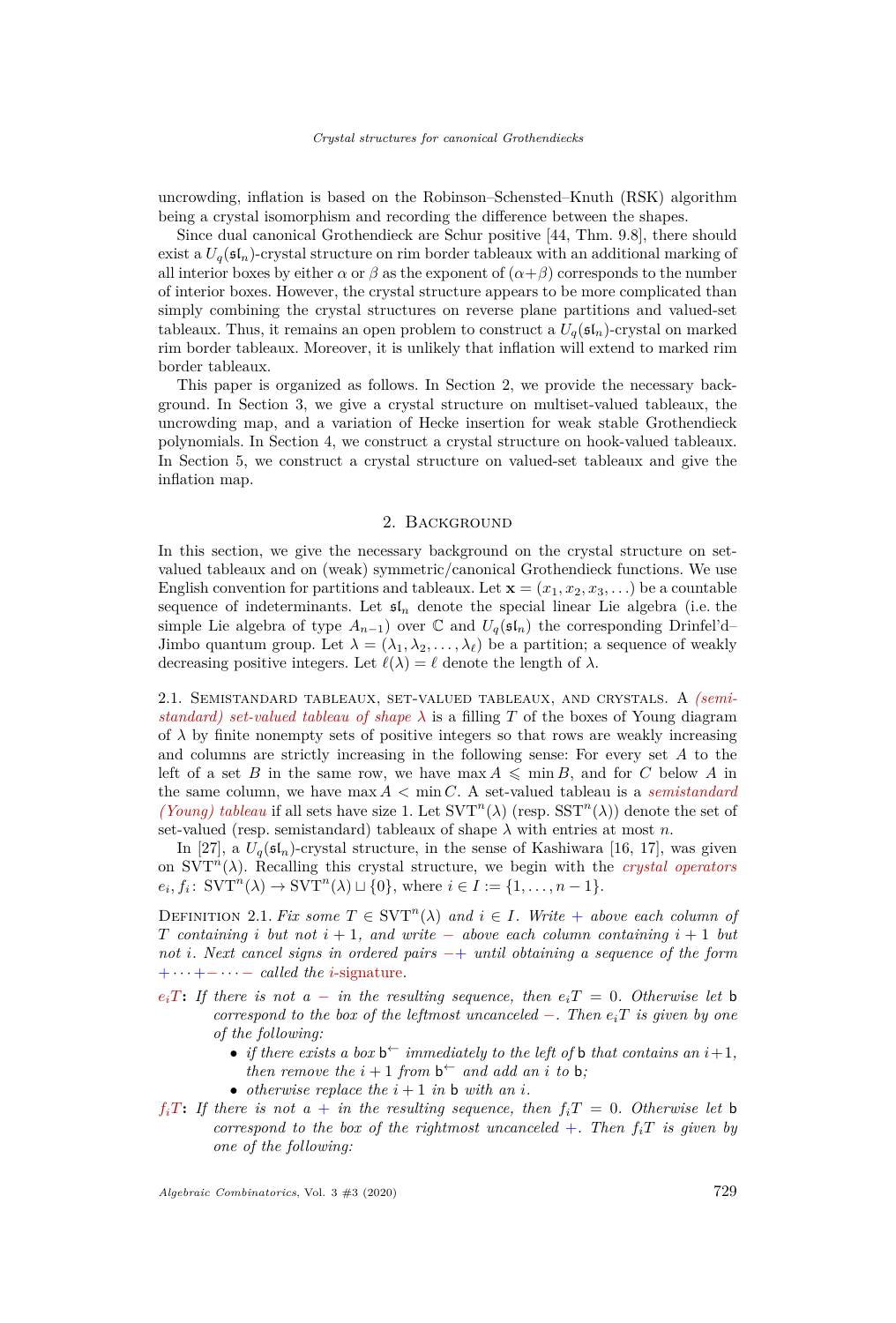uncrowding, inflation is based on the Robinson–Schensted–Knuth (RSK) algorithm being a crystal isomorphism and recording the difference between the shapes.

Since dual canonical Grothendieck are Schur positive [\[44,](#page-29-1) Thm. 9.8], there should exist a  $U_q(\mathfrak{sl}_n)$ -crystal structure on rim border tableaux with an additional marking of all interior boxes by either  $\alpha$  or  $\beta$  as the exponent of  $(\alpha + \beta)$  corresponds to the number of interior boxes. However, the crystal structure appears to be more complicated than simply combining the crystal structures on reverse plane partitions and valued-set tableaux. Thus, it remains an open problem to construct a  $U_q(\mathfrak{sl}_n)$ -crystal on marked rim border tableaux. Moreover, it is unlikely that inflation will extend to marked rim border tableaux.

This paper is organized as follows. In Section [2,](#page-3-0) we provide the necessary background. In Section [3,](#page-8-0) we give a crystal structure on multiset-valued tableaux, the uncrowding map, and a variation of Hecke insertion for weak stable Grothendieck polynomials. In Section [4,](#page-17-0) we construct a crystal structure on hook-valued tableaux. In Section [5,](#page-21-0) we construct a crystal structure on valued-set tableaux and give the inflation map.

#### 2. Background

<span id="page-3-0"></span>In this section, we give the necessary background on the crystal structure on setvalued tableaux and on (weak) symmetric/canonical Grothendieck functions. We use English convention for partitions and tableaux. Let  $\mathbf{x} = (x_1, x_2, x_3, \ldots)$  be a countable sequence of indeterminants. Let  $\mathfrak{sl}_n$  denote the special linear Lie algebra (i.e. the simple Lie algebra of type  $A_{n-1}$ ) over  $\mathbb C$  and  $U_q(\mathfrak{sl}_n)$  the corresponding Drinfel'd– Jimbo quantum group. Let  $\lambda = (\lambda_1, \lambda_2, \dots, \lambda_\ell)$  be a partition; a sequence of weakly decreasing positive integers. Let  $\ell(\lambda) = \ell$  denote the length of  $\lambda$ .

2.1. Semistandard tableaux, set-valued tableaux, and crystals. A *(semistandard) set-valued tableau of shape*  $\lambda$  is a filling T of the boxes of Young diagram of  $\lambda$  by finite nonempty sets of positive integers so that rows are weakly increasing and columns are strictly increasing in the following sense: For every set *A* to the left of a set *B* in the same row, we have max  $A \leq \min B$ , and for *C* below *A* in the same column, we have  $\max A < \min C$ . A set-valued tableau is a *semistandard (Young) tableau* if all sets have size 1. Let  $SVT<sup>n</sup>(\lambda)$  (resp.  $SST<sup>n</sup>(\lambda)$ ) denote the set of set-valued (resp. semistandard) tableaux of shape  $\lambda$  with entries at most *n*.

In [\[27\]](#page-28-8), a  $U_q(\mathfrak{sl}_n)$ -crystal structure, in the sense of Kashiwara [\[16,](#page-28-18) [17\]](#page-28-19), was given on  $SVT<sup>n</sup>(\lambda)$ . Recalling this crystal structure, we begin with the *crystal operators*  $e_i, f_i: \text{SVT}^n(\lambda) \to \text{SVT}^n(\lambda) \sqcup \{0\}, \text{ where } i \in I := \{1, \ldots, n-1\}.$ 

<span id="page-3-1"></span>DEFINITION 2.1. *Fix some*  $T \in SVT^n(\lambda)$  *and*  $i \in I$ *. Write* + *above each column of T containing i but not i* + 1*, and write* − *above each column containing i* + 1 *but not i. Next cancel signs in ordered pairs* −+ *until obtaining a sequence of the form* + · · · +− · · · − *called the i*-signature*.*

- $e_i$ *T***:** If there is not a − *in the resulting sequence, then*  $e_i$ *T* = 0*. Otherwise let* b *correspond to the box of the leftmost uncanceled*  $-$ *. Then*  $e_i$ <sup>*T*</sup> *is given by one of the following:*
	- *if there exists a box*  $\mathbf{b}^{\leftarrow}$  *immediately to the left of* **b** *that contains an*  $i+1$ *, then remove the*  $i + 1$  *from*  $\mathbf{b}^{\leftarrow}$  *and add an i to* **b**;
	- *otherwise replace the*  $i + 1$  *in* **b** *with* an *i*.
- $f_i$ *T***:** If there is not a + in the resulting sequence, then  $f_i$ *T* = 0*. Otherwise let* b *correspond to the box of the rightmost uncanceled*  $+$ *. Then*  $f_i$ *T is given by one of the following:*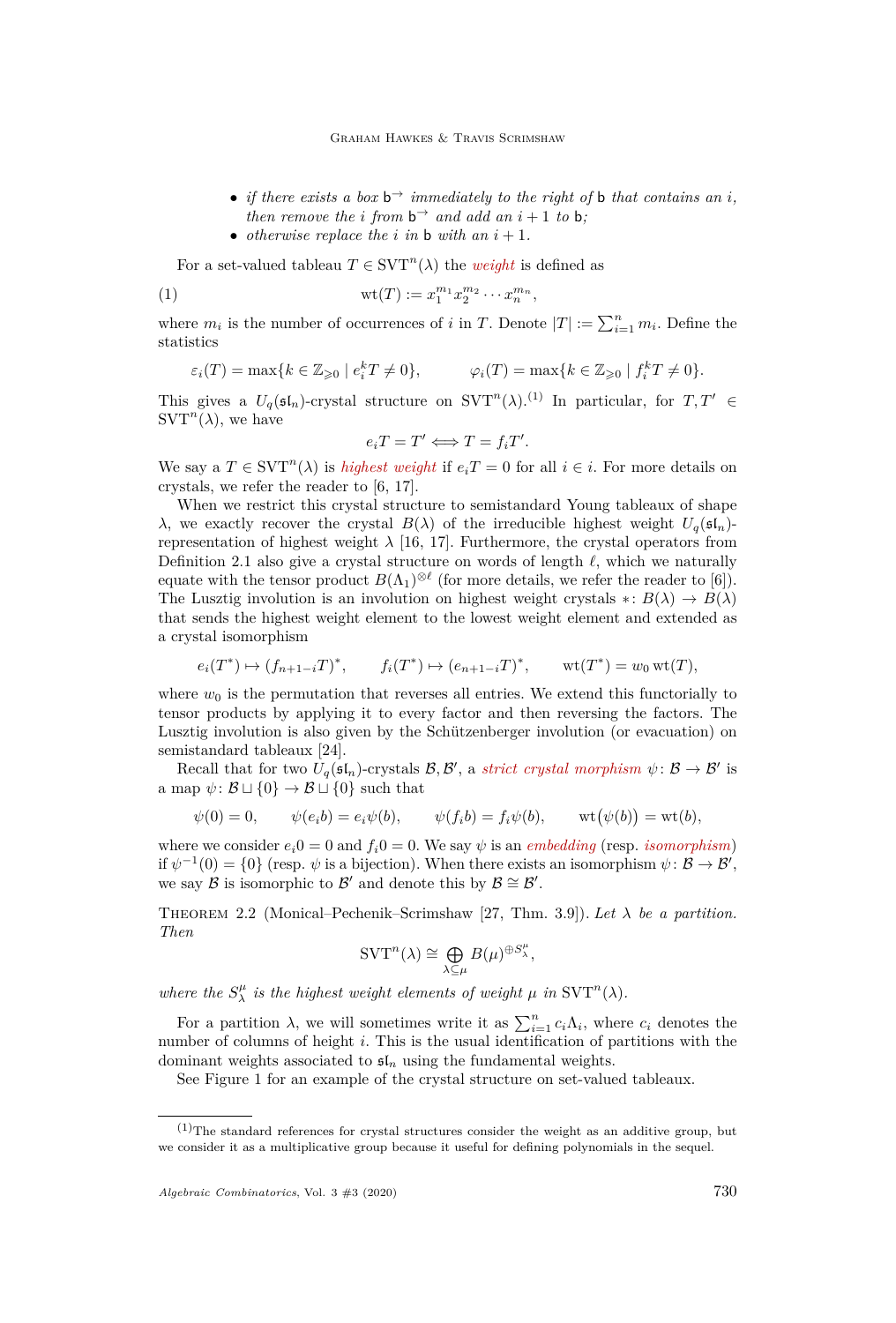- *if there exists a box*  $b^{\rightarrow}$  *immediately to the right of* **b** *that contains an i*, *then remove the i from*  $b^{\rightarrow}$  *and add an*  $i + 1$  *to* **b**;
- *otherwise replace the*  $i$  *in*  $\mathbf{b}$  *with* an  $i + 1$ *.*

For a set-valued tableau  $T \in \text{SVT}^n(\lambda)$  the *weight* is defined as

(1) 
$$
\text{wt}(T) := x_1^{m_1} x_2^{m_2} \cdots x_n^{m_n},
$$

where  $m_i$  is the number of occurrences of *i* in *T*. Denote  $|T| := \sum_{i=1}^n m_i$ . Define the statistics

$$
\varepsilon_i(T) = \max\{k \in \mathbb{Z}_{\geqslant 0} \mid e_i^k T \neq 0\}, \qquad \varphi_i(T) = \max\{k \in \mathbb{Z}_{\geqslant 0} \mid f_i^k T \neq 0\}.
$$

This gives a  $U_q(\mathfrak{sl}_n)$ -crystal structure on  $SVT^n(\lambda)$ .<sup>(1)</sup> In particular, for  $T, T' \in$  $\text{SVT}^n(\lambda)$ , we have

$$
e_i T = T' \Longleftrightarrow T = f_i T'.
$$

We say a  $T \in \text{SVT}^n(\lambda)$  is *highest weight* if  $e_i T = 0$  for all  $i \in i$ . For more details on crystals, we refer the reader to [\[6,](#page-27-10) [17\]](#page-28-19).

When we restrict this crystal structure to semistandard Young tableaux of shape *λ*, we exactly recover the crystal *B*(*λ*) of the irreducible highest weight  $U_q(\mathfrak{sl}_n)$ representation of highest weight  $\lambda$  [\[16,](#page-28-18) [17\]](#page-28-19). Furthermore, the crystal operators from Definition [2.1](#page-3-1) also give a crystal structure on words of length  $\ell$ , which we naturally equate with the tensor product  $B(\Lambda_1)^{\otimes \ell}$  (for more details, we refer the reader to [\[6\]](#page-27-10)). The Lusztig involution is an involution on highest weight crystals  $* : B(\lambda) \to B(\lambda)$ that sends the highest weight element to the lowest weight element and extended as a crystal isomorphism

$$
e_i(T^*) \mapsto (f_{n+1-i}T)^*, \qquad f_i(T^*) \mapsto (e_{n+1-i}T)^*, \qquad \text{wt}(T^*) = w_0 \,\text{wt}(T),
$$

where  $w_0$  is the permutation that reverses all entries. We extend this functorially to tensor products by applying it to every factor and then reversing the factors. The Lusztig involution is also given by the Schützenberger involution (or evacuation) on semistandard tableaux [\[24\]](#page-28-21).

Recall that for two  $U_q(\mathfrak{sl}_n)$ -crystals  $\mathcal{B}, \mathcal{B}',$  a *strict crystal morphism*  $\psi : \mathcal{B} \to \mathcal{B}'$  is a map  $\psi: \mathcal{B} \sqcup \{0\} \to \mathcal{B} \sqcup \{0\}$  such that

$$
\psi(0) = 0, \qquad \psi(e_i b) = e_i \psi(b), \qquad \psi(f_i b) = f_i \psi(b), \qquad \text{wt}(\psi(b)) = \text{wt}(b),
$$

where we consider  $e_i 0 = 0$  and  $f_i 0 = 0$ . We say  $\psi$  is an *embedding* (resp. *isomorphism*) if  $\psi^{-1}(0) = \{0\}$  (resp.  $\psi$  is a bijection). When there exists an isomorphism  $\psi : \mathcal{B} \to \mathcal{B}'$ , we say  $\mathcal{B}$  is isomorphic to  $\mathcal{B}'$  and denote this by  $\mathcal{B} \cong \mathcal{B}'$ .

Theorem 2.2 (Monical–Pechenik–Scrimshaw [\[27,](#page-28-8) Thm. 3.9]). *Let λ be a partition. Then*

$$
\mathrm{SVT}^n(\lambda) \cong \bigoplus_{\lambda \subseteq \mu} B(\mu)^{\oplus S_{\lambda}^{\mu}},
$$

*where the*  $S^{\mu}_{\lambda}$  *is the highest weight elements of weight*  $\mu$  *in*  $\text{SVT}^n(\lambda)$ *.* 

For a partition  $\lambda$ , we will sometimes write it as  $\sum_{i=1}^{n} c_i \Lambda_i$ , where  $c_i$  denotes the number of columns of height *i*. This is the usual identification of partitions with the dominant weights associated to  $\mathfrak{sl}_n$  using the fundamental weights.

See Figure [1](#page-5-0) for an example of the crystal structure on set-valued tableaux.

 $(1)$ The standard references for crystal structures consider the weight as an additive group, but we consider it as a multiplicative group because it useful for defining polynomials in the sequel.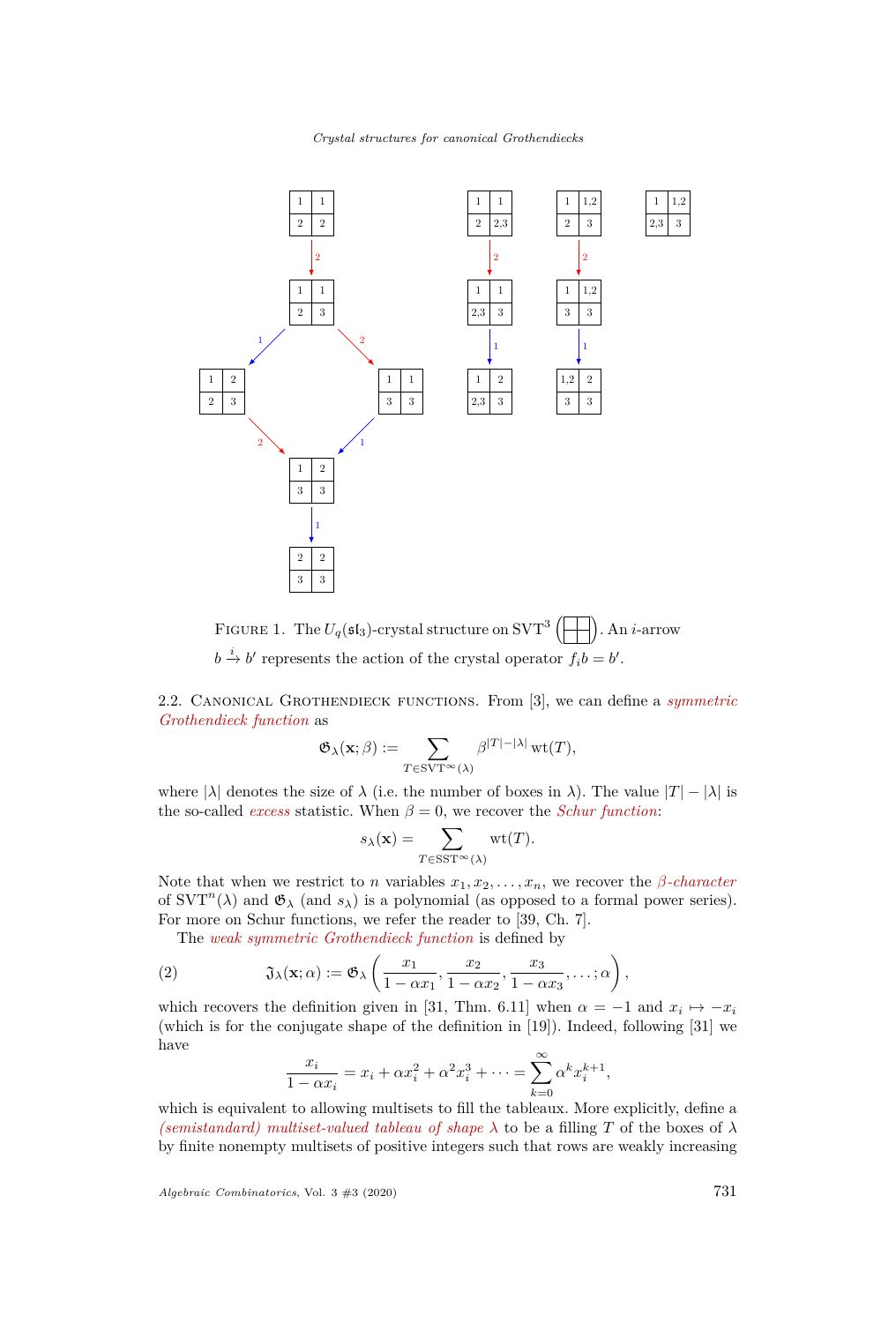*Crystal structures for canonical Grothendiecks*



<span id="page-5-0"></span>FIGURE 1. The  $U_q(\mathfrak{sl}_3)$ -crystal structure on SVT<sup>3</sup> . An *i*-arrow  $b \stackrel{i}{\rightarrow} b'$  represents the action of the crystal operator  $f_i b = b'$ .

2.2. Canonical Grothendieck functions. From [\[3\]](#page-27-4), we can define a *symmetric Grothendieck function* as

$$
\mathfrak{G}_{\lambda}(\mathbf{x};\beta) := \sum_{T \in \text{SYT}^{\infty}(\lambda)} \beta^{|T| - |\lambda|} \operatorname{wt}(T),
$$

where  $|\lambda|$  denotes the size of  $\lambda$  (i.e. the number of boxes in  $\lambda$ ). The value  $|T| - |\lambda|$  is the so-called *excess* statistic. When  $\beta = 0$ , we recover the *Schur function*:

$$
s_{\lambda}(\mathbf{x}) = \sum_{T \in \text{SST}^{\infty}(\lambda)} \text{wt}(T).
$$

Note that when we restrict to *n* variables  $x_1, x_2, \ldots, x_n$ , we recover the *β-character* of  $SVT<sup>n</sup>(\lambda)$  and  $\mathfrak{G}_{\lambda}$  (and  $s_{\lambda}$ ) is a polynomial (as opposed to a formal power series). For more on Schur functions, we refer the reader to [\[39,](#page-28-22) Ch. 7].

<span id="page-5-1"></span>The *weak symmetric Grothendieck function* is defined by

(2) 
$$
\mathfrak{J}_{\lambda}(\mathbf{x}; \alpha) := \mathfrak{G}_{\lambda}\left(\frac{x_1}{1 - \alpha x_1}, \frac{x_2}{1 - \alpha x_2}, \frac{x_3}{1 - \alpha x_3}, \dots; \alpha\right),
$$

which recovers the definition given in [\[31,](#page-28-12) Thm. 6.11] when  $\alpha = -1$  and  $x_i \mapsto -x_i$ (which is for the conjugate shape of the definition in [\[19\]](#page-28-5)). Indeed, following [\[31\]](#page-28-12) we have

$$
\frac{x_i}{1 - \alpha x_i} = x_i + \alpha x_i^2 + \alpha^2 x_i^3 + \dots = \sum_{k=0}^{\infty} \alpha^k x_i^{k+1},
$$

which is equivalent to allowing multisets to fill the tableaux. More explicitly, define a *(semistandard) multiset-valued tableau of shape*  $\lambda$  to be a filling *T* of the boxes of  $\lambda$ by finite nonempty multisets of positive integers such that rows are weakly increasing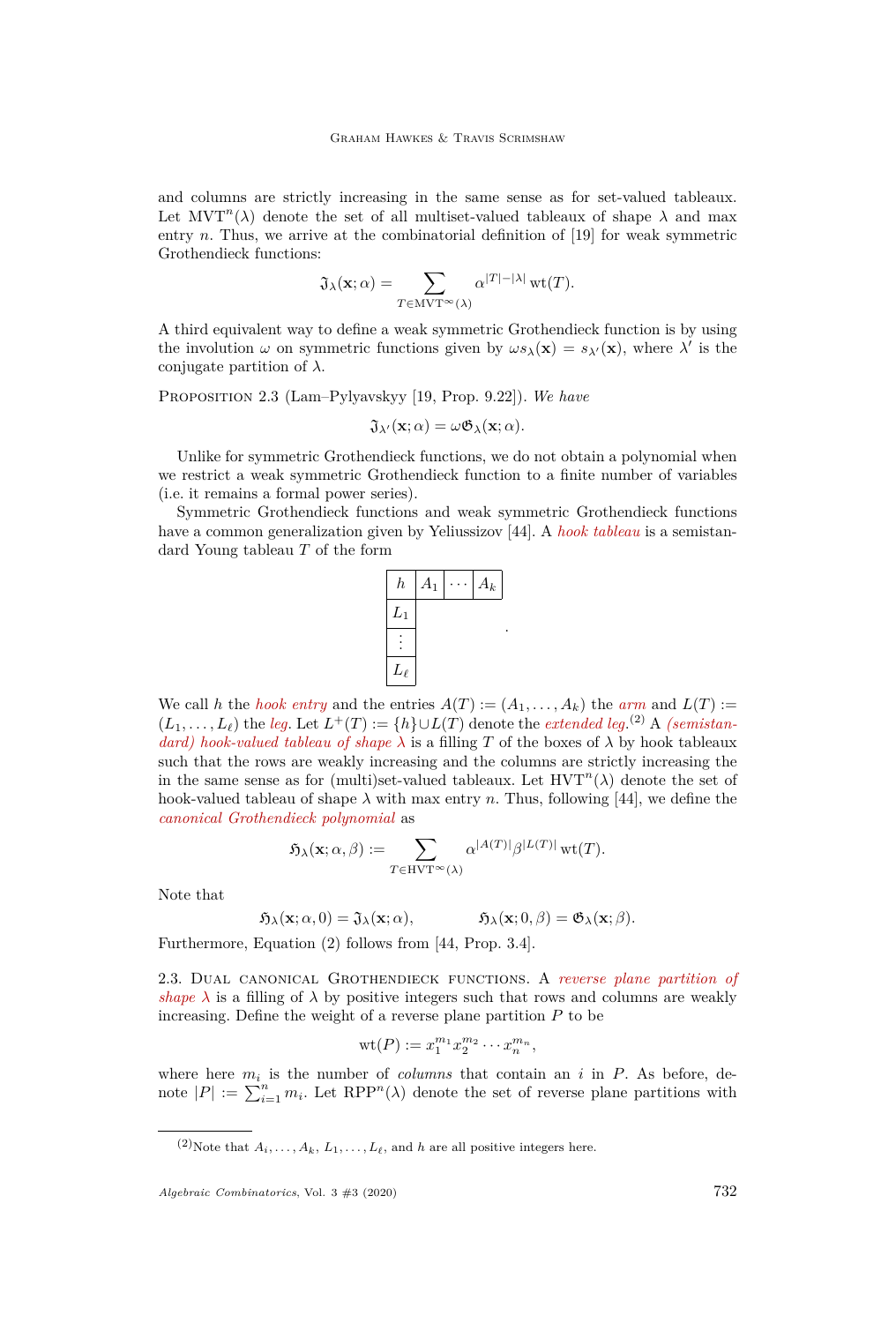and columns are strictly increasing in the same sense as for set-valued tableaux. Let  $MVT<sup>n</sup>(\lambda)$  denote the set of all multiset-valued tableaux of shape  $\lambda$  and max entry  $n$ . Thus, we arrive at the combinatorial definition of  $[19]$  for weak symmetric Grothendieck functions:

$$
\mathfrak{J}_{\lambda}(\mathbf{x};\alpha)=\sum_{T\in\mathrm{MVT}^{\infty}(\lambda)}\alpha^{|T|-|\lambda|}\,\mathrm{wt}(T).
$$

A third equivalent way to define a weak symmetric Grothendieck function is by using the involution  $\omega$  on symmetric functions given by  $\omega s_\lambda(\mathbf{x}) = s_{\lambda'}(\mathbf{x})$ , where  $\lambda'$  is the conjugate partition of  $\lambda$ .

<span id="page-6-0"></span>Proposition 2.3 (Lam–Pylyavskyy [\[19,](#page-28-5) Prop. 9.22]). *We have*

$$
\mathfrak{J}_{\lambda'}(\mathbf{x};\alpha) = \omega \mathfrak{G}_{\lambda}(\mathbf{x};\alpha).
$$

Unlike for symmetric Grothendieck functions, we do not obtain a polynomial when we restrict a weak symmetric Grothendieck function to a finite number of variables (i.e. it remains a formal power series).

Symmetric Grothendieck functions and weak symmetric Grothendieck functions have a common generalization given by Yeliussizov [\[44\]](#page-29-1). A *hook tableau* is a semistandard Young tableau *T* of the form



We call *h* the *hook entry* and the entries  $A(T) := (A_1, \ldots, A_k)$  the *arm* and  $L(T) :=$  $(L_1, \ldots, L_\ell)$  the *leg*. Let  $L^+(T) := \{h\} \cup L(T)$  denote the *extended leg*.<sup>(2)</sup> A *(semistandard) hook-valued tableau of shape*  $\lambda$  is a filling *T* of the boxes of  $\lambda$  by hook tableaux such that the rows are weakly increasing and the columns are strictly increasing the in the same sense as for (multi)set-valued tableaux. Let  $HVT<sup>n</sup>(\lambda)$  denote the set of hook-valued tableau of shape  $\lambda$  with max entry *n*. Thus, following [\[44\]](#page-29-1), we define the *canonical Grothendieck polynomial* as

$$
\mathfrak{H}_{\lambda}(\mathbf{x}; \alpha, \beta) := \sum_{T \in \mathrm{HVT}^{\infty}(\lambda)} \alpha^{|A(T)|} \beta^{|L(T)|} \mathrm{wt}(T).
$$

Note that

$$
\mathfrak{H}_{\lambda}(\mathbf{x}; \alpha, 0) = \mathfrak{J}_{\lambda}(\mathbf{x}; \alpha), \qquad \mathfrak{H}_{\lambda}(\mathbf{x}; 0, \beta) = \mathfrak{G}_{\lambda}(\mathbf{x}; \beta).
$$

Furthermore, Equation [\(2\)](#page-5-1) follows from [\[44,](#page-29-1) Prop. 3.4].

2.3. Dual canonical Grothendieck functions. A *reverse plane partition of shape*  $\lambda$  is a filling of  $\lambda$  by positive integers such that rows and columns are weakly increasing. Define the weight of a reverse plane partition *P* to be

$$
\operatorname{wt}(P) := x_1^{m_1} x_2^{m_2} \cdots x_n^{m_n},
$$

where here  $m_i$  is the number of *columns* that contain an *i* in  $P$ . As before, denote  $|P| := \sum_{i=1}^n m_i$ . Let  $\text{RPP}^n(\lambda)$  denote the set of reverse plane partitions with

 $(2)$ Note that  $A_i, \ldots, A_k, L_1, \ldots, L_\ell$ , and  $h$  are all positive integers here.

*Algebraic Combinatorics*, Vol. 3 #3 (2020) 732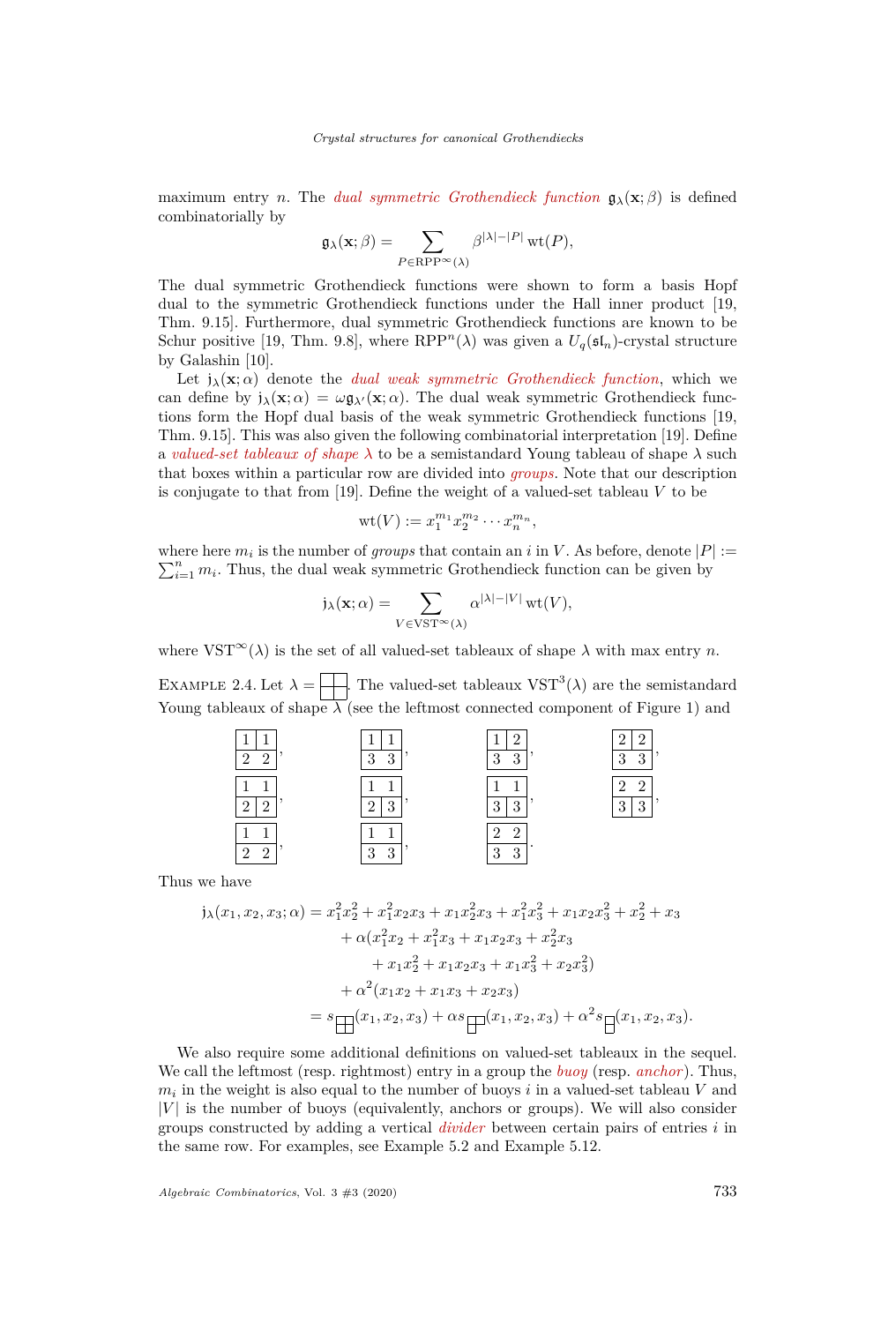maximum entry *n*. The *dual symmetric Grothendieck function*  $\mathbf{g}_{\lambda}(\mathbf{x}; \beta)$  is defined combinatorially by

$$
\mathfrak{g}_{\lambda}(\mathbf{x};\beta)=\sum_{P\in \text{RPP}^{\infty}(\lambda)}\beta^{|\lambda|-|P|}\,\mathrm{wt}(P),
$$

The dual symmetric Grothendieck functions were shown to form a basis Hopf dual to the symmetric Grothendieck functions under the Hall inner product [\[19,](#page-28-5) Thm. 9.15]. Furthermore, dual symmetric Grothendieck functions are known to be Schur positive [\[19,](#page-28-5) Thm. 9.8], where  $\text{RPP}^n(\lambda)$  was given a  $U_q(\mathfrak{sl}_n)$ -crystal structure by Galashin [\[10\]](#page-27-9).

Let  $j_{\lambda}(\mathbf{x}; \alpha)$  denote the *dual weak symmetric Grothendieck function*, which we can define by  $j_{\lambda}(\mathbf{x}; \alpha) = \omega \mathfrak{g}_{\lambda}(\mathbf{x}; \alpha)$ . The dual weak symmetric Grothendieck functions form the Hopf dual basis of the weak symmetric Grothendieck functions [\[19,](#page-28-5) Thm. 9.15]. This was also given the following combinatorial interpretation [\[19\]](#page-28-5). Define a *valued-set tableaux of shape λ* to be a semistandard Young tableau of shape *λ* such that boxes within a particular row are divided into *groups*. Note that our description is conjugate to that from [\[19\]](#page-28-5). Define the weight of a valued-set tableau *V* to be

$$
\mathrm{wt}(V):=x_1^{m_1}x_2^{m_2}\cdots x_n^{m_n},
$$

where here  $m_i$  is the number of *groups* that contain an *i* in *V*. As before, denote  $|P| :=$  $\sum_{i=1}^{n} m_i$ . Thus, the dual weak symmetric Grothendieck function can be given by

$$
j_{\lambda}(\mathbf{x};\alpha) = \sum_{V \in VST^{\infty}(\lambda)} \alpha^{|\lambda| - |V|} \operatorname{wt}(V),
$$

where  $VST^{\infty}(\lambda)$  is the set of all valued-set tableaux of shape  $\lambda$  with max entry *n*.

EXAMPLE 2.4. Let  $\lambda = \frac{1}{\sqrt{2}}$ . The valued-set tableaux  $VST^3(\lambda)$  are the semistandard Young tableaux of shape  $\lambda$  (see the leftmost connected component of Figure [1\)](#page-5-0) and

| $\Omega$<br>$\Omega$ | 3<br>$\Omega$<br>IJ  | 67<br>3<br>$\Omega$            | 67<br>$\cdot$<br>$\Omega$<br>$\Omega$<br>۰J<br>u |
|----------------------|----------------------|--------------------------------|--------------------------------------------------|
| റ                    | $\Omega$<br>$\Omega$ | $\Omega$<br>$\Omega$<br>ಀ      | $\epsilon$<br>6<br>റ<br>$\Omega$<br>U            |
| $\Omega$<br>$\Omega$ | റ<br>$\Omega$        | 2<br>ി<br>$\Omega$<br>$\Omega$ |                                                  |

Thus we have

$$
j_{\lambda}(x_1, x_2, x_3; \alpha) = x_1^2 x_2^2 + x_1^2 x_2 x_3 + x_1 x_2^2 x_3 + x_1^2 x_3^2 + x_1 x_2 x_3^2 + x_2^2 + x_3
$$
  
+  $\alpha (x_1^2 x_2 + x_1^2 x_3 + x_1 x_2 x_3 + x_2^2 x_3 + x_1 x_3^2 + x_2 x_3^2)$   
+  $x_1 x_2^2 + x_1 x_2 x_3 + x_1 x_3^2 + x_2 x_3^2$   
=  $s \square(x_1, x_2, x_3) + \alpha s \square(x_1, x_2, x_3) + \alpha^2 s \square(x_1, x_2, x_3).$ 

We also require some additional definitions on valued-set tableaux in the sequel. We call the leftmost (resp. rightmost) entry in a group the *buoy* (resp. *anchor*). Thus,  $m_i$  in the weight is also equal to the number of buoys  $i$  in a valued-set tableau  $V$  and  $|V|$  is the number of buoys (equivalently, anchors or groups). We will also consider groups constructed by adding a vertical *divider* between certain pairs of entries *i* in the same row. For examples, see Example [5.2](#page-22-0) and Example [5.12.](#page-24-0)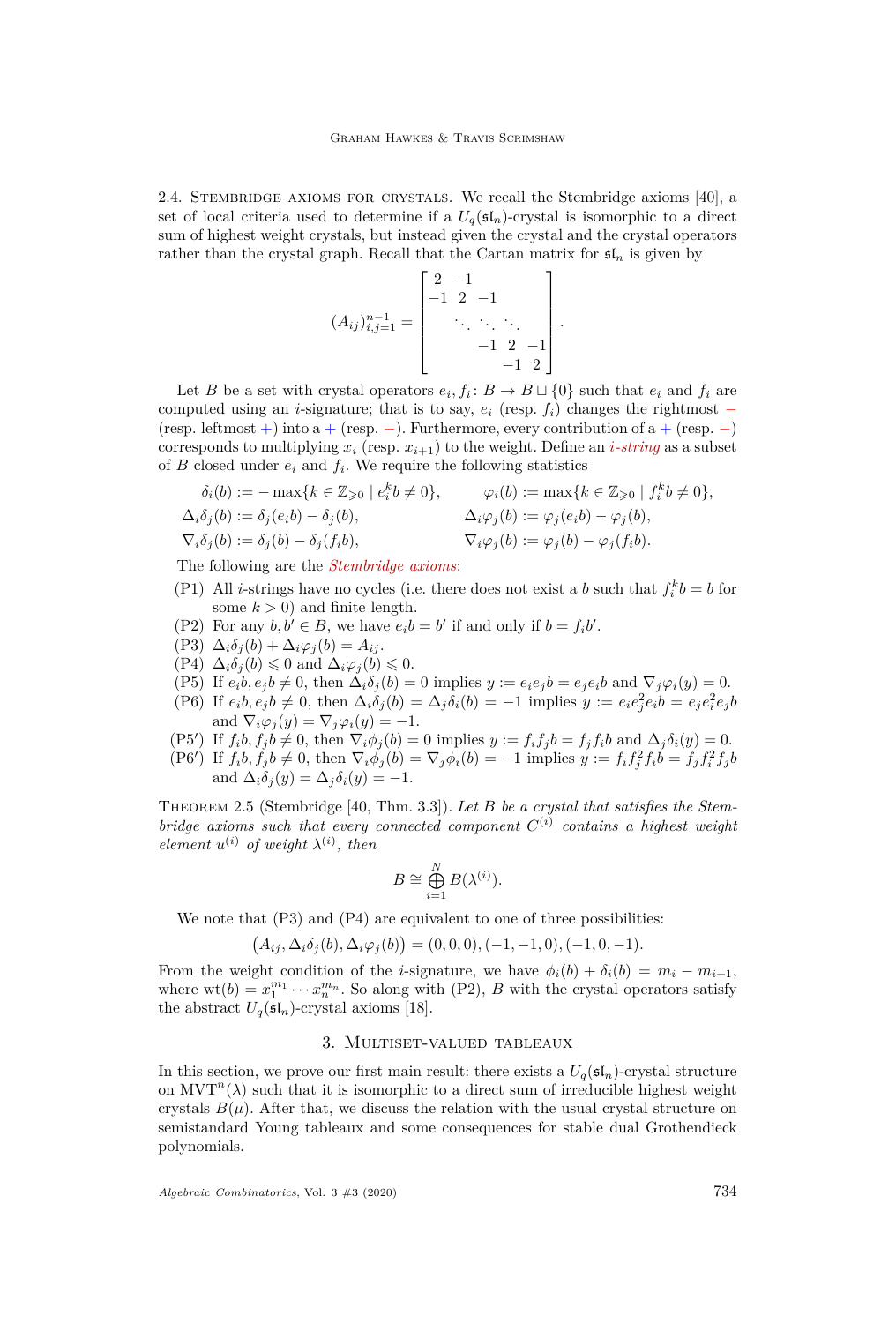2.4. Stembridge axioms for crystals. We recall the Stembridge axioms [\[40\]](#page-28-20), a set of local criteria used to determine if a  $U_q(\mathfrak{sl}_n)$ -crystal is isomorphic to a direct sum of highest weight crystals, but instead given the crystal and the crystal operators rather than the crystal graph. Recall that the Cartan matrix for  $\mathfrak{sl}_n$  is given by

$$
(A_{ij})_{i,j=1}^{n-1} = \begin{bmatrix} 2 & -1 & & & \\ -1 & 2 & -1 & & \\ & \ddots & \ddots & \ddots & \\ & & -1 & 2 & -1 \\ & & & -1 & 2 \end{bmatrix}.
$$

Let *B* be a set with crystal operators  $e_i, f_i: B \to B \sqcup \{0\}$  such that  $e_i$  and  $f_i$  are computed using an *i*-signature; that is to say,  $e_i$  (resp.  $f_i$ ) changes the rightmost − (resp. leftmost +) into a + (resp. –). Furthermore, every contribution of a + (resp. –) corresponds to multiplying  $x_i$  (resp.  $x_{i+1}$ ) to the weight. Define an *i*-string as a subset of  $B$  closed under  $e_i$  and  $f_i$ . We require the following statistics

$$
\delta_i(b) := -\max\{k \in \mathbb{Z}_{\geqslant 0} \mid e_i^k b \neq 0\}, \qquad \varphi_i(b) := \max\{k \in \mathbb{Z}_{\geqslant 0} \mid f_i^k b \neq 0\},
$$
  

$$
\Delta_i \delta_j(b) := \delta_j(e_i b) - \delta_j(b), \qquad \Delta_i \varphi_j(b) := \varphi_j(e_i b) - \varphi_j(b),
$$
  

$$
\nabla_i \delta_j(b) := \delta_j(b) - \delta_j(f_i b), \qquad \nabla_i \varphi_j(b) := \varphi_j(b) - \varphi_j(f_i b).
$$

The following are the *Stembridge axioms*:

- <span id="page-8-4"></span>(P1) All *i*-strings have no cycles (i.e. there does not exist a *b* such that  $f_i^k b = b$  for some  $k > 0$ ) and finite length.
- <span id="page-8-3"></span>(P2) For any  $b, b' \in B$ , we have  $e_i b = b'$  if and only if  $b = f_i b'$ .
- <span id="page-8-1"></span> $(P3)$   $\Delta_i \delta_j(b) + \Delta_i \varphi_j(b) = A_{ij}$ .
- <span id="page-8-2"></span> $(P4)$   $\Delta_i \delta_j(b) \leq 0$  and  $\Delta_i \varphi_j(b) \leq 0$ .
- <span id="page-8-5"></span>(P5) If  $e_i b, e_j b \neq 0$ , then  $\Delta_i \delta_j(b) = 0$  implies  $y := e_i e_j b = e_j e_i b$  and  $\nabla_j \varphi_i(y) = 0$ .
- <span id="page-8-6"></span>(P6) If  $e_i b, e_j b \neq 0$ , then  $\Delta_i \delta_j(b) = \Delta_j \delta_i(b) = -1$  implies  $y := e_i e_j^2 e_i b = e_j e_i^2 e_j b$ and  $\nabla_i \varphi_i(y) = \nabla_i \varphi_i(y) = -1$ .
- <span id="page-8-7"></span>(P5') If  $f_i b, f_j b \neq 0$ , then  $\nabla_i \phi_j(b) = 0$  implies  $y := f_i f_j b = f_j f_i b$  and  $\Delta_j \delta_i(y) = 0$ .
- <span id="page-8-8"></span>(P6') If  $f_i b, f_j b \neq 0$ , then  $\nabla_i \phi_j(b) = \nabla_j \phi_i(b) = -1$  implies  $y := f_i f_j^2 f_i b = f_j f_i^2 f_j b$ and  $\Delta_i \delta_i(y) = \Delta_j \delta_i(y) = -1$ .

<span id="page-8-9"></span>THEOREM 2.5 (Stembridge [\[40,](#page-28-20) Thm. 3.3]). Let *B* be a crystal that satisfies the Stem*bridge axioms such that every connected component*  $C^{(i)}$  *contains a highest weight element*  $u^{(i)}$  *of weight*  $\lambda^{(i)}$ *, then* 

$$
B \cong \bigoplus_{i=1}^N B(\lambda^{(i)}).
$$

We note that  $(P3)$  and  $(P4)$  are equivalent to one of three possibilities:

$$
(A_{ij}, \Delta_i \delta_j(b), \Delta_i \varphi_j(b)) = (0, 0, 0), (-1, -1, 0), (-1, 0, -1).
$$

From the weight condition of the *i*-signature, we have  $\phi_i(b) + \delta_i(b) = m_i - m_{i+1}$ , where  $wt(b) = x_1^{m_1} \cdots x_n^{m_n}$ . So along with [\(P2\),](#page-8-3) *B* with the crystal operators satisfy the abstract  $U_q(\mathfrak{sl}_n)$ -crystal axioms [\[18\]](#page-28-23).

#### 3. Multiset-valued tableaux

<span id="page-8-0"></span>In this section, we prove our first main result: there exists a  $U_q(\mathfrak{sl}_n)$ -crystal structure on  $MVT<sup>n</sup>(\lambda)$  such that it is isomorphic to a direct sum of irreducible highest weight crystals  $B(\mu)$ . After that, we discuss the relation with the usual crystal structure on semistandard Young tableaux and some consequences for stable dual Grothendieck polynomials.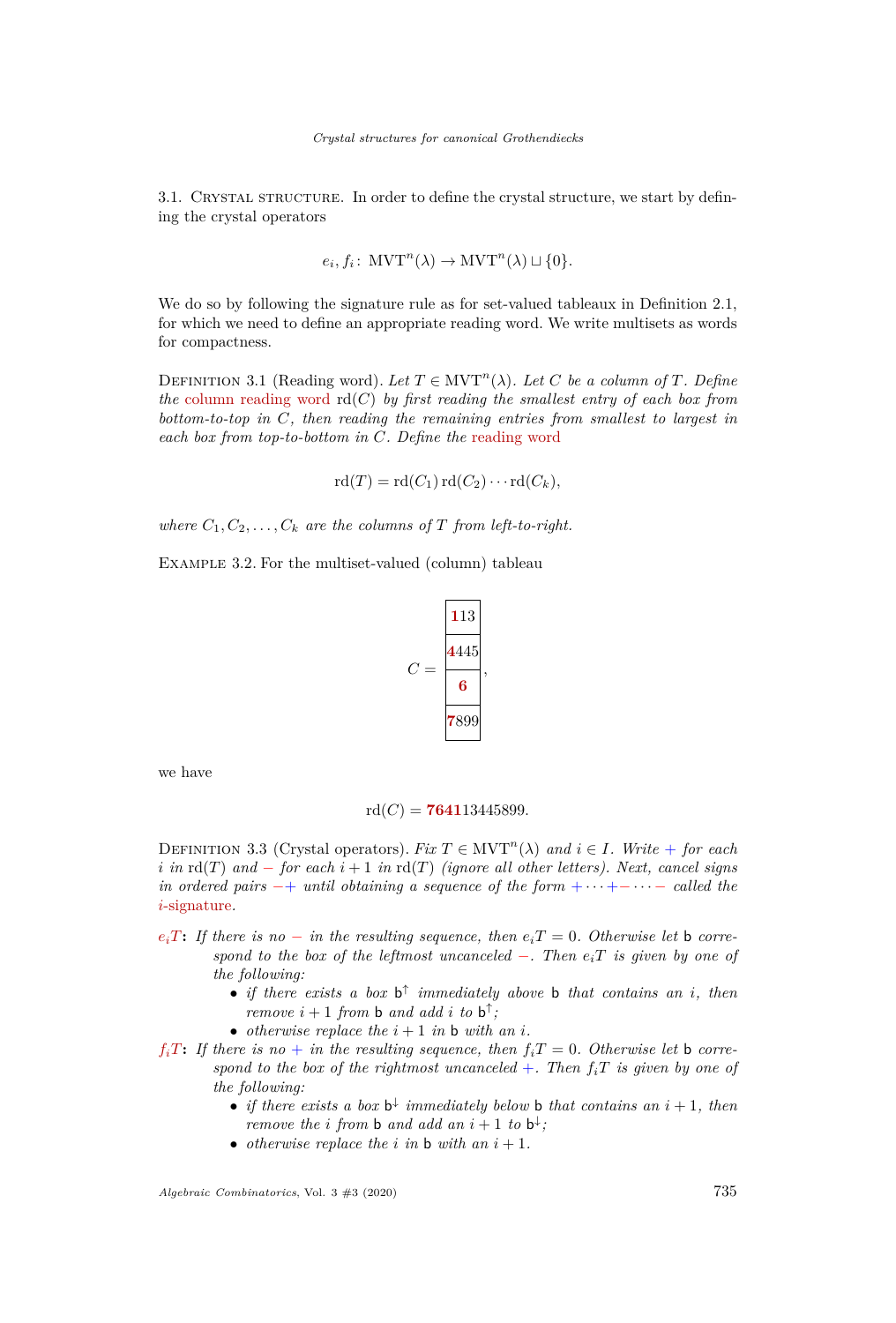3.1. Crystal structure. In order to define the crystal structure, we start by defining the crystal operators

$$
e_i, f_i: \text{MVT}^n(\lambda) \to \text{MVT}^n(\lambda) \sqcup \{0\}.
$$

We do so by following the signature rule as for set-valued tableaux in Definition [2.1,](#page-3-1) for which we need to define an appropriate reading word. We write multisets as words for compactness.

DEFINITION 3.1 (Reading word). Let  $T \in \text{MVT}^n(\lambda)$ . Let C be a column of T. Define *the* column reading word rd(*C*) *by first reading the smallest entry of each box from bottom-to-top in C, then reading the remaining entries from smallest to largest in each box from top-to-bottom in C. Define the* reading word

$$
rd(T) = rd(C_1) rd(C_2) \cdots rd(C_k),
$$

*where*  $C_1, C_2, \ldots, C_k$  *are the columns of T from left-to-right.* 

Example 3.2. For the multiset-valued (column) tableau

$$
C = \frac{\frac{113}{4445}}{\frac{6}{7899}},
$$

we have

$$
rd(C) = 764113445899.
$$

<span id="page-9-0"></span>DEFINITION 3.3 (Crystal operators). *Fix*  $T \in \text{MVT}^n(\lambda)$  and  $i \in I$ *. Write* + *for each i in*  $\text{rd}(T)$  *and* − *for each*  $i + 1$  *in*  $\text{rd}(T)$  *(ignore all other letters). Next, cancel signs in ordered pairs* −+ *until obtaining a sequence of the form* + · · · +− · · · − *called the i*-signature*.*

- $e_i$ *T***:** *If there is no* − *in the resulting sequence, then*  $e_i$ *T* = 0*. Otherwise let* **b** *correspond to the box of the leftmost uncanceled* −*. Then eiT is given by one of the following:*
	- *if there exists a box* b ↑ *immediately above* b *that contains an i, then remove*  $i + 1$  *from* **b** and add *i* to **b**<sup> $\uparrow$ </sup>;
	- *otherwise replace the*  $i + 1$  *in* **b** *with* an *i*.
- $f_i$ *T***:** *If there is no + in the resulting sequence, then*  $f_i$ *<i>T* = 0*. Otherwise let* b *correspond to the box of the rightmost uncanceled*  $+$ *. Then*  $f_iT$  *is given by one of the following:*
	- *if there exists a box*  $b^{\downarrow}$  *immediately below* **b** *that contains an*  $i + 1$ *, then remove the i from* **b** and add an  $i + 1$  to  $b^{\downarrow}$ ;
	- *otherwise replace the*  $i$  *in*  $\mathbf{b}$  *with* an  $i + 1$ *.*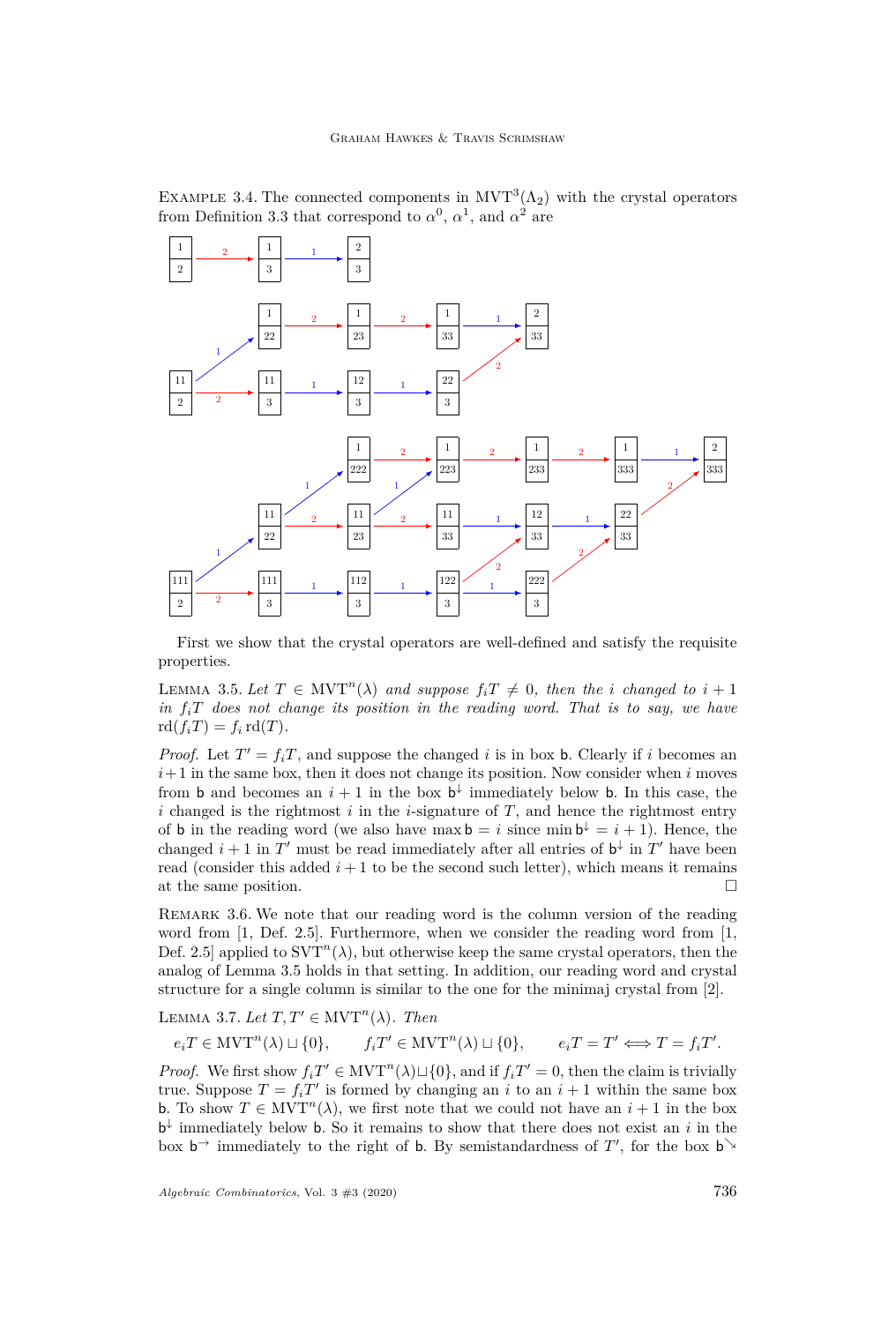EXAMPLE 3.4. The connected components in  $MVT^3(\Lambda_2)$  with the crystal operators from Definition [3.3](#page-9-0) that correspond to  $\alpha^0$ ,  $\alpha^1$ , and  $\alpha^2$  are



First we show that the crystal operators are well-defined and satisfy the requisite properties.

<span id="page-10-0"></span>LEMMA 3.5. Let  $T \in \text{MVT}^n(\lambda)$  and suppose  $f_iT \neq 0$ , then the *i* changed to  $i + 1$ *in*  $f_iT$  does not change its position in the reading word. That is to say, we have  $\text{rd}(f_iT) = f_i \text{rd}(T)$ .

*Proof.* Let  $T' = f_iT$ , and suppose the changed *i* is in box **b**. Clearly if *i* becomes an  $i+1$  in the same box, then it does not change its position. Now consider when  $i$  moves from **b** and becomes an  $i + 1$  in the box  $\mathbf{b}^{\downarrow}$  immediately below **b**. In this case, the *i* changed is the rightmost *i* in the *i*-signature of *T*, and hence the rightmost entry of **b** in the reading word (we also have max  $\mathbf{b} = i$  since min  $\mathbf{b}^{\downarrow} = i + 1$ ). Hence, the changed  $i + 1$  in  $T'$  must be read immediately after all entries of  $b^{\downarrow}$  in  $T'$  have been read (consider this added  $i + 1$  to be the second such letter), which means it remains at the same position.

Remark 3.6. We note that our reading word is the column version of the reading word from [\[1,](#page-27-3) Def. 2.5]. Furthermore, when we consider the reading word from [\[1,](#page-27-3) Def. 2.5 applied to  $SVT^n(\lambda)$ , but otherwise keep the same crystal operators, then the analog of Lemma [3.5](#page-10-0) holds in that setting. In addition, our reading word and crystal structure for a single column is similar to the one for the minimaj crystal from [\[2\]](#page-27-11).

<span id="page-10-1"></span>LEMMA 3.7. Let 
$$
T, T' \in \text{MVT}^n(\lambda)
$$
. Then  
\n $e_i T \in \text{MVT}^n(\lambda) \sqcup \{0\}, \quad f_i T' \in \text{MVT}^n(\lambda) \sqcup \{0\}, \quad e_i T = T' \Longleftrightarrow T = f_i T'.$ 

*Proof.* We first show  $f_i T \in \text{MVT}^n(\lambda) \sqcup \{0\}$ , and if  $f_i T' = 0$ , then the claim is trivially true. Suppose  $T = f_i T'$  is formed by changing an *i* to an  $i + 1$  within the same box **b.** To show  $T \in \text{MVT}^n(\lambda)$ , we first note that we could not have an  $i + 1$  in the box  $\mathbf{b}^{\downarrow}$  immediately below **b**. So it remains to show that there does not exist an *i* in the box  $\mathsf{b}^{\rightarrow}$  immediately to the right of **b**. By semistandardness of T', for the box  $\mathsf{b}^{\rightarrow}$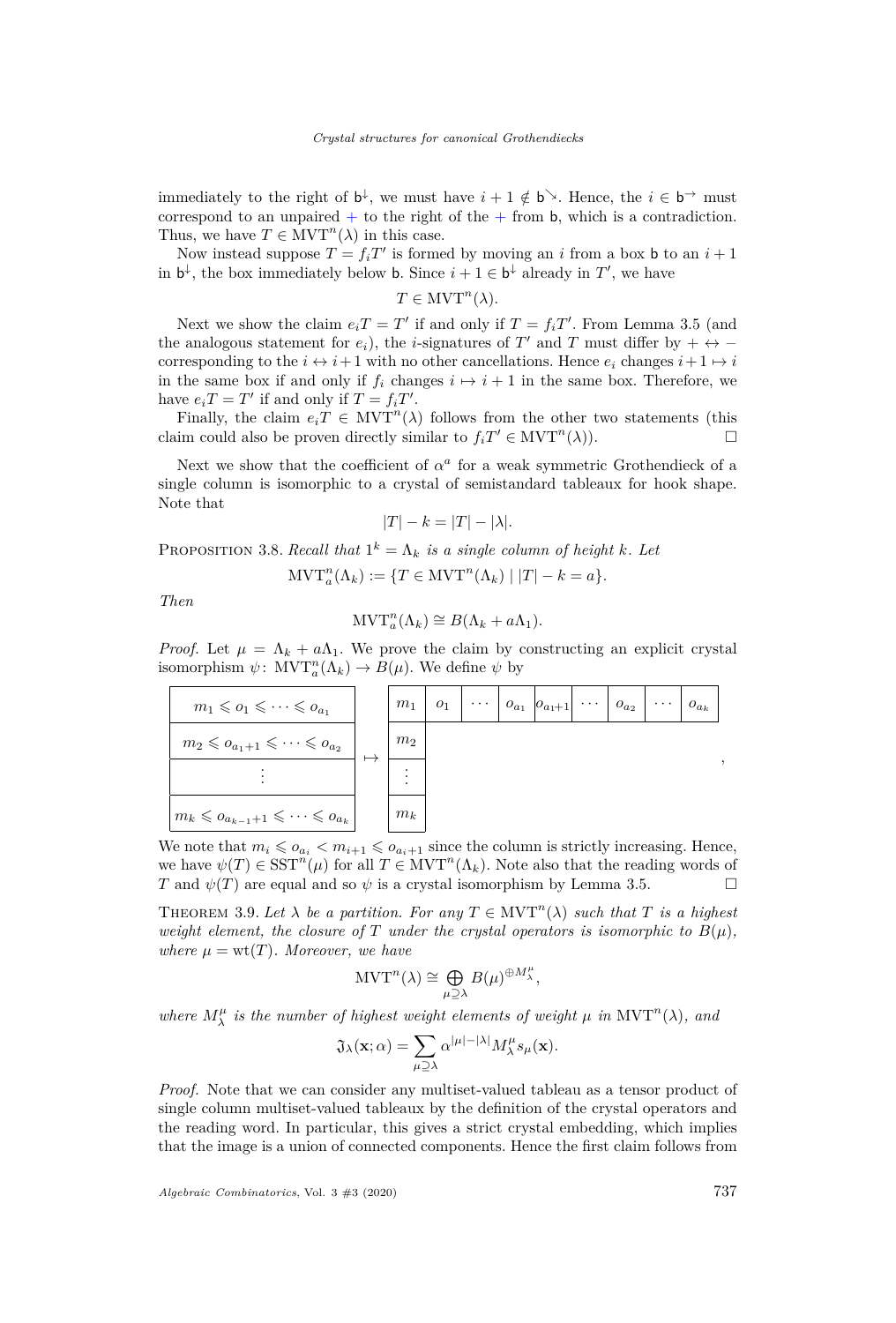immediately to the right of  $b^{\downarrow}$ , we must have  $i + 1 \notin b^{\searrow}$ . Hence, the  $i \in b^{\rightarrow}$  must correspond to an unpaired  $+$  to the right of the  $+$  from b, which is a contradiction. Thus, we have  $T \in \text{MVT}^n(\lambda)$  in this case.

Now instead suppose  $T = f_i T'$  is formed by moving an *i* from a box **b** to an  $i + 1$ in  $\mathbf{b}^{\downarrow}$ , the box immediately below **b**. Since  $i + 1 \in \mathbf{b}^{\downarrow}$  already in  $T'$ , we have

$$
T \in \mathrm{MVT}^n(\lambda).
$$

Next we show the claim  $e_iT = T'$  if and only if  $T = f_iT'$ . From Lemma [3.5](#page-10-0) (and the analogous statement for  $e_i$ ), the *i*-signatures of  $T'$  and  $T$  must differ by + ↔ – corresponding to the  $i \leftrightarrow i+1$  with no other cancellations. Hence  $e_i$  changes  $i+1 \mapsto i$ in the same box if and only if  $f_i$  changes  $i \mapsto i + 1$  in the same box. Therefore, we have  $e_iT = T'$  if and only if  $T = f_iT'$ .

Finally, the claim  $e_i T \in \text{MVT}^n(\lambda)$  follows from the other two statements (this claim could also be proven directly similar to  $f_iT' \in \text{MVT}^n(\lambda)$ .

Next we show that the coefficient of  $\alpha^a$  for a weak symmetric Grothendieck of a single column is isomorphic to a crystal of semistandard tableaux for hook shape. Note that

$$
|T| - k = |T| - |\lambda|.
$$

<span id="page-11-0"></span>PROPOSITION 3.8. *Recall that*  $1^k = \Lambda_k$  *is a single column of height k. Let* 

$$
\text{MVT}_a^n(\Lambda_k) := \{ T \in \text{MVT}^n(\Lambda_k) \mid |T| - k = a \}.
$$

*Then*

$$
\mathrm{MVT}_a^n(\Lambda_k) \cong B(\Lambda_k + a\Lambda_1).
$$

*Proof.* Let  $\mu = \Lambda_k + a\Lambda_1$ . We prove the claim by constructing an explicit crystal isomorphism  $\psi$ :  $MVT_a^n(\Lambda_k) \to B(\mu)$ . We define  $\psi$  by

| $m_1 \leqslant o_1 \leqslant \cdots \leqslant o_{a_1}$           | $m_1$          |  | $o_1 \mid \cdots \mid o_{a_1} \mid o_{a_1+1} \mid \cdots \mid o_{a_2}$ |  | $\cdots \mid o_{a_k}$ |
|------------------------------------------------------------------|----------------|--|------------------------------------------------------------------------|--|-----------------------|
| $m_2 \leqslant o_{a_1+1} \leqslant \cdots \leqslant o_{a_2}$     | m <sub>2</sub> |  |                                                                        |  |                       |
|                                                                  |                |  |                                                                        |  |                       |
| $m_k \leqslant o_{a_{k-1}+1} \leqslant \cdots \leqslant o_{a_k}$ | $m_k$          |  |                                                                        |  |                       |

We note that  $m_i \leqslant o_{a_i} < m_{i+1} \leqslant o_{a_i+1}$  since the column is strictly increasing. Hence, we have  $\psi(T) \in \mathrm{SST}^n(\mu)$  for all  $T \in \mathrm{MVT}^n(\Lambda_k)$ . Note also that the reading words of *T* and  $\psi(T)$  are equal and so  $\psi$  is a crystal isomorphism by Lemma [3.5.](#page-10-0)

<span id="page-11-1"></span>THEOREM 3.9. Let  $\lambda$  be a partition. For any  $T \in \text{MVT}^n(\lambda)$  such that T is a highest *weight element, the closure of*  $T$  *under the crystal operators is isomorphic to*  $B(\mu)$ *, where*  $\mu = \text{wt}(T)$ *. Moreover, we have* 

$$
\mathrm{MVT}^n(\lambda) \cong \bigoplus_{\mu \supseteq \lambda} B(\mu)^{\oplus M_{\lambda}^{\mu}},
$$

*where*  $M_{\lambda}^{\mu}$  *is the number of highest weight elements of weight*  $\mu$  *in*  $MVT^{n}(\lambda)$ *, and* 

$$
\mathfrak{J}_{\lambda}(\mathbf{x};\alpha) = \sum_{\mu \supseteq \lambda} \alpha^{|\mu|-|\lambda|} M_{\lambda}^{\mu} s_{\mu}(\mathbf{x}).
$$

*Proof.* Note that we can consider any multiset-valued tableau as a tensor product of single column multiset-valued tableaux by the definition of the crystal operators and the reading word. In particular, this gives a strict crystal embedding, which implies that the image is a union of connected components. Hence the first claim follows from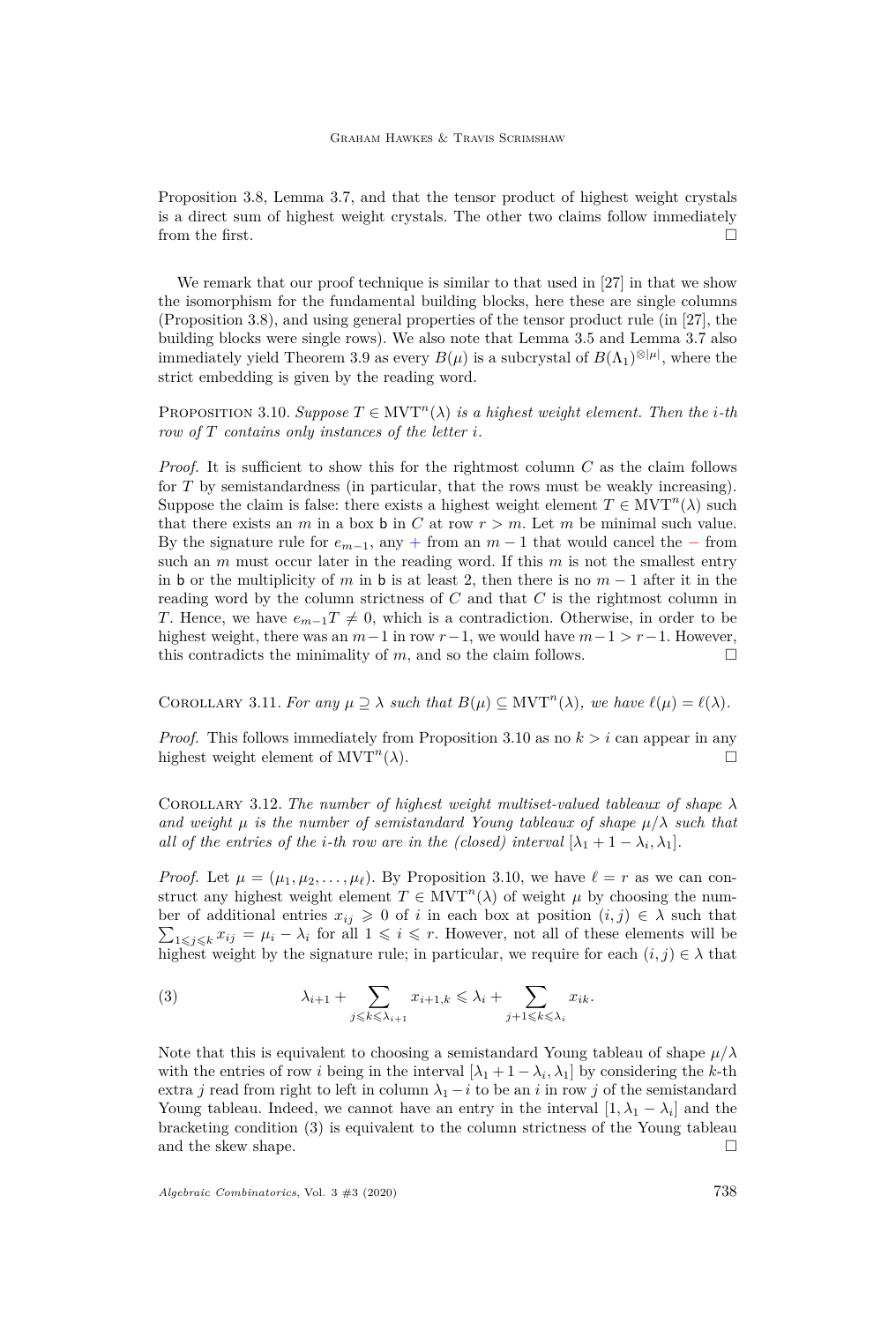Proposition [3.8,](#page-11-0) Lemma [3.7,](#page-10-1) and that the tensor product of highest weight crystals is a direct sum of highest weight crystals. The other two claims follow immediately from the first.

We remark that our proof technique is similar to that used in [\[27\]](#page-28-8) in that we show the isomorphism for the fundamental building blocks, here these are single columns (Proposition [3.8\)](#page-11-0), and using general properties of the tensor product rule (in [\[27\]](#page-28-8), the building blocks were single rows). We also note that Lemma [3.5](#page-10-0) and Lemma [3.7](#page-10-1) also immediately yield Theorem [3.9](#page-11-1) as every  $B(\mu)$  is a subcrystal of  $B(\Lambda_1)^{\otimes |\mu|}$ , where the strict embedding is given by the reading word.

<span id="page-12-0"></span>PROPOSITION 3.10. *Suppose*  $T \in \text{MVT}^n(\lambda)$  *is a highest weight element. Then the <i>i*-th *row of T contains only instances of the letter i.*

*Proof.* It is sufficient to show this for the rightmost column *C* as the claim follows for *T* by semistandardness (in particular, that the rows must be weakly increasing). Suppose the claim is false: there exists a highest weight element  $T \in \text{MVT}^n(\lambda)$  such that there exists an *m* in a box **b** in *C* at row  $r > m$ . Let *m* be minimal such value. By the signature rule for  $e_{m-1}$ , any + from an  $m-1$  that would cancel the − from such an *m* must occur later in the reading word. If this *m* is not the smallest entry in b or the multiplicity of *m* in b is at least 2, then there is no  $m-1$  after it in the reading word by the column strictness of *C* and that *C* is the rightmost column in *T*. Hence, we have  $e_{m-1}T \neq 0$ , which is a contradiction. Otherwise, in order to be highest weight, there was an  $m-1$  in row  $r-1$ , we would have  $m-1 > r-1$ . However, this contradicts the minimality of  $m$ , and so the claim follows.

<span id="page-12-3"></span>COROLLARY 3.11. *For any*  $\mu \supseteq \lambda$  *such that*  $B(\mu) \subseteq \text{MVT}^n(\lambda)$ *, we have*  $\ell(\mu) = \ell(\lambda)$ *.* 

*Proof.* This follows immediately from Proposition [3.10](#page-12-0) as no  $k > i$  can appear in any highest weight element of  $MVT^n(\lambda)$ . (*λ*).

<span id="page-12-2"></span>COROLLARY 3.12. The number of highest weight multiset-valued tableaux of shape  $\lambda$ *and weight*  $\mu$  *is the number of semistandard Young tableaux of shape*  $\mu/\lambda$  *such that all of the entries of the <i>i*-th row are in the (closed) interval  $[\lambda_1 + 1 - \lambda_i, \lambda_1]$ .

*Proof.* Let  $\mu = (\mu_1, \mu_2, \dots, \mu_\ell)$ . By Proposition [3.10,](#page-12-0) we have  $\ell = r$  as we can construct any highest weight element  $T \in \text{MVT}^n(\lambda)$  of weight  $\mu$  by choosing the number of additional entries  $x_{ij} \geq 0$  of *i* in each box at position  $(i, j) \in \lambda$  such that  $\sum_{1\leq j\leq k}x_{ij} = \mu_i - \lambda_i$  for all  $1 \leq i \leq r$ . However, not all of these elements will be highest weight by the signature rule; in particular, we require for each  $(i, j) \in \lambda$  that

<span id="page-12-1"></span>(3) 
$$
\lambda_{i+1} + \sum_{j \leq k \leq \lambda_{i+1}} x_{i+1,k} \leq \lambda_i + \sum_{j+1 \leq k \leq \lambda_i} x_{ik}.
$$

Note that this is equivalent to choosing a semistandard Young tableau of shape  $\mu/\lambda$ with the entries of row *i* being in the interval  $[\lambda_1 + 1 - \lambda_i, \lambda_1]$  by considering the *k*-th extra *j* read from right to left in column  $\lambda_1 - i$  to be an *i* in row *j* of the semistandard Young tableau. Indeed, we cannot have an entry in the interval  $[1, \lambda_1 - \lambda_i]$  and the bracketing condition [\(3\)](#page-12-1) is equivalent to the column strictness of the Young tableau and the skew shape.  $\Box$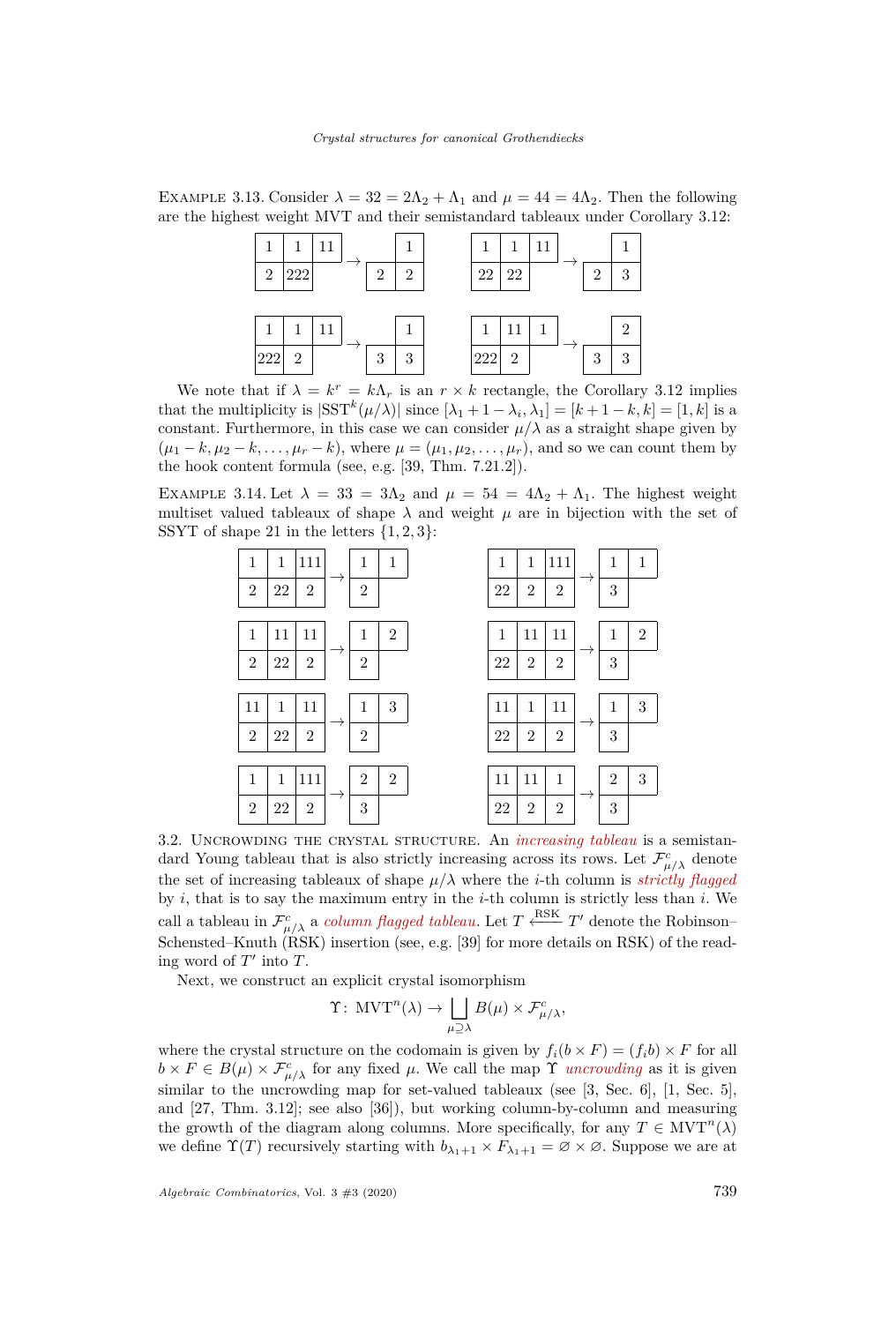EXAMPLE 3.13. Consider  $\lambda = 32 = 2\Lambda_2 + \Lambda_1$  and  $\mu = 44 = 4\Lambda_2$ . Then the following are the highest weight MVT and their semistandard tableaux under Corollary [3.12:](#page-12-2)

|                             |                |  |                |                |         | 1              | 11 |   |               |
|-----------------------------|----------------|--|----------------|----------------|---------|----------------|----|---|---------------|
| $\mathcal{D}_{\mathcal{L}}$ | 222            |  | $\mathfrak{D}$ | $\overline{2}$ | 22      | 22             |    | 2 | 3             |
|                             |                |  |                |                |         |                |    |   |               |
|                             |                |  |                |                | 1       | 11             |    |   | $\mathcal{D}$ |
| 222                         | $\overline{2}$ |  | 3              | 3              | $222\,$ | $\overline{2}$ |    | 3 | 3             |

We note that if  $\lambda = k^r = k\Lambda_r$  is an  $r \times k$  rectangle, the Corollary [3.12](#page-12-2) implies that the multiplicity is  $|SST^{k}(\mu/\lambda)|$  since  $[\lambda_1 + 1 - \lambda_i, \lambda_1] = [k+1-k, k] = [1, k]$  is a constant. Furthermore, in this case we can consider  $\mu/\lambda$  as a straight shape given by  $(\mu_1 - k, \mu_2 - k, \ldots, \mu_r - k)$ , where  $\mu = (\mu_1, \mu_2, \ldots, \mu_r)$ , and so we can count them by the hook content formula (see, e.g. [\[39,](#page-28-22) Thm. 7.21.2]).

EXAMPLE 3.14. Let  $\lambda = 33 = 3\Lambda_2$  and  $\mu = 54 = 4\Lambda_2 + \Lambda_1$ . The highest weight multiset valued tableaux of shape  $\lambda$  and weight  $\mu$  are in bijection with the set of SSYT of shape 21 in the letters  $\{1, 2, 3\}$ :



3.2. Uncrowding the crystal structure. An *increasing tableau* is a semistandard Young tableau that is also strictly increasing across its rows. Let  $\mathcal{F}^c_{\mu/\lambda}$  denote the set of increasing tableaux of shape  $\mu/\lambda$  where the *i*-th column is *strictly flagged* by *i*, that is to say the maximum entry in the *i*-th column is strictly less than *i*. We call a tableau in  $\mathcal{F}^c_{\mu/\lambda}$  a *column flagged tableau*. Let  $T \xleftarrow{\text{RSK}} T'$  denote the Robinson– Schensted–Knuth  $(RSK)$  insertion (see, e.g. [\[39\]](#page-28-22) for more details on RSK) of the reading word of  $T'$  into  $T$ .

Next, we construct an explicit crystal isomorphism

$$
\Upsilon\colon \mathop{\rm MVT}\nolimits^n(\lambda) \to \bigsqcup_{\mu \supseteq \lambda} B(\mu) \times \mathcal{F}_{\mu/\lambda}^c,
$$

where the crystal structure on the codomain is given by  $f_i(b \times F) = (f_i b) \times F$  for all  $b \times F \in B(\mu) \times \mathcal{F}_{\mu/\lambda}^c$  for any fixed  $\mu$ . We call the map  $\Upsilon$  *uncrowding* as it is given similar to the uncrowding map for set-valued tableaux (see [\[3,](#page-27-4) Sec. 6], [\[1,](#page-27-3) Sec. 5], and [\[27,](#page-28-8) Thm. 3.12]; see also [\[36\]](#page-28-24)), but working column-by-column and measuring the growth of the diagram along columns. More specifically, for any  $T \in \text{MVT}^n(\lambda)$ we define  $\Upsilon(T)$  recursively starting with  $b_{\lambda_1+1} \times F_{\lambda_1+1} = \emptyset \times \emptyset$ . Suppose we are at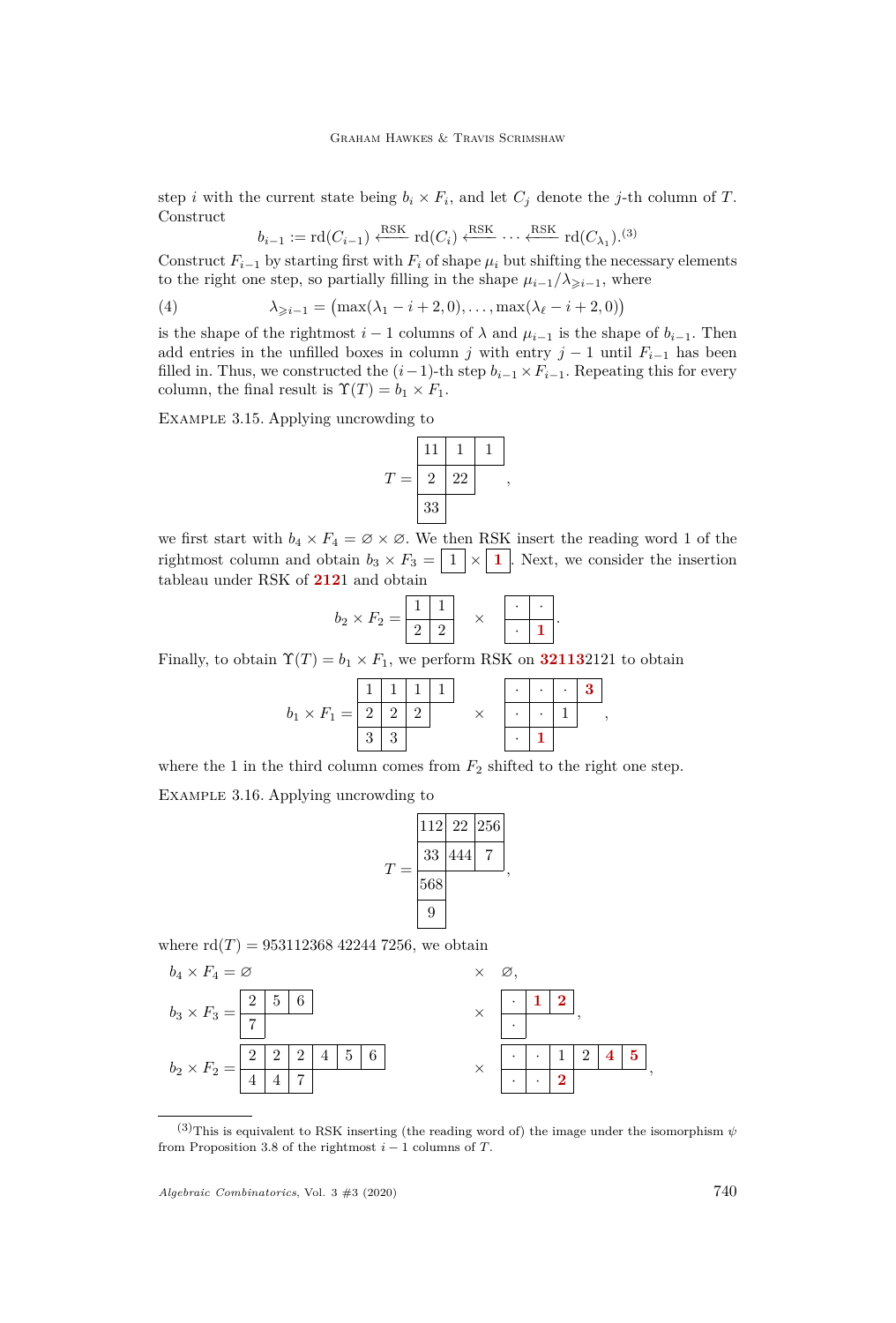step *i* with the current state being  $b_i \times F_i$ , and let  $C_j$  denote the *j*-th column of *T*. **Construct** 

<span id="page-14-1"></span>
$$
b_{i-1} := \text{rd}(C_{i-1}) \xleftarrow{\text{RSK}} \text{rd}(C_i) \xleftarrow{\text{RSK}} \cdots \xleftarrow{\text{RSK}} \text{rd}(C_{\lambda_1}).^{(3)}
$$

Construct  $F_{i-1}$  by starting first with  $F_i$  of shape  $\mu_i$  but shifting the necessary elements to the right one step, so partially filling in the shape  $\mu_{i-1}/\lambda_{\geq i-1}$ , where

(4)  $\lambda_{\geq i-1} = (\max(\lambda_1 - i + 2, 0), \dots, \max(\lambda_\ell - i + 2, 0))$ 

is the shape of the rightmost  $i-1$  columns of  $\lambda$  and  $\mu_{i-1}$  is the shape of  $b_{i-1}$ . Then add entries in the unfilled boxes in column *j* with entry  $j-1$  until  $F_{i-1}$  has been filled in. Thus, we constructed the  $(i-1)$ -th step  $b_{i-1} \times F_{i-1}$ . Repeating this for every column, the final result is  $\Upsilon(T) = b_1 \times F_1$ .

Example 3.15. Applying uncrowding to

$$
T = \begin{array}{|c|c|} \hline 11 & 1 & 1 \\ \hline 2 & 22 & , 33 \\ \hline 33 & & & \end{array}
$$

we first start with  $b_4 \times F_4 = \emptyset \times \emptyset$ . We then RSK insert the reading word 1 of the rightmost column and obtain  $b_3 \times F_3 = \boxed{1} \times \boxed{1}$ . Next, we consider the insertion tableau under RSK of **212**1 and obtain

$$
b_2 \times F_2 = \begin{array}{|c|c|c|}\n\hline\n1 & 1 \\
\hline\n2 & 2\n\end{array} \times \begin{array}{|c|c|}\n\hline\n\ddots \\
\hline\n\end{array}
$$

*.*

Finally, to obtain  $\Upsilon(T) = b_1 \times F_1$ , we perform RSK on **32113**2121 to obtain

$$
b_1 \times F_1 = \begin{array}{|c|c|c|c|c|} \hline 1 & 1 & 1 & 1 \\ \hline 2 & 2 & 2 & & \times & \cdot & \cdot & 1 \\ \hline 3 & 3 & & & & \cdot & 1 \\ \hline \end{array},
$$

where the 1 in the third column comes from  $F_2$  shifted to the right one step.

<span id="page-14-0"></span>Example 3.16. Applying uncrowding to

$$
T = \frac{\begin{array}{|c|c|}\n\hline\n112 & 22 & 256 \\
\hline\n33 & 444 & 7 \\
\hline\n568 & 9\n\end{array}},
$$

where  $\text{rd}(T) = 953112368422447256$ , we obtain

$$
b_4 \times F_4 = \varnothing \times \varnothing,
$$
  
\n
$$
b_3 \times F_3 = \frac{2}{7} \frac{5}{7} \frac{6}{7} \times \frac{1}{2},
$$
  
\n
$$
b_2 \times F_2 = \frac{2}{4} \frac{2}{4} \frac{2}{7} \times \frac{1}{2},
$$
  
\n
$$
\times \frac{1}{2},
$$
  
\n
$$
\times \frac{1}{2},
$$

<sup>(3)</sup>This is equivalent to RSK inserting (the reading word of) the image under the isomorphism  $\psi$ from Proposition [3.8](#page-11-0) of the rightmost  $i - 1$  columns of *T*.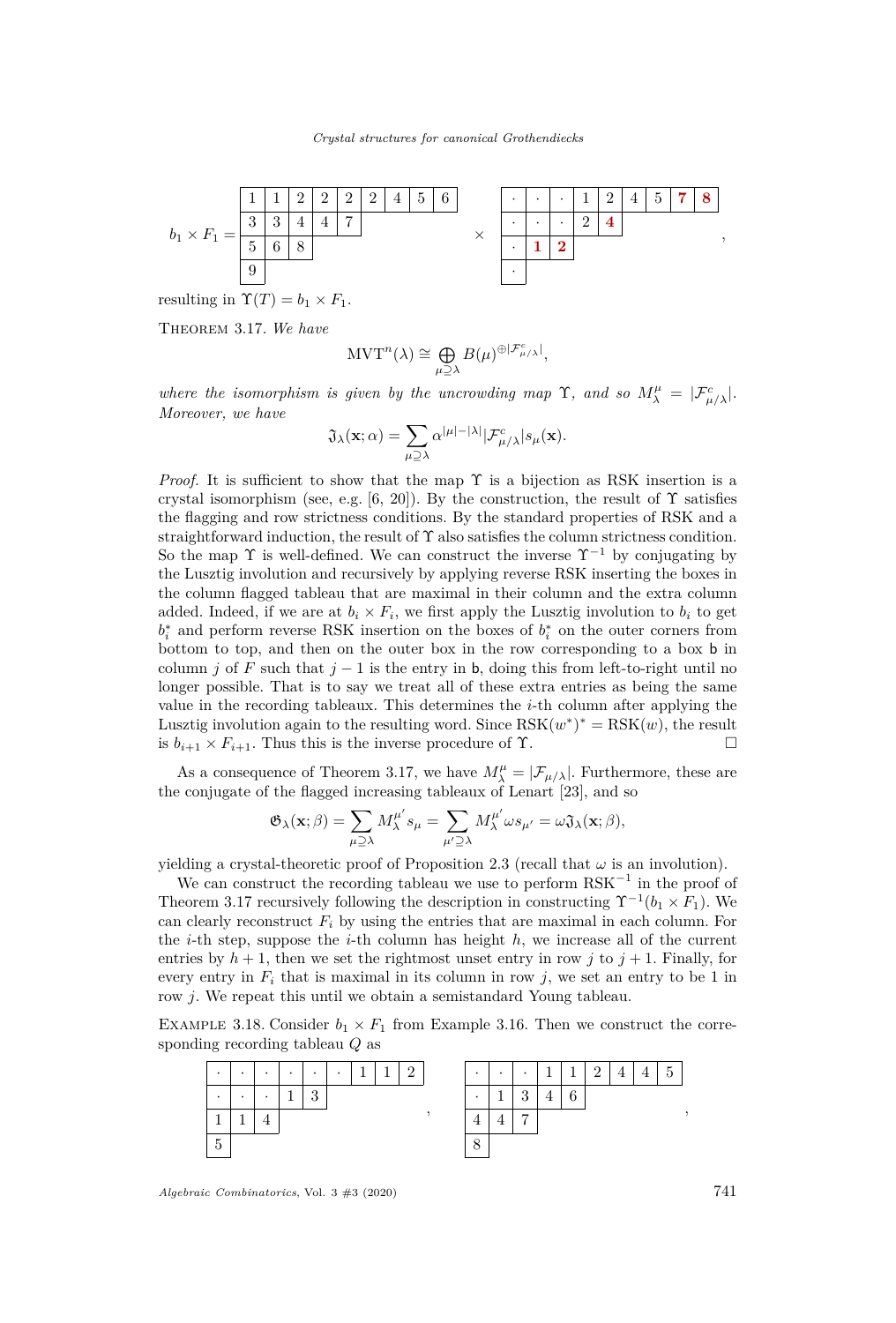

<span id="page-15-0"></span>Theorem 3.17. *We have*

$$
\mathrm{MVT}^n(\lambda) \cong \bigoplus_{\mu \supseteq \lambda} B(\mu)^{\oplus |\mathcal{F}_{\mu/\lambda}^c|},
$$

*where the isomorphism is given by the uncrowding map*  $\Upsilon$ , and so  $M^{\mu}_{\lambda} = |\mathcal{F}^c_{\mu/\lambda}|$ . *Moreover, we have*

$$
\mathfrak{J}_{\lambda}(\mathbf{x};\alpha) = \sum_{\mu \supseteq \lambda} \alpha^{|\mu|-|\lambda|} |\mathcal{F}_{\mu/\lambda}^{c}| s_{\mu}(\mathbf{x}).
$$

*Proof.* It is sufficient to show that the map  $\Upsilon$  is a bijection as RSK insertion is a crystal isomorphism (see, e.g. [\[6,](#page-27-10) [20\]](#page-28-25)). By the construction, the result of  $\Upsilon$  satisfies the flagging and row strictness conditions. By the standard properties of RSK and a straightforward induction, the result of  $\Upsilon$  also satisfies the column strictness condition. So the map  $\Upsilon$  is well-defined. We can construct the inverse  $\Upsilon^{-1}$  by conjugating by the Lusztig involution and recursively by applying reverse RSK inserting the boxes in the column flagged tableau that are maximal in their column and the extra column added. Indeed, if we are at  $b_i \times F_i$ , we first apply the Lusztig involution to  $b_i$  to get  $b_i^*$  and perform reverse RSK insertion on the boxes of  $b_i^*$  on the outer corners from bottom to top, and then on the outer box in the row corresponding to a box b in column *j* of *F* such that  $j - 1$  is the entry in b, doing this from left-to-right until no longer possible. That is to say we treat all of these extra entries as being the same value in the recording tableaux. This determines the *i*-th column after applying the Lusztig involution again to the resulting word. Since  $RSK(w^*)^* = RSK(w)$ , the result is  $b_{i+1} \times F_{i+1}$ . Thus this is the inverse procedure of  $\Upsilon$ .

As a consequence of Theorem [3.17,](#page-15-0) we have  $M^{\mu}_{\lambda} = |\mathcal{F}_{\mu/\lambda}|$ . Furthermore, these are the conjugate of the flagged increasing tableaux of Lenart [\[23\]](#page-28-6), and so

$$
\mathfrak{G}_{\lambda}(\mathbf{x};\beta)=\sum_{\mu\supseteq\lambda}M_{\lambda}^{\mu'}s_{\mu}=\sum_{\mu'\supseteq\lambda}M_{\lambda}^{\mu'}\omega s_{\mu'}=\omega\mathfrak{J}_{\lambda}(\mathbf{x};\beta),
$$

yielding a crystal-theoretic proof of Proposition [2.3](#page-6-0) (recall that  $\omega$  is an involution).

We can construct the recording tableau we use to perform  $RSK^{-1}$  in the proof of Theorem [3.17](#page-15-0) recursively following the description in constructing  $\Upsilon^{-1}(b_1 \times F_1)$ . We can clearly reconstruct  $F_i$  by using the entries that are maximal in each column. For the *i*-th step, suppose the *i*-th column has height  $h$ , we increase all of the current entries by  $h + 1$ , then we set the rightmost unset entry in row *j* to  $j + 1$ . Finally, for every entry in  $F_i$  that is maximal in its column in row  $j$ , we set an entry to be 1 in row *j*. We repeat this until we obtain a semistandard Young tableau.

EXAMPLE 3.18. Consider  $b_1 \times F_1$  from Example [3.16.](#page-14-0) Then we construct the corresponding recording tableau *Q* as



*Algebraic Combinatorics*, Vol. 3 #3 (2020) 741

*,*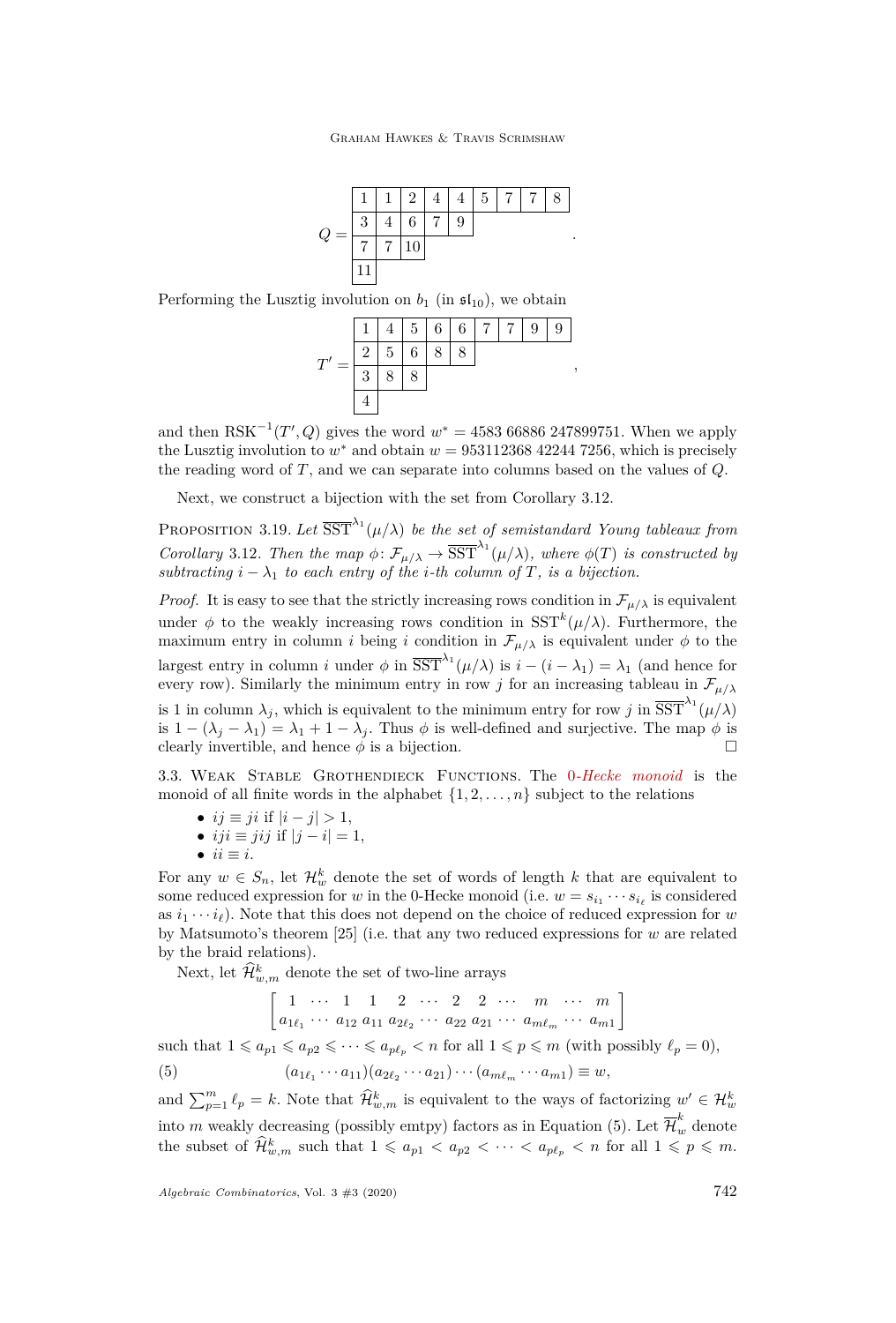Graham Hawkes & Travis Scrimshaw



Performing the Lusztig involution on  $b_1$  (in  $\mathfrak{sl}_{10}$ ), we obtain



and then  $RSK^{-1}(T', Q)$  gives the word  $w^* = 4583\,66886\,247899751$ . When we apply the Lusztig involution to  $w^*$  and obtain  $w = 953112368\ 42244\ 7256$ , which is precisely the reading word of *T*, and we can separate into columns based on the values of *Q*.

Next, we construct a bijection with the set from Corollary [3.12.](#page-12-2)

PROPOSITION 3.19. Let  $\overline{\mathrm{SST}}^{\lambda_1}(\mu/\lambda)$  be the set of semistandard Young tableaux from *Corollary* [3.12](#page-12-2)*. Then the map*  $\phi \colon \mathcal{F}_{\mu/\lambda} \to \overline{\mathrm{SST}}^{\lambda_1}(\mu/\lambda)$ *, where*  $\phi(T)$  *is constructed by subtracting*  $i - \lambda_1$  *to each entry of the i*-th column of  $T$ *, is a bijection.* 

*Proof.* It is easy to see that the strictly increasing rows condition in  $\mathcal{F}_{\mu/\lambda}$  is equivalent under  $\phi$  to the weakly increasing rows condition in  $SST^{k}(\mu/\lambda)$ . Furthermore, the maximum entry in column *i* being *i* condition in  $\mathcal{F}_{\mu/\lambda}$  is equivalent under  $\phi$  to the largest entry in column *i* under  $\phi$  in  $\overline{\text{SST}}^{\lambda_1}(\mu/\lambda)$  is  $i - (i - \lambda_1) = \lambda_1$  (and hence for every row). Similarly the minimum entry in row *j* for an increasing tableau in  $\mathcal{F}_{\mu/\lambda}$ is 1 in column  $\lambda_j$ , which is equivalent to the minimum entry for row *j* in  $\overline{\mathrm{SST}}^{\lambda_1}(\mu/\lambda)$ is  $1 - (\lambda_j - \lambda_1) = \lambda_1 + 1 - \lambda_j$ . Thus  $\phi$  is well-defined and surjective. The map  $\phi$  is clearly invertible, and hence  $\phi$  is a bijection.

3.3. Weak Stable Grothendieck Functions. The 0*-Hecke monoid* is the monoid of all finite words in the alphabet  $\{1, 2, \ldots, n\}$  subject to the relations

- $ij \equiv ji$  if  $|i j| > 1$ ,
- $iji \equiv jij$  if  $|j i| = 1$ ,
- $\bullet$  *ii*  $\equiv$  *i*.

For any  $w \in S_n$ , let  $\mathcal{H}_w^k$  denote the set of words of length k that are equivalent to some reduced expression for *w* in the 0-Hecke monoid (i.e.  $w = s_{i_1} \cdots s_{i_\ell}$  is considered as  $i_1 \cdots i_\ell$ ). Note that this does not depend on the choice of reduced expression for *w* by Matsumoto's theorem [\[25\]](#page-28-26) (i.e. that any two reduced expressions for *w* are related by the braid relations).

Next, let  $\hat{\mathcal{H}}^k_{w,m}$  denote the set of two-line arrays

<span id="page-16-0"></span> $\begin{bmatrix} 1 & \cdots & 1 & 1 & 2 & \cdots & 2 & 2 & \cdots & m & \cdots & m \end{bmatrix}$  $a_{1\ell_1} \cdots a_{12} a_{11} a_{2\ell_2} \cdots a_{22} a_{21} \cdots a_{m\ell_m} \cdots a_{m1}$ 1

such that  $1 \leq a_{p1} \leq a_{p2} \leq \cdots \leq a_{p\ell_n} < n$  for all  $1 \leq p \leq m$  (with possibly  $\ell_p = 0$ ),

(5)  $(a_{1\ell_1} \cdots a_{11})(a_{2\ell_2} \cdots a_{21}) \cdots (a_{m\ell_m} \cdots a_{m1}) \equiv w,$ 

and  $\sum_{p=1}^{m} \ell_p = k$ . Note that  $\widehat{\mathcal{H}}_{w,m}^k$  is equivalent to the ways of factorizing  $w' \in \mathcal{H}_w^k$ into *m* weakly decreasing (possibly emtpy) factors as in Equation [\(5\)](#page-16-0). Let  $\overline{\mathcal{H}}_w^k$  denote the subset of  $\widehat{\mathcal{H}}_{w,m}^k$  such that  $1 \leq a_{p1} < a_{p2} < \cdots < a_{p\ell_p} < n$  for all  $1 \leqslant p \leqslant m$ .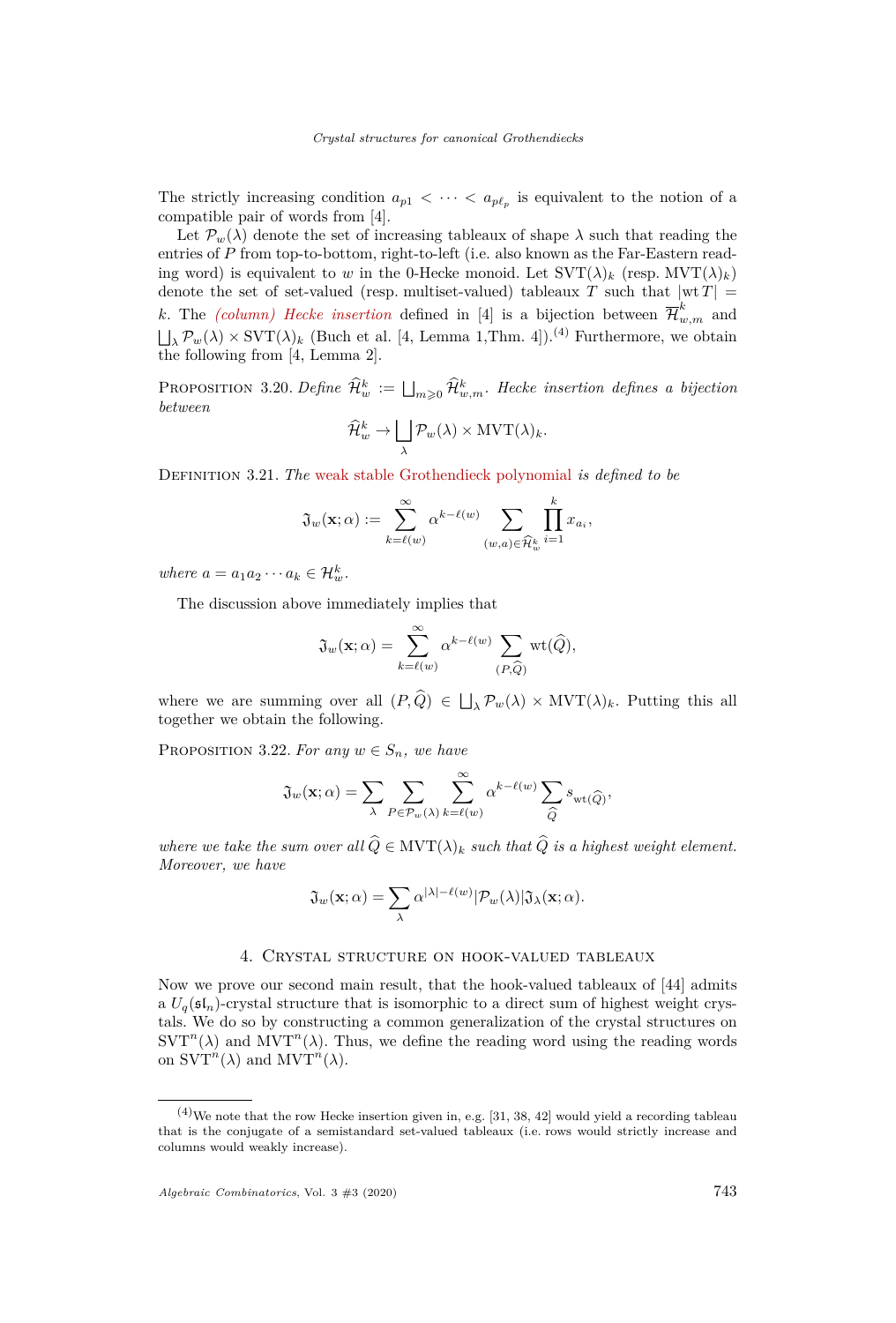The strictly increasing condition  $a_{p1} < \cdots < a_{p\ell_p}$  is equivalent to the notion of a compatible pair of words from [\[4\]](#page-27-5).

Let  $\mathcal{P}_w(\lambda)$  denote the set of increasing tableaux of shape  $\lambda$  such that reading the entries of *P* from top-to-bottom, right-to-left (i.e. also known as the Far-Eastern reading word) is equivalent to *w* in the 0-Hecke monoid. Let  $SVT(\lambda)_k$  (resp.  $MVT(\lambda)_k$ ) denote the set of set-valued (resp. multiset-valued) tableaux *T* such that  $|wt T|$  = *k*. The *(column) Hecke insertion* defined in [\[4\]](#page-27-5) is a bijection between  $\overline{\mathcal{H}}_{w,m}^k$  and  $\Box_{\lambda}$   $\mathcal{P}_{w}(\lambda) \times \text{SVT}(\lambda)$ <sub>k</sub> (Buch et al. [\[4,](#page-27-5) Lemma 1,Thm. 4]).<sup>(4)</sup> Furthermore, we obtain the following from  $[4, \text{Lemma } 2]$  $[4, \text{Lemma } 2]$ .

PROPOSITION 3.20. *Define*  $\widehat{\mathcal{H}}_w^k := \bigsqcup_{m\geqslant 0} \widehat{\mathcal{H}}_{w,m}^k$ . Hecke insertion defines a bijection *between*

$$
\widehat{\mathcal{H}}_w^k \to \bigsqcup_{\lambda} \mathcal{P}_w(\lambda) \times \text{MVT}(\lambda)_k.
$$

Definition 3.21. *The* weak stable Grothendieck polynomial *is defined to be*

$$
\mathfrak{J}_w(\mathbf{x};\alpha) := \sum_{k=\ell(w)}^{\infty} \alpha^{k-\ell(w)} \sum_{(w,a)\in \widehat{\mathcal{H}}_w^k} \prod_{i=1}^k x_{a_i},
$$

*where*  $a = a_1 a_2 \cdots a_k \in \mathcal{H}_w^k$ .

The discussion above immediately implies that

$$
\mathfrak{J}_{w}(\mathbf{x};\alpha) = \sum_{k=\ell(w)}^{\infty} \alpha^{k-\ell(w)} \sum_{(P,\widehat{Q})} \mathrm{wt}(\widehat{Q}),
$$

where we are summing over all  $(P,Q) \in \Box_{\lambda} \mathcal{P}_{w}(\lambda) \times \text{MVT}(\lambda)_{k}$ . Putting this all together we obtain the following.

PROPOSITION 3.22. For any  $w \in S_n$ , we have

$$
\mathfrak{J}_w(\mathbf{x};\alpha) = \sum_{\lambda} \sum_{P \in \mathcal{P}_w(\lambda)} \sum_{k=\ell(w)}^{\infty} \alpha^{k-\ell(w)} \sum_{\widehat{Q}} s_{\mathrm{wt}(\widehat{Q})},
$$

*where we take the sum over all*  $\widehat{Q} \in \text{MVT}(\lambda)_k$  *such that*  $\widehat{Q}$  *is a highest weight element. Moreover, we have*

$$
\mathfrak{J}_w(\mathbf{x};\alpha)=\sum_{\lambda}\alpha^{|\lambda|-\ell(w)}|\mathcal{P}_w(\lambda)|\mathfrak{J}_{\lambda}(\mathbf{x};\alpha).
$$

#### 4. Crystal structure on hook-valued tableaux

<span id="page-17-0"></span>Now we prove our second main result, that the hook-valued tableaux of [\[44\]](#page-29-1) admits a  $U_q(\mathfrak{sl}_n)$ -crystal structure that is isomorphic to a direct sum of highest weight crystals. We do so by constructing a common generalization of the crystal structures on  $SVT<sup>n</sup>(\lambda)$  and  $MVT<sup>n</sup>(\lambda)$ . Thus, we define the reading word using the reading words on  $SVT<sup>n</sup>(\lambda)$  and  $MVT<sup>n</sup>(\lambda)$ .

 $(4)$ We note that the row Hecke insertion given in, e.g. [\[31,](#page-28-12) [38,](#page-28-27) [42\]](#page-28-28) would yield a recording tableau that is the conjugate of a semistandard set-valued tableaux (i.e. rows would strictly increase and columns would weakly increase).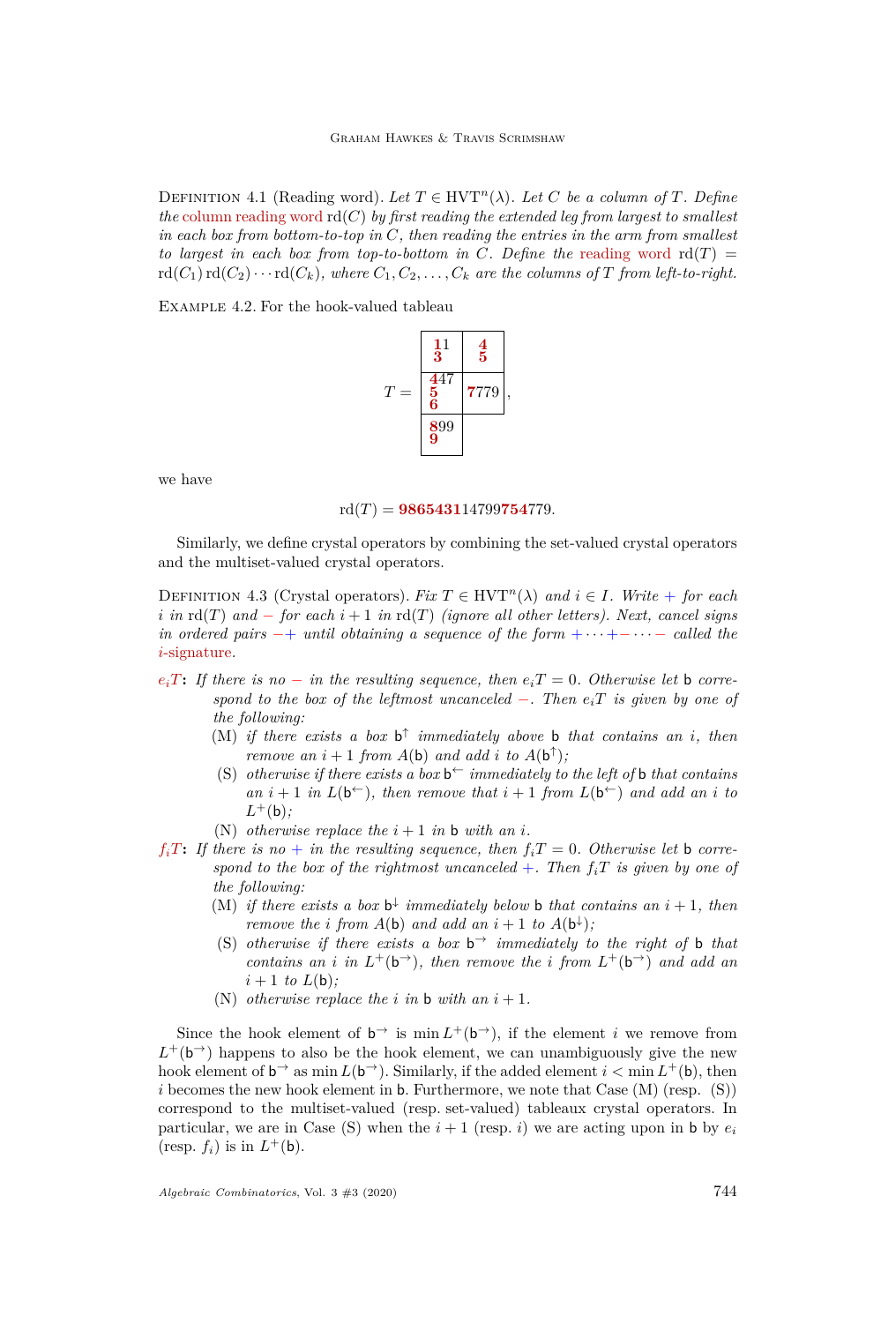DEFINITION 4.1 (Reading word). Let  $T \in HVT^n(\lambda)$ . Let C be a column of T. Define *the* column reading word  $\text{rd}(C)$  *by first reading the extended leg from largest to smallest in each box from bottom-to-top in C, then reading the entries in the arm from smallest to largest in each box from top-to-bottom in C. Define the* reading word  $\text{rd}(T) =$  $\text{rd}(C_1)\text{rd}(C_2)\cdots\text{rd}(C_k)$ , where  $C_1, C_2, \ldots, C_k$  are the columns of T from left-to-right.

Example 4.2. For the hook-valued tableau



we have

 $\text{rd}(T) = 986543114799754779.$ 

Similarly, we define crystal operators by combining the set-valued crystal operators and the multiset-valued crystal operators.

DEFINITION 4.3 (Crystal operators). *Fix*  $T \in HVT^n(\lambda)$  and  $i \in I$ *. Write* + *for each i in*  $\text{rd}(T)$  *and* − *for each*  $i + 1$  *in*  $\text{rd}(T)$  *(ignore all other letters). Next, cancel signs in ordered pairs* −+ *until obtaining a sequence of the form* + · · · +− · · · − *called the i*-signature*.*

- <span id="page-18-0"></span> $e_i$ *T***:** If there is no − *in the resulting sequence, then*  $e_i$ *T* = 0*. Otherwise let* b *correspond to the box of the leftmost uncanceled* −*. Then eiT is given by one of the following:*
	- (M) *if there exists a box*  $b^{\uparrow}$  *immediately above* **b** *that contains an i*, *then remove an*  $i + 1$  *from*  $A(b)$  *and add*  $i$  *to*  $A(b^{\uparrow})$ *;*
	- (S) *otherwise if there exists a box*  $b^{\leftarrow}$  *immediately to the left of* **b** *that contains an*  $i + 1$  *in*  $L(b^{\leftarrow})$ *, then remove that*  $i + 1$  *from*  $L(b^{\leftarrow})$  *and add an i to L* <sup>+</sup>(b)*;*
	- (N) *otherwise replace the*  $i + 1$  *in* **b** *with* an *i*.
- <span id="page-18-2"></span><span id="page-18-1"></span> $f_i$ *T***:** *If there is no + in the resulting sequence, then*  $f_i$ *<i>T* = 0*. Otherwise let* **b** *correspond to the box of the rightmost uncanceled*  $+$ *. Then*  $f_iT$  *is given by one of the following:*
	- (M) *if there exists a box*  $b^{\downarrow}$  *immediately below* **b** *that contains an*  $i + 1$ *, then remove the i from*  $A(b)$  *and add an*  $i + 1$  *to*  $A(b^{\downarrow})$ ;
	- (S) *otherwise if there exists a box*  $b^{\rightarrow}$  *immediately to the right of* **b** *that contains an i* in  $L^+(b^-)$ *, then remove the i from*  $L^+(b^-)$  *and add an*  $i + 1$  *to*  $L(b)$ ;
	- (N) *otherwise replace the i in* **b** *with* an  $i + 1$ .

Since the hook element of  $b^{\rightarrow}$  is min  $L^+(b^{\rightarrow})$ , if the element *i* we remove from  $L^+(\mathsf{b}^{\rightharpoonup})$  happens to also be the hook element, we can unambiguously give the new hook element of  $b^{\rightarrow}$  as min  $L(b^{\rightarrow})$ . Similarly, if the added element  $i < \min L^{+}(b)$ , then *i* becomes the new hook element in **b**. Furthermore, we note that Case [\(M\)](#page-18-0) (resp. [\(S\)\)](#page-18-1) correspond to the multiset-valued (resp. set-valued) tableaux crystal operators. In particular, we are in Case [\(S\)](#page-18-1) when the  $i + 1$  (resp. *i*) we are acting upon in b by  $e_i$ (resp.  $f_i$ ) is in  $L^+(b)$ .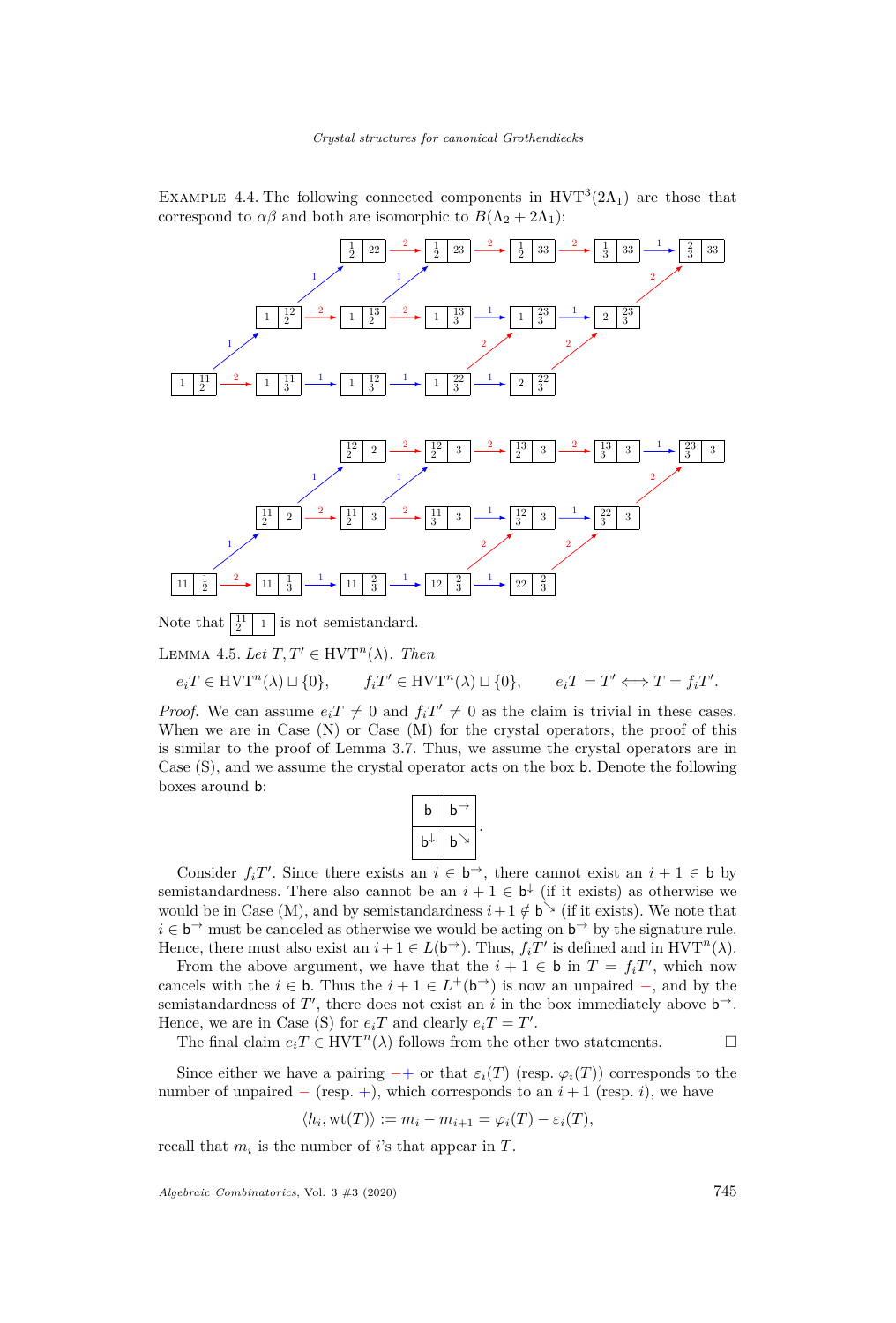EXAMPLE 4.4. The following connected components in  $HVT^3(2\Lambda_1)$  are those that correspond to  $\alpha\beta$  and both are isomorphic to  $B(\Lambda_2 + 2\Lambda_1)$ :



Note that 1 is not semistandard.

LEMMA 4.5. Let  $T, T' \in \text{HVT}^n(\lambda)$ . Then

$$
e_i T \in \text{HVT}^n(\lambda) \sqcup \{0\}, \qquad f_i T' \in \text{HVT}^n(\lambda) \sqcup \{0\}, \qquad e_i T = T' \Longleftrightarrow T = f_i T'.
$$

*Proof.* We can assume  $e_i T \neq 0$  and  $f_i T' \neq 0$  as the claim is trivial in these cases. When we are in Case [\(N\)](#page-18-2) or Case [\(M\)](#page-18-0) for the crystal operators, the proof of this is similar to the proof of Lemma [3.7.](#page-10-1) Thus, we assume the crystal operators are in Case [\(S\),](#page-18-1) and we assume the crystal operator acts on the box b. Denote the following boxes around b:

| b           | b |
|-------------|---|
| $\mathbf b$ | b |

*.*

Consider  $f_iT'$ . Since there exists an  $i \in \mathfrak{b}^{\rightarrow}$ , there cannot exist an  $i + 1 \in \mathfrak{b}$  by semistandardness. There also cannot be an  $i + 1 \in \mathfrak{b}^{\downarrow}$  (if it exists) as otherwise we would be in Case [\(M\),](#page-18-0) and by semistandardness  $i+1 \notin b^{\searrow}$  (if it exists). We note that  $i \in \mathsf{b}^{\rightarrow}$  must be canceled as otherwise we would be acting on  $\mathsf{b}^{\rightarrow}$  by the signature rule. Hence, there must also exist an  $i + 1 \in L(\mathfrak{b}^{\rightarrow})$ . Thus,  $f_i T'$  is defined and in  $HVT^n(\lambda)$ .

From the above argument, we have that the  $i + 1 \in \mathbf{b}$  in  $T = f_i T'$ , which now cancels with the  $i \in \mathbf{b}$ . Thus the  $i + 1 \in L^+(\mathbf{b}^+)$  is now an unpaired  $-$ , and by the semistandardness of  $T'$ , there does not exist an *i* in the box immediately above  $b^{\rightarrow}$ . Hence, we are in Case [\(S\)](#page-18-1) for  $e_iT$  and clearly  $e_iT = T'$ .

The final claim  $e_i T \in \text{HVT}^n(\lambda)$  follows from the other two statements.

Since either we have a pairing  $-+$  or that  $\varepsilon_i(T)$  (resp.  $\varphi_i(T)$ ) corresponds to the number of unpaired  $-$  (resp.  $+$ ), which corresponds to an  $i + 1$  (resp. *i*), we have

$$
\langle h_i, \text{wt}(T) \rangle := m_i - m_{i+1} = \varphi_i(T) - \varepsilon_i(T),
$$

recall that  $m_i$  is the number of *i*'s that appear in  $T$ .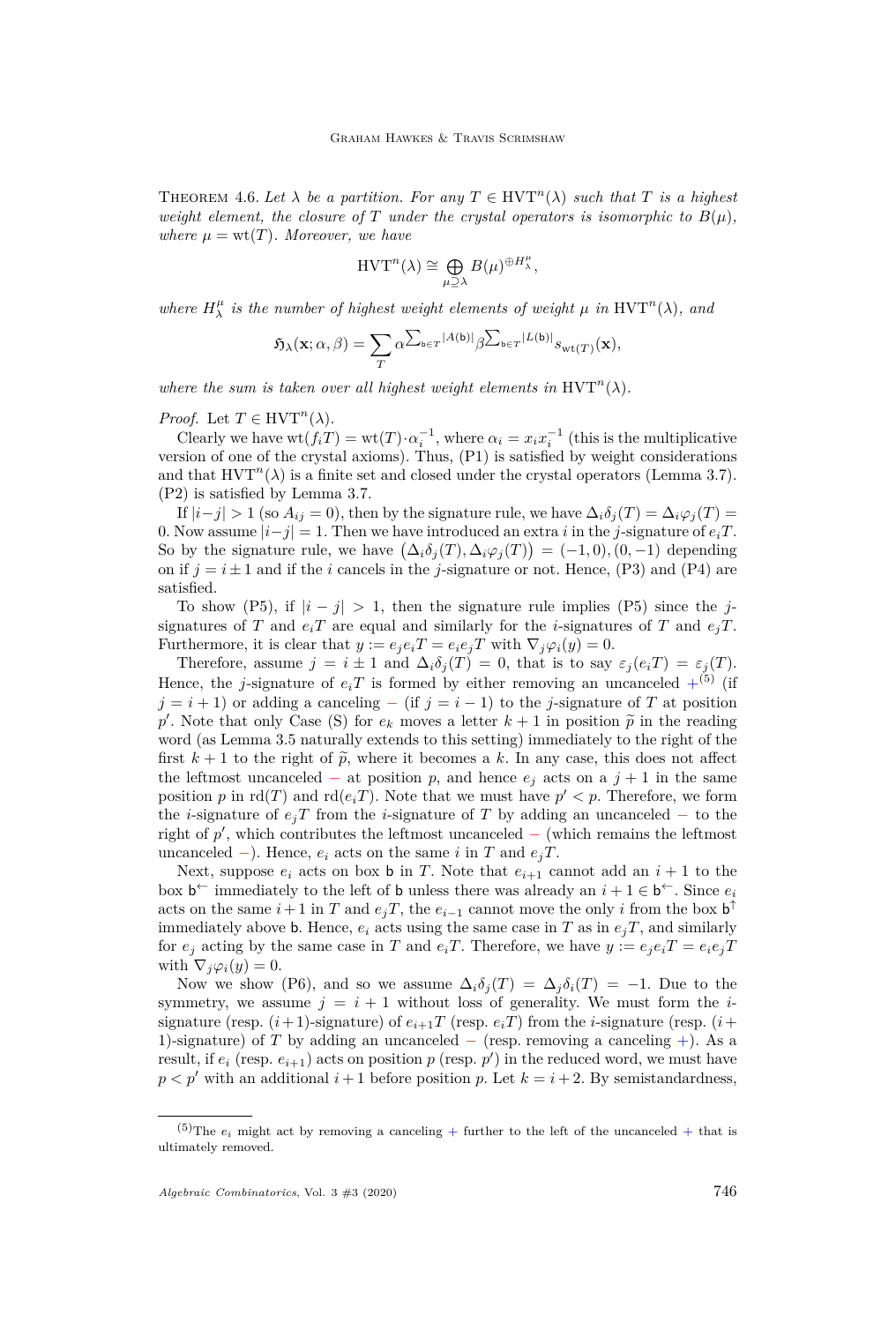<span id="page-20-0"></span>THEOREM 4.6. Let  $\lambda$  be a partition. For any  $T \in \mathrm{HVT}^n(\lambda)$  such that T is a highest *weight element, the closure of T under the crystal operators is isomorphic to*  $B(\mu)$ *, where*  $\mu = \text{wt}(T)$ *. Moreover, we have* 

$$
\mathrm{HVT}^n(\lambda) \cong \bigoplus_{\mu \supseteq \lambda} B(\mu)^{\oplus H_{\lambda}^{\mu}},
$$

*where*  $H_{\lambda}^{\mu}$  *is the number of highest weight elements of weight*  $\mu$  *in* HVT<sup>n</sup>( $\lambda$ )*, and* 

$$
\mathfrak{H}_{\lambda}(\mathbf{x}; \alpha, \beta) = \sum_{T} \alpha^{\sum_{\mathbf{b} \in T} |A(\mathbf{b})|} \beta^{\sum_{\mathbf{b} \in T} |L(\mathbf{b})|} s_{\mathrm{wt}(T)}(\mathbf{x}),
$$

*where the sum is taken over all highest weight elements in*  $HVT^n(\lambda)$ *.* 

*Proof.* Let  $T \in \text{HVT}^n(\lambda)$ .

Clearly we have  $\text{wt}(f_iT) = \text{wt}(T) \cdot \alpha_i^{-1}$ , where  $\alpha_i = x_i x_i^{-1}$  (this is the multiplicative version of one of the crystal axioms). Thus, [\(P1\)](#page-8-4) is satisfied by weight considerations and that  $HVT<sup>n</sup>(\lambda)$  is a finite set and closed under the crystal operators (Lemma [3.7\)](#page-10-1). [\(P2\)](#page-8-3) is satisfied by Lemma [3.7.](#page-10-1)

If  $|i-j| > 1$  (so  $A_{ij} = 0$ ), then by the signature rule, we have  $\Delta_i \delta_j(T) = \Delta_i \varphi_j(T) =$ 0. Now assume  $|i-j|=1$ . Then we have introduced an extra *i* in the *j*-signature of  $e_iT$ . So by the signature rule, we have  $(\Delta_i \delta_j(T), \Delta_i \varphi_j(T)) = (-1, 0), (0, -1)$  depending on if  $j = i \pm 1$  and if the *i* cancels in the *j*-signature or not. Hence, [\(P3\)](#page-8-1) and [\(P4\)](#page-8-2) are satisfied.

To show [\(P5\),](#page-8-5) if  $|i - j| > 1$ , then the signature rule implies [\(P5\)](#page-8-5) since the *j*signatures of *T* and  $e_iT$  are equal and similarly for the *i*-signatures of *T* and  $e_iT$ . Furthermore, it is clear that  $y := e_i e_i T = e_i e_i T$  with  $\nabla_i \varphi_i(y) = 0$ .

Therefore, assume  $j = i \pm 1$  and  $\Delta_i \delta_j(T) = 0$ , that is to say  $\varepsilon_j(e_i T) = \varepsilon_j(T)$ . Hence, the *j*-signature of  $e_iT$  is formed by either removing an uncanceled  $+^{(5)}$  (if  $j = i + 1$ ) or adding a canceling – (if  $j = i - 1$ ) to the *j*-signature of *T* at position p'. Note that only Case [\(S\)](#page-18-1) for  $e_k$  moves a letter  $k+1$  in position  $\tilde{p}$  in the reading<br>word (as I amme. 3.5 naturally extends to this setting) immediately to the right of the word (as Lemma [3.5](#page-10-0) naturally extends to this setting) immediately to the right of the first  $k+1$  to the right of  $\tilde{p}$ , where it becomes a k. In any case, this does not affect the leftmost uncanceled – at position *p*, and hence  $e_j$  acts on a  $j + 1$  in the same position *p* in  $\text{rd}(T)$  and  $\text{rd}(e_iT)$ . Note that we must have  $p' < p$ . Therefore, we form the *i*-signature of  $e_jT$  from the *i*-signature of T by adding an uncanceled – to the right of  $p'$ , which contributes the leftmost uncanceled  $-$  (which remains the leftmost uncanceled  $-$ ). Hence,  $e_i$  acts on the same *i* in *T* and  $e_i$ *T*.

Next, suppose  $e_i$  acts on box **b** in *T*. Note that  $e_{i+1}$  cannot add an  $i+1$  to the box  $\mathbf{b}^{\leftarrow}$  immediately to the left of **b** unless there was already an  $i + 1 \in \mathbf{b}^{\leftarrow}$ . Since  $e_i$ acts on the same  $i+1$  in  $T$  and  $e_jT$ , the  $e_{i-1}$  cannot move the only  $i$  from the box  $\mathsf{b}^\uparrow$ immediately above **b**. Hence,  $e_i$  acts using the same case in *T* as in  $e_jT$ , and similarly for  $e_j$  acting by the same case in *T* and  $e_iT$ . Therefore, we have  $y := e_j e_i T = e_i e_j T$ with  $\nabla_j \varphi_i(y) = 0$ .

Now we show [\(P6\),](#page-8-6) and so we assume  $\Delta_i \delta_j(T) = \Delta_j \delta_i(T) = -1$ . Due to the symmetry, we assume  $j = i + 1$  without loss of generality. We must form the *i*signature (resp.  $(i+1)$ -signature) of  $e_{i+1}T$  (resp.  $e_iT$ ) from the *i*-signature (resp.  $(i+$ 1)-signature) of *T* by adding an uncanceled − (resp. removing a canceling +). As a result, if  $e_i$  (resp.  $e_{i+1}$ ) acts on position  $p$  (resp.  $p'$ ) in the reduced word, we must have  $p < p'$  with an additional  $i+1$  before position p. Let  $k = i+2$ . By semistandardness,

<sup>&</sup>lt;sup>(5)</sup>The  $e_i$  might act by removing a canceling + further to the left of the uncanceled + that is ultimately removed.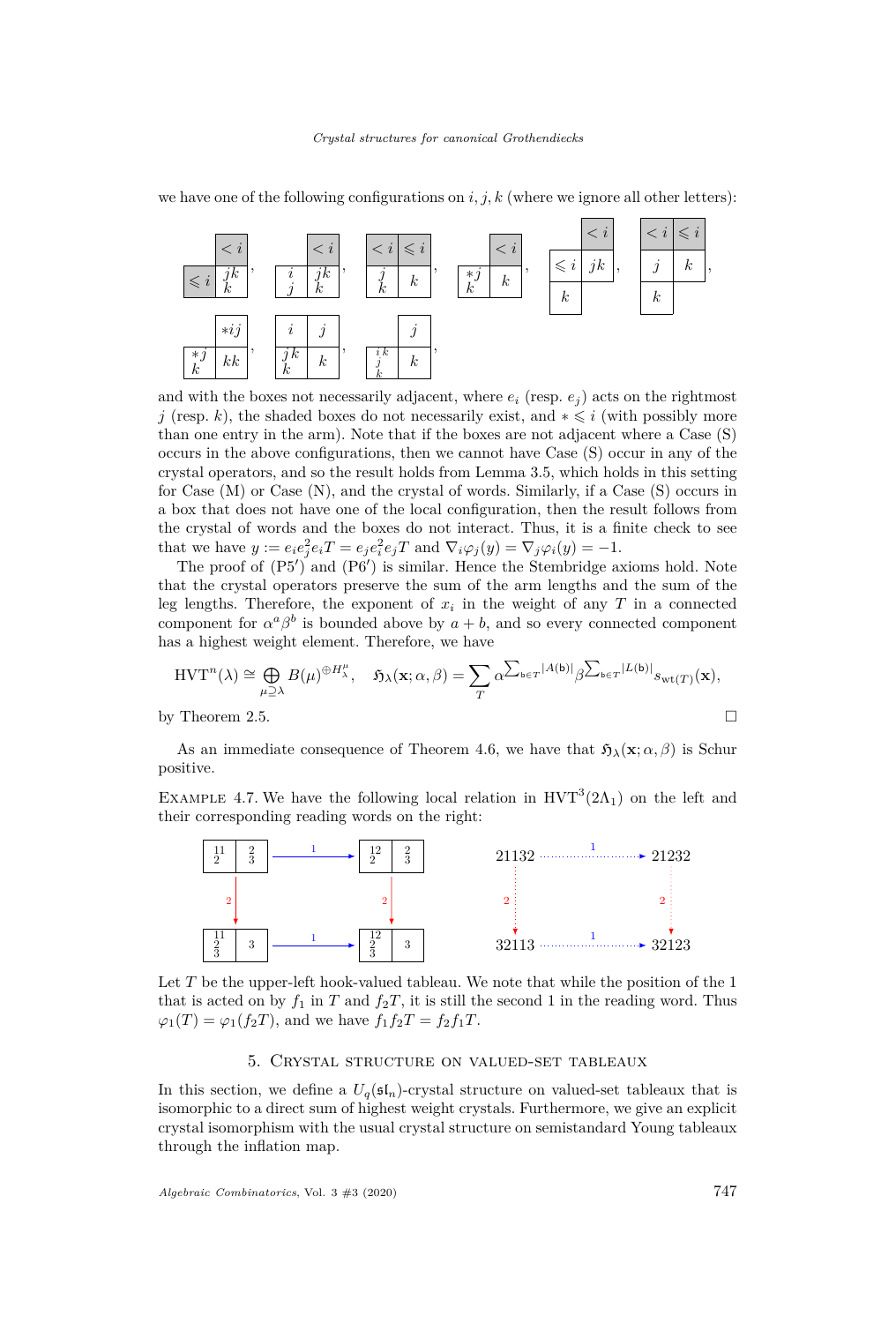we have one of the following configurations on  $i, j, k$  (where we ignore all other letters):



and with the boxes not necessarily adjacent, where  $e_i$  (resp.  $e_j$ ) acts on the rightmost *j* (resp. *k*), the shaded boxes do not necessarily exist, and  $* \leq i$  (with possibly more than one entry in the arm). Note that if the boxes are not adjacent where a Case [\(S\)](#page-18-1) occurs in the above configurations, then we cannot have Case [\(S\)](#page-18-1) occur in any of the crystal operators, and so the result holds from Lemma [3.5,](#page-10-0) which holds in this setting for Case [\(M\)](#page-18-0) or Case [\(N\),](#page-18-2) and the crystal of words. Similarly, if a Case [\(S\)](#page-18-1) occurs in a box that does not have one of the local configuration, then the result follows from the crystal of words and the boxes do not interact. Thus, it is a finite check to see that we have  $y := e_i e_j^2 e_i T = e_j e_i^2 e_j T$  and  $\nabla_i \varphi_j(y) = \nabla_j \varphi_i(y) = -1$ .

The proof of  $(P5')$  $(P5')$  and  $(P6')$  $(P6')$  is similar. Hence the Stembridge axioms hold. Note that the crystal operators preserve the sum of the arm lengths and the sum of the leg lengths. Therefore, the exponent of  $x_i$  in the weight of any  $T$  in a connected component for  $\alpha^a \beta^b$  is bounded above by  $a + b$ , and so every connected component has a highest weight element. Therefore, we have

$$
\text{HVT}^n(\lambda) \cong \bigoplus_{\mu \supseteq \lambda} B(\mu)^{\oplus H_{\lambda}^{\mu}}, \quad \mathfrak{H}_{\lambda}(\mathbf{x}; \alpha, \beta) = \sum_{T} \alpha^{\sum_{\mathbf{b} \in T} |A(\mathbf{b})|} \beta^{\sum_{\mathbf{b} \in T} |L(\mathbf{b})|} s_{\text{wt}(T)}(\mathbf{x}),
$$

by Theorem [2.5.](#page-8-9)

As an immediate consequence of Theorem [4.6,](#page-20-0) we have that  $\mathfrak{H}_{\lambda}(\mathbf{x}; \alpha, \beta)$  is Schur positive.

EXAMPLE 4.7. We have the following local relation in  $HVT^3(2\Lambda_1)$  on the left and their corresponding reading words on the right:



Let T be the upper-left hook-valued tableau. We note that while the position of the 1 that is acted on by  $f_1$  in  $T$  and  $f_2T$ , it is still the second 1 in the reading word. Thus  $\varphi_1(T) = \varphi_1(f_2T)$ , and we have  $f_1f_2T = f_2f_1T$ .

#### 5. Crystal structure on valued-set tableaux

<span id="page-21-0"></span>In this section, we define a  $U_q(\mathfrak{sl}_n)$ -crystal structure on valued-set tableaux that is isomorphic to a direct sum of highest weight crystals. Furthermore, we give an explicit crystal isomorphism with the usual crystal structure on semistandard Young tableaux through the inflation map.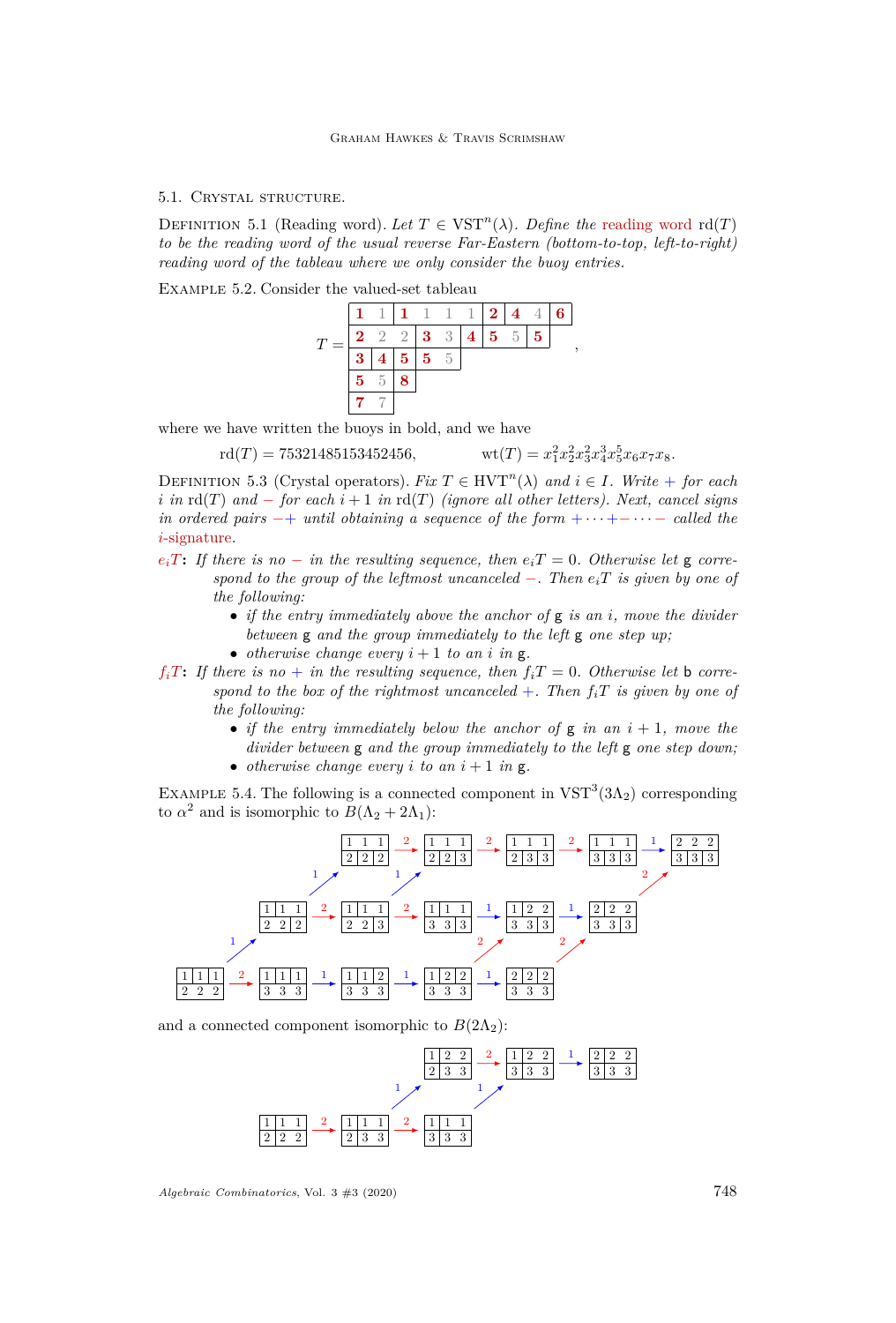#### 5.1. Crystal structure.

DEFINITION 5.1 (Reading word). Let  $T \in \text{VST}^n(\lambda)$ . Define the reading word rd(*T*) *to be the reading word of the usual reverse Far-Eastern (bottom-to-top, left-to-right) reading word of the tableau where we only consider the buoy entries.*

<span id="page-22-0"></span>Example 5.2. Consider the valued-set tableau



where we have written the buoys in bold, and we have

$$
rd(T) = 75321485153452456, \t wt(T) = x
$$

$$
\operatorname{wt}(T) = x_1^2 x_2^2 x_3^2 x_4^3 x_5^5 x_6 x_7 x_8.
$$

DEFINITION 5.3 (Crystal operators). *Fix*  $T \in HVT^n(\lambda)$  and  $i \in I$ *. Write* + *for each i in*  $\text{rd}(T)$  *and* − *for each*  $i + 1$  *in*  $\text{rd}(T)$  *(ignore all other letters). Next, cancel signs in ordered pairs*  $-+$  *until obtaining a sequence of the form*  $+ \cdots + - \cdots -$  *called the i*-signature*.*

- $e_i$ *T***:** *If there is no* − *in the resulting sequence, then*  $e_i$ *T* = 0*. Otherwise let* **g** *correspond to the group of the leftmost uncanceled* −*. Then eiT is given by one of the following:*
	- *if the entry immediately above the anchor of* g *is an i, move the divider between* g *and the group immediately to the left* g *one step up;*
	- *otherwise change every*  $i + 1$  *to an i in*  $g$ *.*
- $f_i$ *T***:** *If there is no + in the resulting sequence, then*  $f_i$ *T* = 0*. Otherwise let* **b** *correspond to the box of the rightmost uncanceled*  $+$ *. Then*  $f_iT$  *is given by one of the following:*
	- *if the entry immediately below the anchor of* g *in an i* + 1*, move the divider between* g *and the group immediately to the left* g *one step down;*
	- *otherwise change every*  $i$  *to an*  $i + 1$  *in*  $g$ *.*

EXAMPLE 5.4. The following is a connected component in  $VST<sup>3</sup>(3\Lambda<sub>2</sub>)$  corresponding to  $\alpha^2$  and is isomorphic to  $B(\Lambda_2 + 2\Lambda_1)$ :



and a connected component isomorphic to  $B(2\Lambda_2)$ :

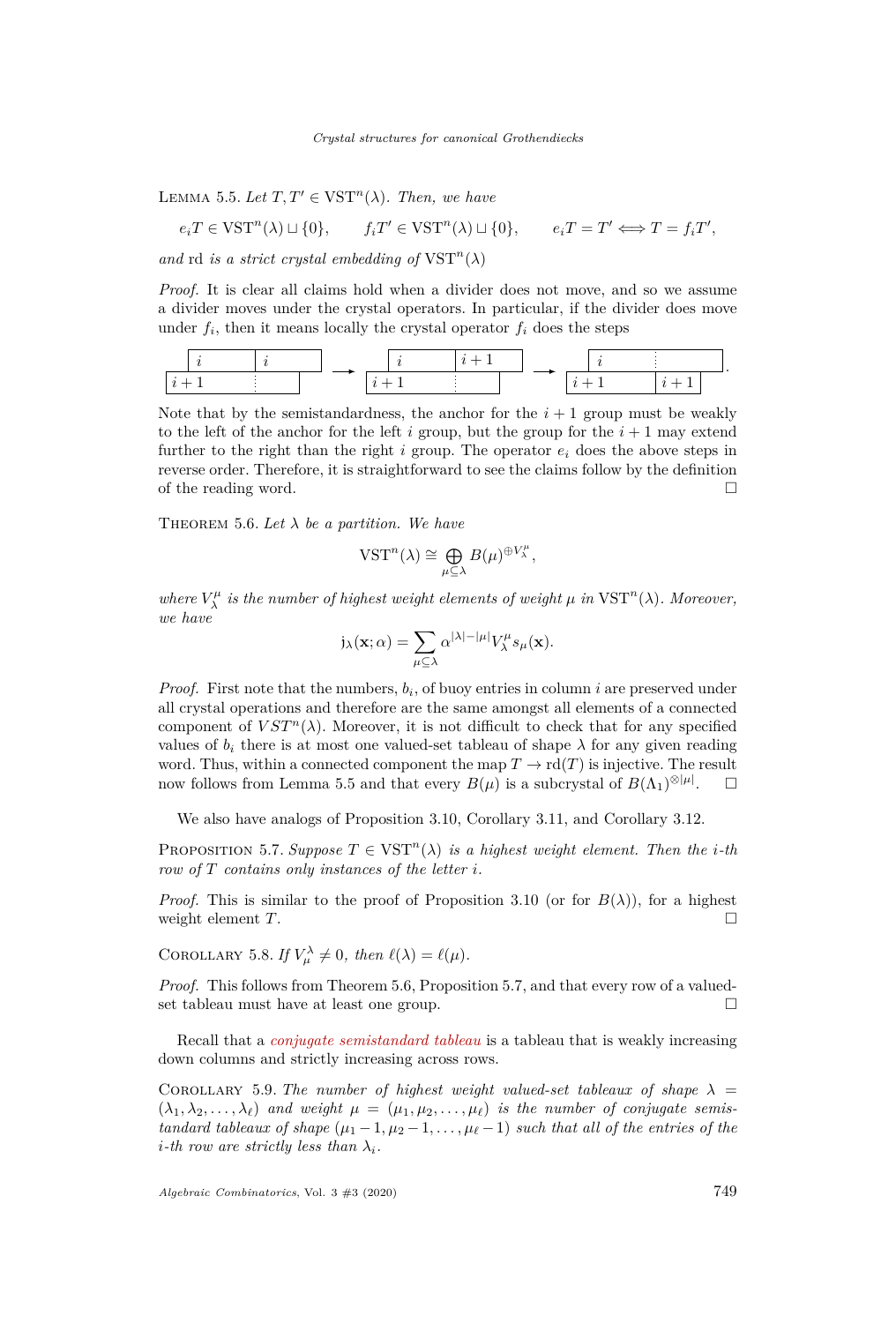<span id="page-23-0"></span>LEMMA 5.5. Let  $T, T' \in \text{VST}^n(\lambda)$ . Then, we have

$$
e_i T \in \text{VST}^n(\lambda) \sqcup \{0\}, \qquad f_i T' \in \text{VST}^n(\lambda) \sqcup \{0\}, \qquad e_i T = T' \Longleftrightarrow T = f_i T',
$$

and rd *is a strict crystal embedding of*  $VST<sup>n</sup>(\lambda)$ 

*Proof.* It is clear all claims hold when a divider does not move, and so we assume a divider moves under the crystal operators. In particular, if the divider does move under  $f_i$ , then it means locally the crystal operator  $f_i$  does the steps

$$
\begin{array}{|c|c|c|c|c|c|}\hline i&i&i&\\ \hline i+1&\multicolumn{3}{|c|}{}}&\longrightarrow&\begin{array}{|c|c|c|}\hline i&i+1&\\ \hline i+1&\multicolumn{3}{|c|}{}}&\multicolumn{3}{|c|}{}}&\longrightarrow&\begin{array}{|c|c|}\hline i&1&\\ \hline i+1&\multicolumn{3}{|c|}{}}&i+1&\\ \hline \end{array} \\\hline \end{array}.
$$

Note that by the semistandardness, the anchor for the  $i+1$  group must be weakly to the left of the anchor for the left *i* group, but the group for the  $i + 1$  may extend further to the right than the right *i* group. The operator *e<sup>i</sup>* does the above steps in reverse order. Therefore, it is straightforward to see the claims follow by the definition of the reading word.  $\Box$ 

<span id="page-23-1"></span>THEOREM 5.6. Let  $\lambda$  be a partition. We have

$$
\text{VST}^n(\lambda) \cong \bigoplus_{\mu \subseteq \lambda} B(\mu)^{\oplus V_{\lambda}^{\mu}},
$$

*where*  $V_{\lambda}^{\mu}$  *is the number of highest weight elements of weight*  $\mu$  *in* VST<sup>*n*</sup>( $\lambda$ )*. Moreover, we have*

$$
j_{\lambda}(\mathbf{x};\alpha) = \sum_{\mu \subseteq \lambda} \alpha^{|\lambda| - |\mu|} V_{\lambda}^{\mu} s_{\mu}(\mathbf{x}).
$$

*Proof.* First note that the numbers, *b<sup>i</sup>* , of buoy entries in column *i* are preserved under all crystal operations and therefore are the same amongst all elements of a connected component of  $VST^n(\lambda)$ . Moreover, it is not difficult to check that for any specified values of  $b_i$  there is at most one valued-set tableau of shape  $\lambda$  for any given reading word. Thus, within a connected component the map  $T \to \text{rd}(T)$  is injective. The result now follows from Lemma [5.5](#page-23-0) and that every  $B(\mu)$  is a subcrystal of  $B(\Lambda_1)^{\otimes |\mu|}$  $\Box$ 

We also have analogs of Proposition [3.10,](#page-12-0) Corollary [3.11,](#page-12-3) and Corollary [3.12.](#page-12-2)

<span id="page-23-2"></span>PROPOSITION 5.7. *Suppose*  $T \in \text{VST}^n(\lambda)$  *is a highest weight element. Then the <i>i*-th *row of T contains only instances of the letter i.*

*Proof.* This is similar to the proof of Proposition [3.10](#page-12-0) (or for  $B(\lambda)$ ), for a highest weight element  $T$ .

COROLLARY 5.8. *If*  $V_{\mu}^{\lambda} \neq 0$ , then  $\ell(\lambda) = \ell(\mu)$ .

*Proof.* This follows from Theorem [5.6,](#page-23-1) Proposition [5.7,](#page-23-2) and that every row of a valuedset tableau must have at least one group.

Recall that a *conjugate semistandard tableau* is a tableau that is weakly increasing down columns and strictly increasing across rows.

<span id="page-23-3"></span>COROLLARY 5.9. *The number of highest weight valued-set tableaux of shape*  $\lambda$  =  $(\lambda_1, \lambda_2, \ldots, \lambda_\ell)$  and weight  $\mu = (\mu_1, \mu_2, \ldots, \mu_\ell)$  is the number of conjugate semis*tandard tableaux of shape*  $(\mu_1 - 1, \mu_2 - 1, \ldots, \mu_\ell - 1)$  *such that all of the entries of the i*<sup> $i$ </sup>-th row are strictly less than  $\lambda_i$ .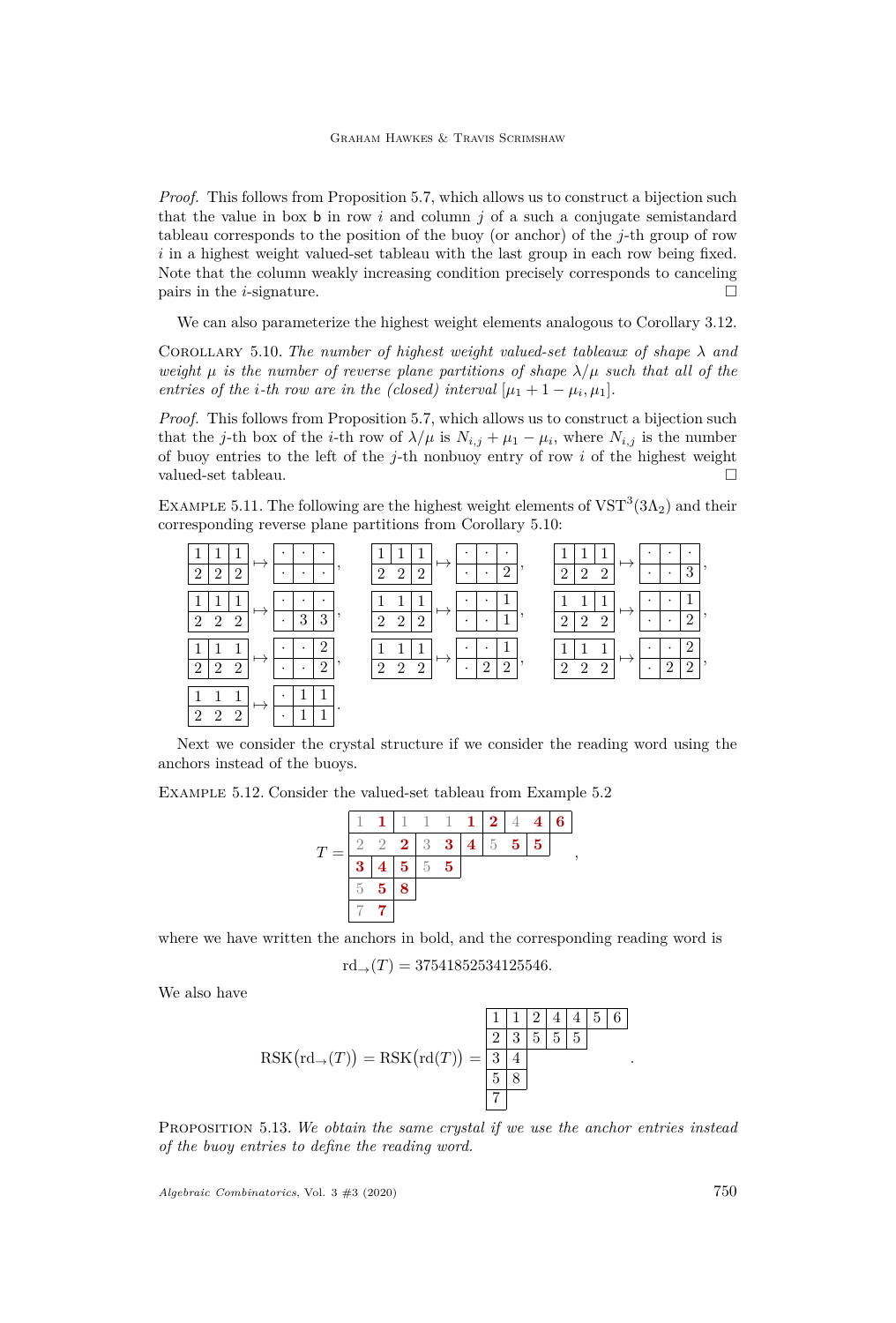*Proof.* This follows from Proposition [5.7,](#page-23-2) which allows us to construct a bijection such that the value in box  $\mathbf b$  in row *i* and column *j* of a such a conjugate semistandard tableau corresponds to the position of the buoy (or anchor) of the *j*-th group of row *i* in a highest weight valued-set tableau with the last group in each row being fixed. Note that the column weakly increasing condition precisely corresponds to canceling pairs in the *i*-signature.  $\Box$ 

We can also parameterize the highest weight elements analogous to Corollary [3.12.](#page-12-2)

<span id="page-24-1"></span>COROLLARY 5.10. *The number of highest weight valued-set tableaux of shape*  $\lambda$  *and weight*  $\mu$  *is the number of reverse plane partitions of shape*  $\lambda/\mu$  *such that all of the entries of the i-th row are in the (closed) interval*  $[\mu_1 + 1 - \mu_i, \mu_1]$ *.* 

*Proof.* This follows from Proposition [5.7,](#page-23-2) which allows us to construct a bijection such that the *j*-th box of the *i*-th row of  $\lambda/\mu$  is  $N_{i,j} + \mu_1 - \mu_i$ , where  $N_{i,j}$  is the number of buoy entries to the left of the *j*-th nonbuoy entry of row *i* of the highest weight valued-set tableau.

EXAMPLE 5.11. The following are the highest weight elements of  $VST^3(3\Lambda_2)$  and their corresponding reverse plane partitions from Corollary [5.10:](#page-24-1)

| ٠<br>$\bullet$<br>٠<br>$\overline{2}$<br>$\Omega$<br>$\mathfrak{D}$<br>$\sim$<br>۰<br>$\cdot$ | ٠<br>٠<br>$\bullet$<br>$\overline{2}$<br>$\mathfrak{D}$<br>$\overline{2}$<br>$\Omega$<br>$\bullet$<br>۰ | ٠<br>$\mathfrak{D}$<br>$\mathfrak{D}$<br>റ<br>$\cdot$                | $\bullet$<br>$\bullet$<br>3<br>$\cdot$                  |
|-----------------------------------------------------------------------------------------------|---------------------------------------------------------------------------------------------------------|----------------------------------------------------------------------|---------------------------------------------------------|
| $\overline{2}$<br>3<br>3<br>$\Omega$<br>$\Omega$<br>$\cdot$                                   | ٠<br>$\mathbf{1}$<br>$\overline{2}$<br>റ<br>$\Omega$<br>۰<br>$\bullet$                                  | ٠<br>$\overline{2}$<br>$\Omega$<br>ച<br>$\cdot$                      | $\overline{2}$<br>۰                                     |
| 2<br>$\bullet$<br>2<br>$\mathfrak{D}$<br>$\Omega$<br>$\mathcal{D}$<br>$\cdot$<br>$\bullet$    | 2<br>$\overline{2}$<br>$\overline{2}$<br>$\overline{2}$<br>$\overline{2}$<br>$\bullet$                  | ٠<br>$\overline{2}$<br>$\overline{2}$<br>$\overline{2}$<br>$\bullet$ | $\overline{2}$<br>٠<br>$\overline{2}$<br>$\mathfrak{D}$ |
| $\overline{2}$<br>$\Omega$<br>$\Omega$<br>۰                                                   |                                                                                                         |                                                                      |                                                         |

Next we consider the crystal structure if we consider the reading word using the anchors instead of the buoys.

<span id="page-24-0"></span>Example 5.12. Consider the valued-set tableau from Example [5.2](#page-22-0)



where we have written the anchors in bold, and the corresponding reading word is  $\text{rd}_{\rightarrow}(T) = 37541852534125546.$ 

We also have

RSK rd→(*T*) = RSK rd(*T*) = 1 1 2 4 4 5 6 2 3 5 5 5 3 4 5 8 7

<span id="page-24-2"></span>Proposition 5.13. *We obtain the same crystal if we use the anchor entries instead of the buoy entries to define the reading word.*

*Algebraic Combinatorics*, Vol. 3 #3 (2020) 750

*.*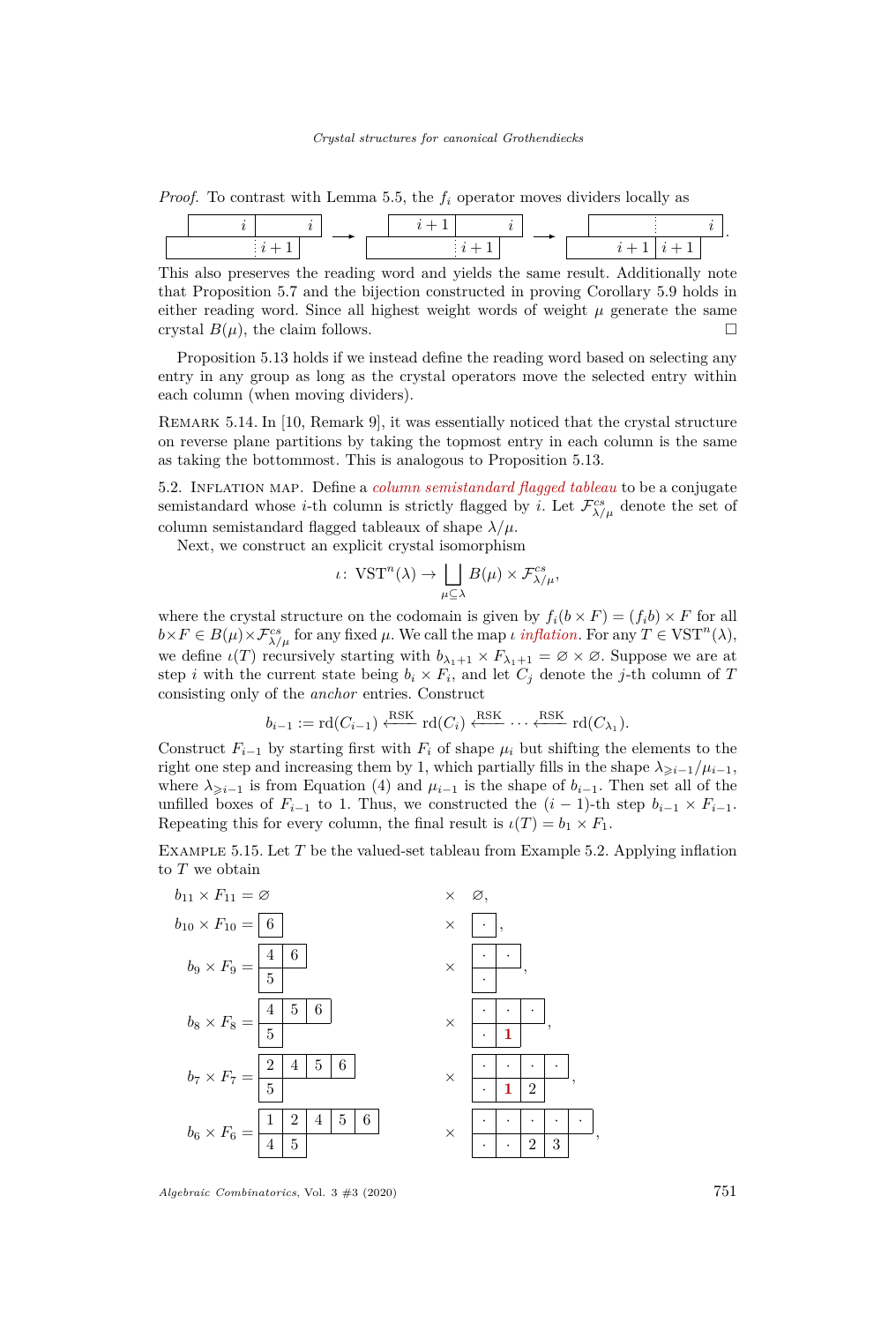*Proof.* To contrast with Lemma [5.5,](#page-23-0) the *f<sup>i</sup>* operator moves dividers locally as

This also preserves the reading word and yields the same result. Additionally note that Proposition [5.7](#page-23-2) and the bijection constructed in proving Corollary [5.9](#page-23-3) holds in either reading word. Since all highest weight words of weight  $\mu$  generate the same crystal  $B(\mu)$ , the claim follows.

Proposition [5.13](#page-24-2) holds if we instead define the reading word based on selecting any entry in any group as long as the crystal operators move the selected entry within each column (when moving dividers).

Remark 5.14. In [\[10,](#page-27-9) Remark 9], it was essentially noticed that the crystal structure on reverse plane partitions by taking the topmost entry in each column is the same as taking the bottommost. This is analogous to Proposition [5.13.](#page-24-2)

5.2. Inflation map. Define a *column semistandard flagged tableau* to be a conjugate semistandard whose *i*-th column is strictly flagged by *i*. Let  $\mathcal{F}^{cs}_{\lambda/\mu}$  denote the set of column semistandard flagged tableaux of shape  $\lambda/\mu$ .

Next, we construct an explicit crystal isomorphism

$$
\iota\colon \operatorname{VST}^n(\lambda) \to \bigsqcup_{\mu \subseteq \lambda} B(\mu) \times \mathcal{F}^{cs}_{\lambda/\mu},
$$

where the crystal structure on the codomain is given by  $f_i(b \times F) = (f_i b) \times F$  for all  $b \times F \in B(\mu) \times \mathcal{F}^{cs}_{\lambda/\mu}$  for any fixed  $\mu$ . We call the map *ι inflation*. For any  $T \in \text{VST}^n(\lambda)$ , we define  $\iota(T)$  recursively starting with  $b_{\lambda_1+1} \times F_{\lambda_1+1} = \emptyset \times \emptyset$ . Suppose we are at step *i* with the current state being  $b_i \times F_i$ , and let  $C_j$  denote the *j*-th column of *T* consisting only of the *anchor* entries. Construct

$$
b_{i-1} := \text{rd}(C_{i-1}) \xleftarrow{\text{RSK}} \text{rd}(C_i) \xleftarrow{\text{RSK}} \cdots \xleftarrow{\text{RSK}} \text{rd}(C_{\lambda_1}).
$$

Construct  $F_{i-1}$  by starting first with  $F_i$  of shape  $\mu_i$  but shifting the elements to the right one step and increasing them by 1, which partially fills in the shape  $\lambda_{\geq i-1}/\mu_{i-1}$ , where  $\lambda_{\geq i-1}$  is from Equation [\(4\)](#page-14-1) and  $\mu_{i-1}$  is the shape of  $b_{i-1}$ . Then set all of the unfilled boxes of  $F_{i-1}$  to 1. Thus, we constructed the  $(i-1)$ -th step  $b_{i-1} \times F_{i-1}$ . Repeating this for every column, the final result is  $\iota(T) = b_1 \times F_1$ .

<span id="page-25-0"></span>Example 5.15. Let *T* be the valued-set tableau from Example [5.2.](#page-22-0) Applying inflation to *T* we obtain

*,*

*,*



*Algebraic Combinatorics*, Vol. 3 #3 (2020) 751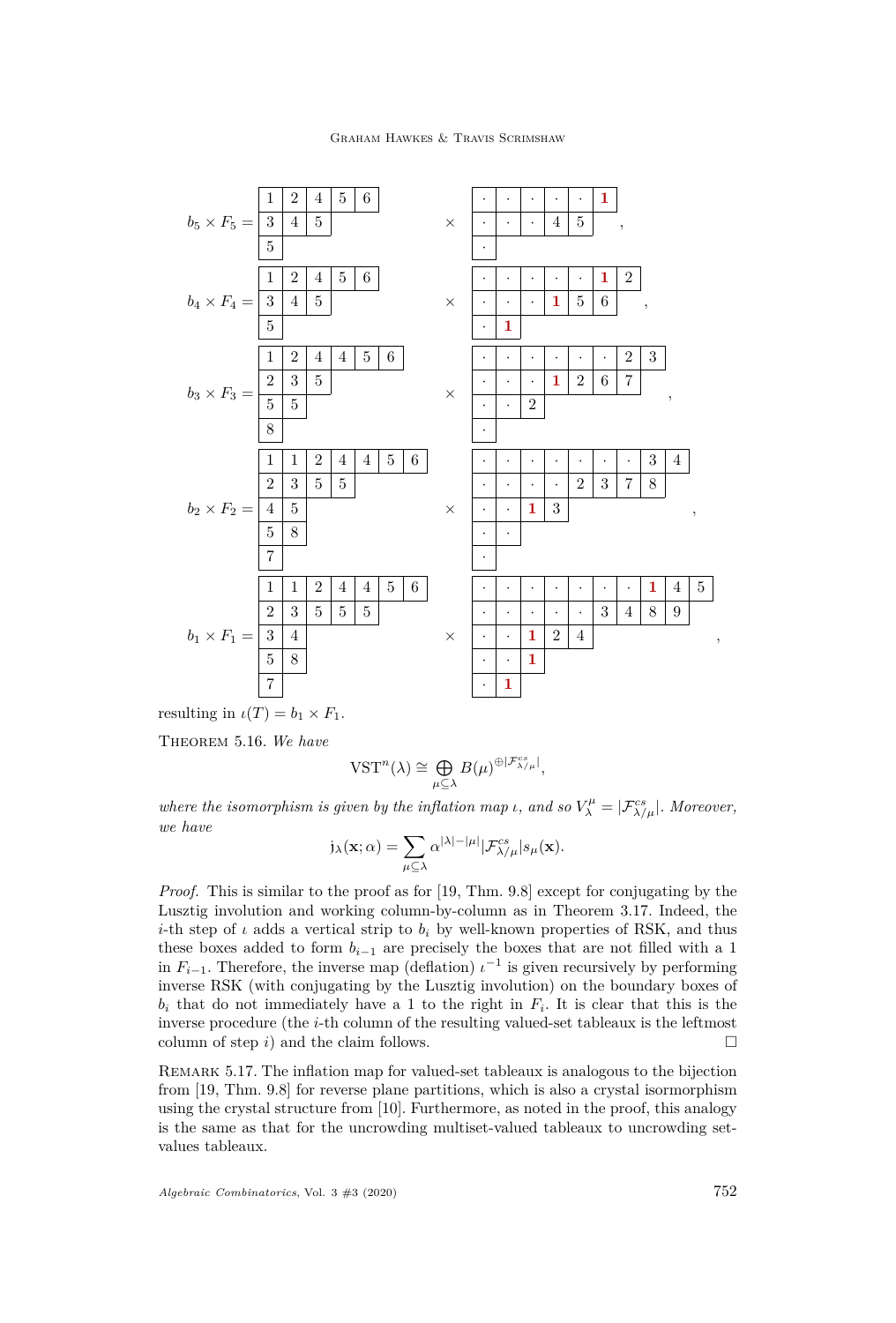### Graham Hawkes & Travis Scrimshaw



resulting in  $\iota(T) = b_1 \times F_1$ .

Theorem 5.16. *We have*

$$
\text{VST}^n(\lambda) \cong \bigoplus_{\mu \subseteq \lambda} B(\mu)^{\oplus |\mathcal{F}_{\lambda/\mu}^{cs}|},
$$

*where the isomorphism is given by the inflation map ι*, and so  $V_{\lambda}^{\mu} = |\mathcal{F}_{\lambda/\mu}^{cs}|$ . Moreover, *we have*

$$
\mathfrak{j}_{\lambda}(\mathbf{x};\alpha)=\sum_{\mu\subseteq \lambda}\alpha^{|\lambda|-|\mu|}|\mathcal{F}^{cs}_{\lambda/\mu}|s_{\mu}(\mathbf{x}).
$$

*Proof.* This is similar to the proof as for [\[19,](#page-28-5) Thm. 9.8] except for conjugating by the Lusztig involution and working column-by-column as in Theorem [3.17.](#page-15-0) Indeed, the *i*-th step of *ι* adds a vertical strip to  $b_i$  by well-known properties of RSK, and thus these boxes added to form *bi*−<sup>1</sup> are precisely the boxes that are not filled with a 1 in  $F_{i-1}$ . Therefore, the inverse map (deflation)  $\iota^{-1}$  is given recursively by performing inverse RSK (with conjugating by the Lusztig involution) on the boundary boxes of  $b_i$  that do not immediately have a 1 to the right in  $F_i$ . It is clear that this is the inverse procedure (the *i*-th column of the resulting valued-set tableaux is the leftmost column of step  $i$ ) and the claim follows.  $\Box$ 

Remark 5.17. The inflation map for valued-set tableaux is analogous to the bijection from [\[19,](#page-28-5) Thm. 9.8] for reverse plane partitions, which is also a crystal isormorphism using the crystal structure from [\[10\]](#page-27-9). Furthermore, as noted in the proof, this analogy is the same as that for the uncrowding multiset-valued tableaux to uncrowding setvalues tableaux.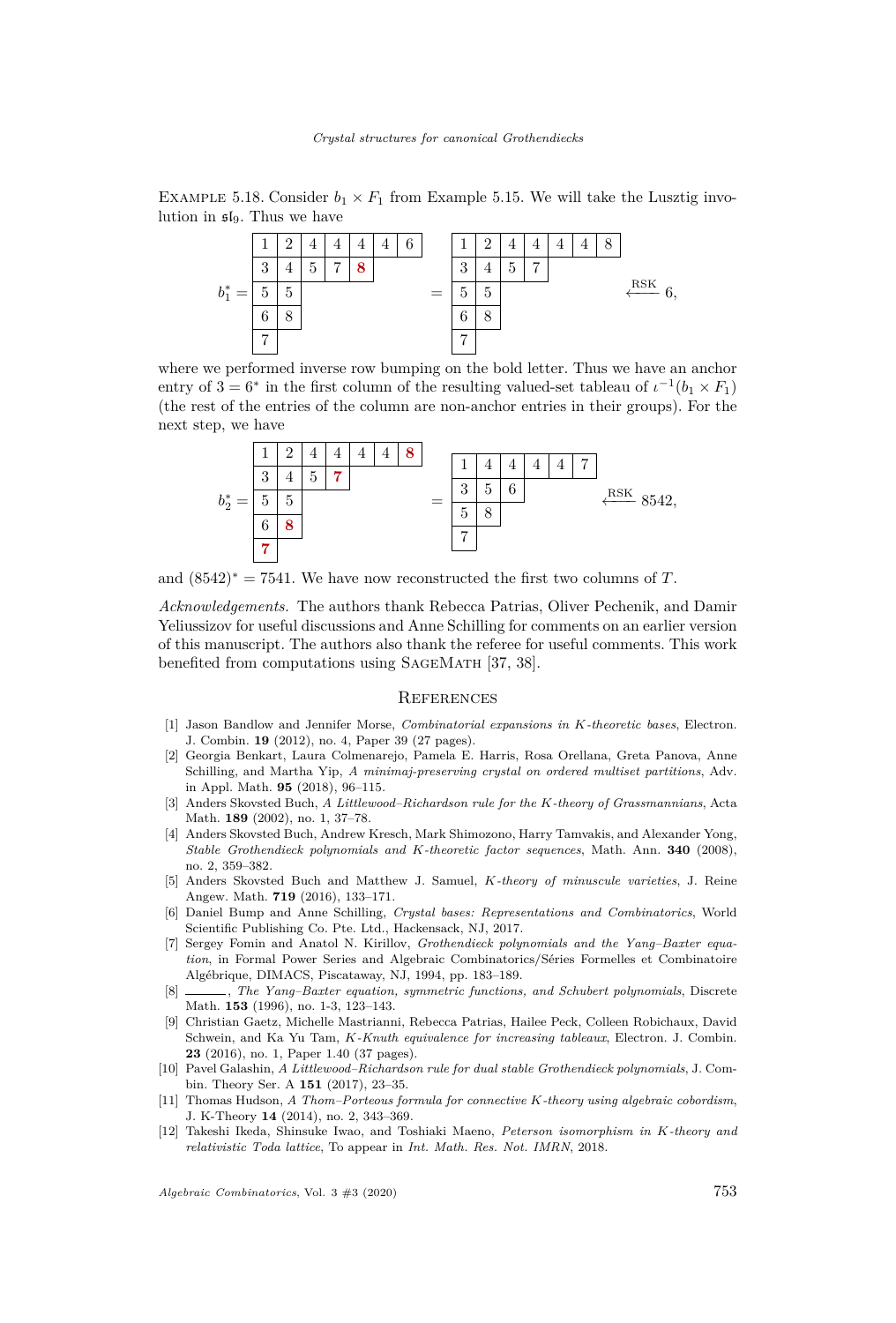EXAMPLE 5.18. Consider  $b_1 \times F_1$  from Example [5.15.](#page-25-0) We will take the Lusztig involution in  $\mathfrak{sl}_9$ . Thus we have



where we performed inverse row bumping on the bold letter. Thus we have an anchor entry of  $3 = 6^*$  in the first column of the resulting valued-set tableau of  $\iota^{-1}(b_1 \times F_1)$ (the rest of the entries of the column are non-anchor entries in their groups). For the next step, we have



and  $(8542)^* = 7541$ . We have now reconstructed the first two columns of *T*.

*Acknowledgements.* The authors thank Rebecca Patrias, Oliver Pechenik, and Damir Yeliussizov for useful discussions and Anne Schilling for comments on an earlier version of this manuscript. The authors also thank the referee for useful comments. This work benefited from computations using SageMath [\[37,](#page-28-29) [38\]](#page-28-27).

#### **REFERENCES**

- <span id="page-27-3"></span>[1] Jason Bandlow and Jennifer Morse, *Combinatorial expansions in K-theoretic bases*, Electron. J. Combin. **19** (2012), no. 4, Paper 39 (27 pages).
- <span id="page-27-11"></span>[2] Georgia Benkart, Laura Colmenarejo, Pamela E. Harris, Rosa Orellana, Greta Panova, Anne Schilling, and Martha Yip, *A minimaj-preserving crystal on ordered multiset partitions*, Adv. in Appl. Math. **95** (2018), 96–115.
- <span id="page-27-4"></span>[3] Anders Skovsted Buch, *A Littlewood–Richardson rule for the K-theory of Grassmannians*, Acta Math. **189** (2002), no. 1, 37–78.
- <span id="page-27-5"></span>[4] Anders Skovsted Buch, Andrew Kresch, Mark Shimozono, Harry Tamvakis, and Alexander Yong, *Stable Grothendieck polynomials and K-theoretic factor sequences*, Math. Ann. **340** (2008), no. 2, 359–382.
- <span id="page-27-6"></span>[5] Anders Skovsted Buch and Matthew J. Samuel, *K-theory of minuscule varieties*, J. Reine Angew. Math. **719** (2016), 133–171.
- <span id="page-27-10"></span>[6] Daniel Bump and Anne Schilling, *Crystal bases: Representations and Combinatorics*, World Scientific Publishing Co. Pte. Ltd., Hackensack, NJ, 2017.
- <span id="page-27-0"></span>[7] Sergey Fomin and Anatol N. Kirillov, *Grothendieck polynomials and the Yang–Baxter equation*, in Formal Power Series and Algebraic Combinatorics/Séries Formelles et Combinatoire Algébrique, DIMACS, Piscataway, NJ, 1994, pp. 183–189.
- <span id="page-27-1"></span>[8] , *The Yang–Baxter equation, symmetric functions, and Schubert polynomials*, Discrete Math. **153** (1996), no. 1-3, 123–143.
- <span id="page-27-7"></span>[9] Christian Gaetz, Michelle Mastrianni, Rebecca Patrias, Hailee Peck, Colleen Robichaux, David Schwein, and Ka Yu Tam, *K-Knuth equivalence for increasing tableaux*, Electron. J. Combin. **23** (2016), no. 1, Paper 1.40 (37 pages).
- <span id="page-27-9"></span>[10] Pavel Galashin, *A Littlewood–Richardson rule for dual stable Grothendieck polynomials*, J. Combin. Theory Ser. A **151** (2017), 23–35.
- <span id="page-27-2"></span>[11] Thomas Hudson, *A Thom–Porteous formula for connective K-theory using algebraic cobordism*, J. K-Theory **14** (2014), no. 2, 343–369.
- <span id="page-27-8"></span>[12] Takeshi Ikeda, Shinsuke Iwao, and Toshiaki Maeno, *Peterson isomorphism in K-theory and relativistic Toda lattice*, To appear in *Int. Math. Res. Not. IMRN*, 2018.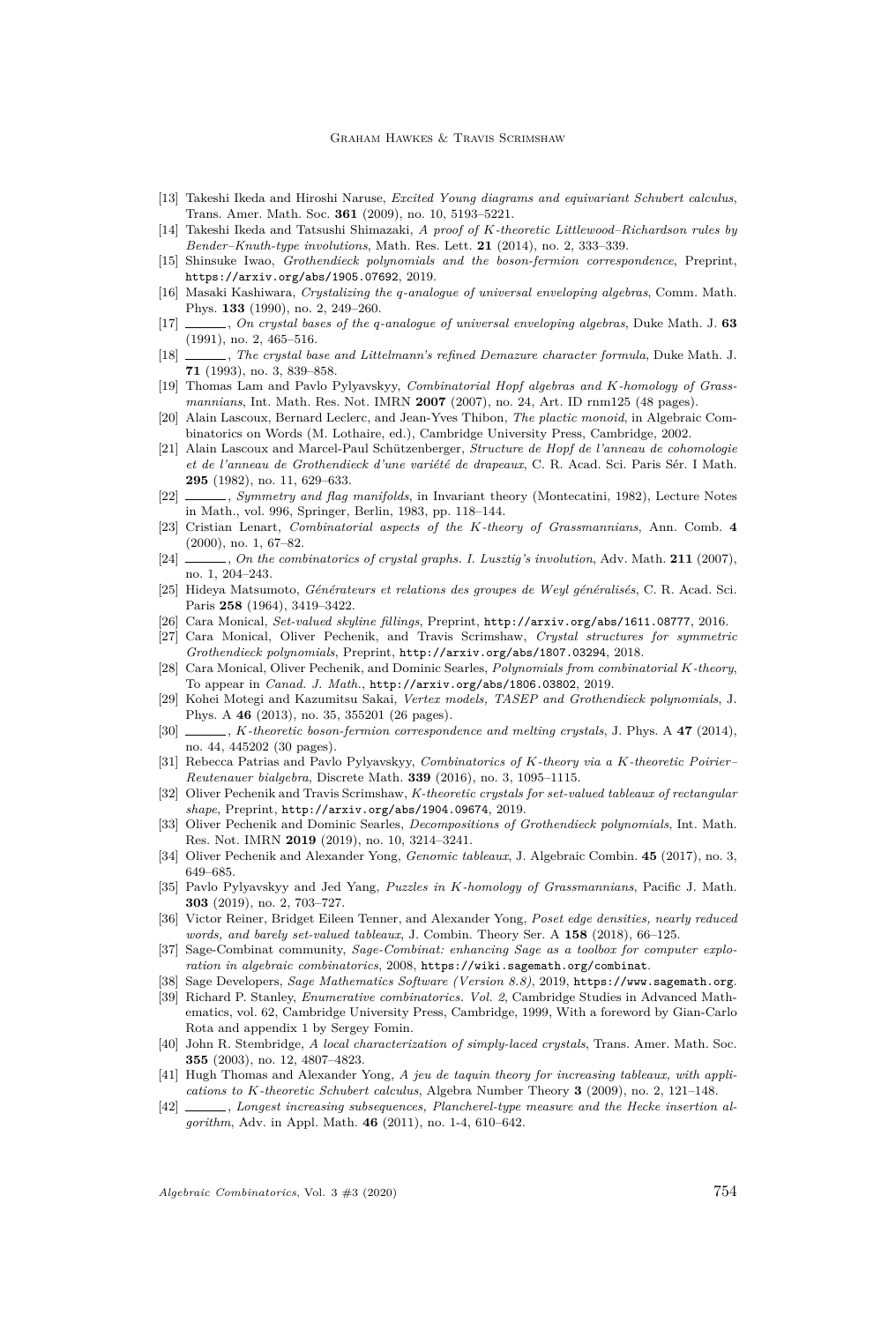- <span id="page-28-2"></span>[13] Takeshi Ikeda and Hiroshi Naruse, *Excited Young diagrams and equivariant Schubert calculus*, Trans. Amer. Math. Soc. **361** (2009), no. 10, 5193–5221.
- <span id="page-28-3"></span>[14] Takeshi Ikeda and Tatsushi Shimazaki, *A proof of K-theoretic Littlewood–Richardson rules by Bender–Knuth-type involutions*, Math. Res. Lett. **21** (2014), no. 2, 333–339.
- <span id="page-28-4"></span>[15] Shinsuke Iwao, *Grothendieck polynomials and the boson-fermion correspondence*, Preprint, <https://arxiv.org/abs/1905.07692>, 2019.
- <span id="page-28-18"></span>[16] Masaki Kashiwara, *Crystalizing the q-analogue of universal enveloping algebras*, Comm. Math. Phys. **133** (1990), no. 2, 249–260.
- <span id="page-28-19"></span>[17] , *On crystal bases of the q-analogue of universal enveloping algebras*, Duke Math. J. **63** (1991), no. 2, 465–516.
- <span id="page-28-23"></span>[18] , *The crystal base and Littelmann's refined Demazure character formula*, Duke Math. J. **71** (1993), no. 3, 839–858.
- <span id="page-28-5"></span>[19] Thomas Lam and Pavlo Pylyavskyy, *Combinatorial Hopf algebras and K-homology of Grassmannians*, Int. Math. Res. Not. IMRN **2007** (2007), no. 24, Art. ID rnm125 (48 pages).
- <span id="page-28-25"></span>[20] Alain Lascoux, Bernard Leclerc, and Jean-Yves Thibon, *The plactic monoid*, in Algebraic Combinatorics on Words (M. Lothaire, ed.), Cambridge University Press, Cambridge, 2002.
- <span id="page-28-0"></span>[21] Alain Lascoux and Marcel-Paul Schützenberger, *Structure de Hopf de l'anneau de cohomologie et de l'anneau de Grothendieck d'une variété de drapeaux*, C. R. Acad. Sci. Paris Sér. I Math. **295** (1982), no. 11, 629–633.
- <span id="page-28-1"></span>[22] , *Symmetry and flag manifolds*, in Invariant theory (Montecatini, 1982), Lecture Notes in Math., vol. 996, Springer, Berlin, 1983, pp. 118–144.
- <span id="page-28-6"></span>[23] Cristian Lenart, *Combinatorial aspects of the K-theory of Grassmannians*, Ann. Comb. **4** (2000), no. 1, 67–82.
- <span id="page-28-21"></span>[24] , *On the combinatorics of crystal graphs. I. Lusztig's involution*, Adv. Math. **211** (2007), no. 1, 204–243.
- <span id="page-28-26"></span>[25] Hideya Matsumoto, *Générateurs et relations des groupes de Weyl généralisés*, C. R. Acad. Sci. Paris **258** (1964), 3419–3422.
- <span id="page-28-7"></span>[26] Cara Monical, *Set-valued skyline fillings*, Preprint, <http://arxiv.org/abs/1611.08777>, 2016.
- <span id="page-28-8"></span>[27] Cara Monical, Oliver Pechenik, and Travis Scrimshaw, *Crystal structures for symmetric Grothendieck polynomials*, Preprint, <http://arxiv.org/abs/1807.03294>, 2018.
- <span id="page-28-9"></span>[28] Cara Monical, Oliver Pechenik, and Dominic Searles, *Polynomials from combinatorial K-theory*, To appear in *Canad. J. Math.*, <http://arxiv.org/abs/1806.03802>, 2019.
- <span id="page-28-10"></span>[29] Kohei Motegi and Kazumitsu Sakai, *Vertex models, TASEP and Grothendieck polynomials*, J. Phys. A **46** (2013), no. 35, 355201 (26 pages).
- <span id="page-28-11"></span>[30] , *K-theoretic boson-fermion correspondence and melting crystals*, J. Phys. A **47** (2014), no. 44, 445202 (30 pages).
- <span id="page-28-12"></span>[31] Rebecca Patrias and Pavlo Pylyavskyy, *Combinatorics of K-theory via a K-theoretic Poirier– Reutenauer bialgebra*, Discrete Math. **339** (2016), no. 3, 1095–1115.
- <span id="page-28-13"></span>[32] Oliver Pechenik and Travis Scrimshaw, *K-theoretic crystals for set-valued tableaux of rectangular shape*, Preprint, <http://arxiv.org/abs/1904.09674>, 2019.
- <span id="page-28-14"></span>[33] Oliver Pechenik and Dominic Searles, *Decompositions of Grothendieck polynomials*, Int. Math. Res. Not. IMRN **2019** (2019), no. 10, 3214–3241.
- <span id="page-28-15"></span>[34] Oliver Pechenik and Alexander Yong, *Genomic tableaux*, J. Algebraic Combin. **45** (2017), no. 3, 649–685.
- <span id="page-28-16"></span>[35] Pavlo Pylyavskyy and Jed Yang, *Puzzles in K-homology of Grassmannians*, Pacific J. Math. **303** (2019), no. 2, 703–727.
- <span id="page-28-24"></span>[36] Victor Reiner, Bridget Eileen Tenner, and Alexander Yong, *Poset edge densities, nearly reduced words, and barely set-valued tableaux*, J. Combin. Theory Ser. A **158** (2018), 66–125.
- <span id="page-28-29"></span>[37] Sage-Combinat community, *Sage-Combinat: enhancing Sage as a toolbox for computer exploration in algebraic combinatorics*, 2008, <https://wiki.sagemath.org/combinat>.
- <span id="page-28-27"></span><span id="page-28-22"></span>[38] Sage Developers, *Sage Mathematics Software (Version 8.8)*, 2019, <https://www.sagemath.org>. [39] Richard P. Stanley, *Enumerative combinatorics. Vol. 2*, Cambridge Studies in Advanced Mathematics, vol. 62, Cambridge University Press, Cambridge, 1999, With a foreword by Gian-Carlo Rota and appendix 1 by Sergey Fomin.
- <span id="page-28-20"></span>[40] John R. Stembridge, *A local characterization of simply-laced crystals*, Trans. Amer. Math. Soc. **355** (2003), no. 12, 4807–4823.
- <span id="page-28-17"></span>[41] Hugh Thomas and Alexander Yong, *A jeu de taquin theory for increasing tableaux, with applications to K-theoretic Schubert calculus*, Algebra Number Theory **3** (2009), no. 2, 121–148.
- <span id="page-28-28"></span>[42]  $\ldots$ , *Longest increasing subsequences, Plancherel-type measure and the Hecke insertion algorithm*, Adv. in Appl. Math. **46** (2011), no. 1-4, 610–642.